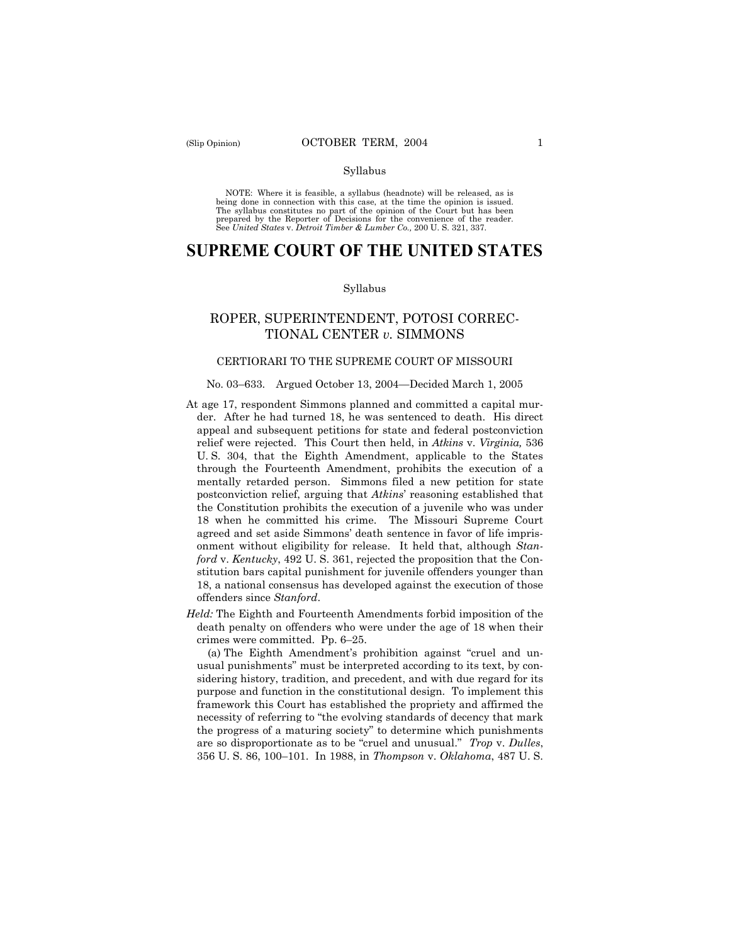NOTE: Where it is feasible, a syllabus (headnote) will be released, as is being done in connection with this case, at the time the opinion is issued. The syllabus constitutes no part of the opinion of the Court but has been<br>prepared by the Reporter of Decisions for the convenience of the reader.<br>See United States v. Detroit Timber & Lumber Co., 200 U. S. 321, 337.

# **SUPREME COURT OF THE UNITED STATES**

#### Syllabus

# ROPER, SUPERINTENDENT, POTOSI CORREC-TIONAL CENTER *v.* SIMMONS

## CERTIORARI TO THE SUPREME COURT OF MISSOURI

#### No. 03–633. Argued October 13, 2004—Decided March 1, 2005

- At age 17, respondent Simmons planned and committed a capital murder. After he had turned 18, he was sentenced to death. His direct appeal and subsequent petitions for state and federal postconviction relief were rejected. This Court then held, in *Atkins* v. *Virginia,* 536 U. S. 304, that the Eighth Amendment, applicable to the States through the Fourteenth Amendment, prohibits the execution of a mentally retarded person. Simmons filed a new petition for state postconviction relief, arguing that *Atkins*' reasoning established that the Constitution prohibits the execution of a juvenile who was under 18 when he committed his crime. The Missouri Supreme Court agreed and set aside Simmons' death sentence in favor of life imprisonment without eligibility for release. It held that, although *Stanford* v. *Kentucky*, 492 U. S. 361, rejected the proposition that the Constitution bars capital punishment for juvenile offenders younger than 18, a national consensus has developed against the execution of those offenders since *Stanford*.
- *Held:* The Eighth and Fourteenth Amendments forbid imposition of the death penalty on offenders who were under the age of 18 when their crimes were committed. Pp. 6–25.

(a) The Eighth Amendment's prohibition against "cruel and unusual punishments" must be interpreted according to its text, by considering history, tradition, and precedent, and with due regard for its purpose and function in the constitutional design. To implement this framework this Court has established the propriety and affirmed the necessity of referring to "the evolving standards of decency that mark the progress of a maturing society" to determine which punishments are so disproportionate as to be "cruel and unusual." *Trop* v. *Dulles*, 356 U. S. 86, 100–101. In 1988, in *Thompson* v. *Oklahoma*, 487 U. S.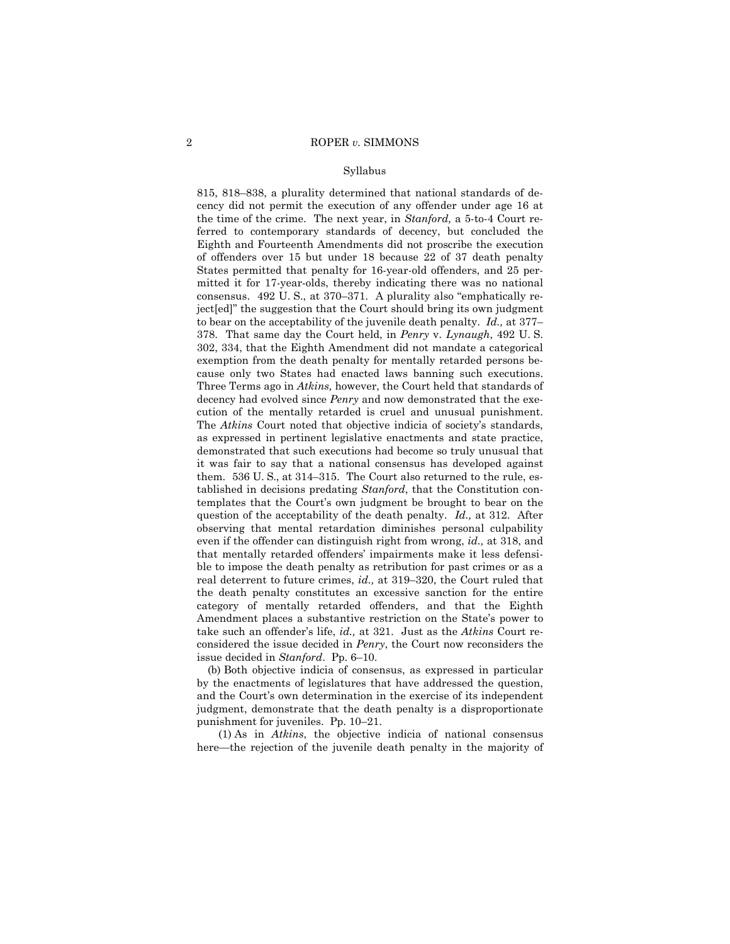815, 818–838, a plurality determined that national standards of decency did not permit the execution of any offender under age 16 at the time of the crime. The next year, in *Stanford,* a 5-to-4 Court referred to contemporary standards of decency, but concluded the Eighth and Fourteenth Amendments did not proscribe the execution of offenders over 15 but under 18 because 22 of 37 death penalty States permitted that penalty for 16-year-old offenders, and 25 permitted it for 17-year-olds, thereby indicating there was no national consensus. 492 U. S., at 370–371. A plurality also "emphatically reject[ed]" the suggestion that the Court should bring its own judgment to bear on the acceptability of the juvenile death penalty. *Id.,* at 377– 378. That same day the Court held, in *Penry* v. *Lynaugh*, 492 U. S. 302, 334, that the Eighth Amendment did not mandate a categorical exemption from the death penalty for mentally retarded persons because only two States had enacted laws banning such executions. Three Terms ago in *Atkins,* however, the Court held that standards of decency had evolved since *Penry* and now demonstrated that the execution of the mentally retarded is cruel and unusual punishment. The *Atkins* Court noted that objective indicia of society's standards, as expressed in pertinent legislative enactments and state practice, demonstrated that such executions had become so truly unusual that it was fair to say that a national consensus has developed against them. 536 U. S., at 314–315. The Court also returned to the rule, established in decisions predating *Stanford*, that the Constitution contemplates that the Court's own judgment be brought to bear on the question of the acceptability of the death penalty. *Id.,* at 312. After observing that mental retardation diminishes personal culpability even if the offender can distinguish right from wrong, *id.,* at 318, and that mentally retarded offenders' impairments make it less defensible to impose the death penalty as retribution for past crimes or as a real deterrent to future crimes, *id.,* at 319–320, the Court ruled that the death penalty constitutes an excessive sanction for the entire category of mentally retarded offenders, and that the Eighth Amendment places a substantive restriction on the State's power to take such an offender's life, *id.,* at 321. Just as the *Atkins* Court reconsidered the issue decided in *Penry*, the Court now reconsiders the issue decided in *Stanford*. Pp. 6–10.

(b) Both objective indicia of consensus, as expressed in particular by the enactments of legislatures that have addressed the question, and the Court's own determination in the exercise of its independent judgment, demonstrate that the death penalty is a disproportionate punishment for juveniles. Pp. 10–21.

(1) As in *Atkins*, the objective indicia of national consensus here—the rejection of the juvenile death penalty in the majority of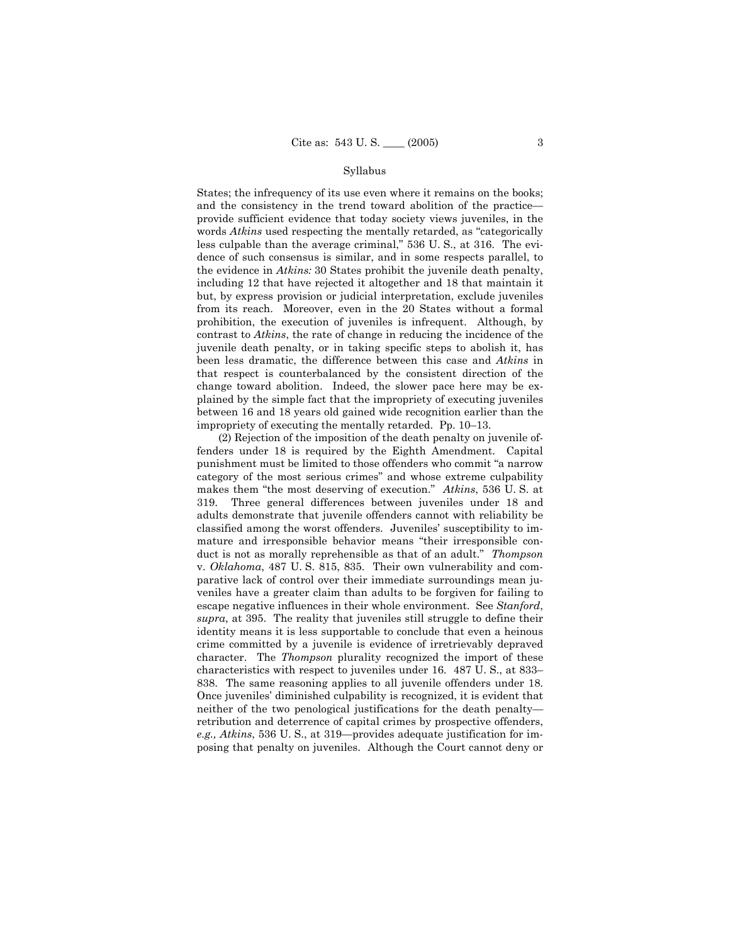States; the infrequency of its use even where it remains on the books; and the consistency in the trend toward abolition of the practice provide sufficient evidence that today society views juveniles, in the words *Atkins* used respecting the mentally retarded, as "categorically less culpable than the average criminal," 536 U. S., at 316. The evidence of such consensus is similar, and in some respects parallel, to the evidence in *Atkins:* 30 States prohibit the juvenile death penalty, including 12 that have rejected it altogether and 18 that maintain it but, by express provision or judicial interpretation, exclude juveniles from its reach. Moreover, even in the 20 States without a formal prohibition, the execution of juveniles is infrequent. Although, by contrast to *Atkins*, the rate of change in reducing the incidence of the juvenile death penalty, or in taking specific steps to abolish it, has been less dramatic, the difference between this case and *Atkins* in that respect is counterbalanced by the consistent direction of the change toward abolition. Indeed, the slower pace here may be explained by the simple fact that the impropriety of executing juveniles between 16 and 18 years old gained wide recognition earlier than the impropriety of executing the mentally retarded. Pp. 10–13.

(2) Rejection of the imposition of the death penalty on juvenile offenders under 18 is required by the Eighth Amendment. Capital punishment must be limited to those offenders who commit "a narrow category of the most serious crimes" and whose extreme culpability makes them "the most deserving of execution." *Atkins*, 536 U. S. at 319. Three general differences between juveniles under 18 and adults demonstrate that juvenile offenders cannot with reliability be classified among the worst offenders. Juveniles' susceptibility to immature and irresponsible behavior means "their irresponsible conduct is not as morally reprehensible as that of an adult." *Thompson*  v. *Oklahoma*, 487 U. S. 815, 835. Their own vulnerability and comparative lack of control over their immediate surroundings mean juveniles have a greater claim than adults to be forgiven for failing to escape negative influences in their whole environment. See *Stanford*, *supra*, at 395. The reality that juveniles still struggle to define their identity means it is less supportable to conclude that even a heinous crime committed by a juvenile is evidence of irretrievably depraved character. The *Thompson* plurality recognized the import of these characteristics with respect to juveniles under 16. 487 U. S., at 833– 838. The same reasoning applies to all juvenile offenders under 18. Once juveniles' diminished culpability is recognized, it is evident that neither of the two penological justifications for the death penalty retribution and deterrence of capital crimes by prospective offenders, *e.g., Atkins*, 536 U. S., at 319—provides adequate justification for imposing that penalty on juveniles. Although the Court cannot deny or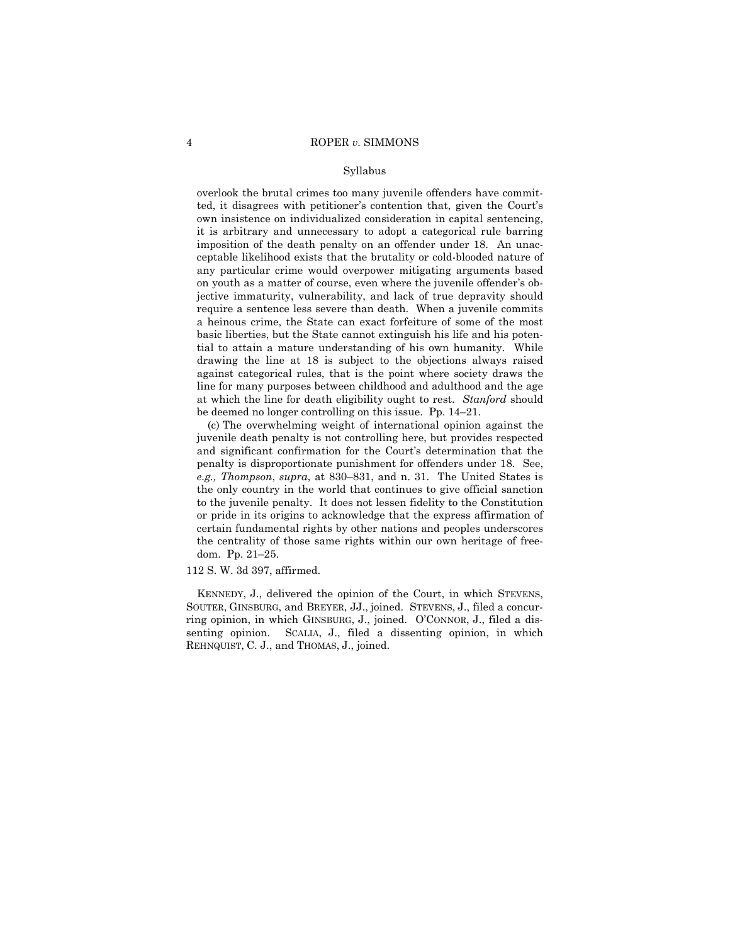overlook the brutal crimes too many juvenile offenders have committed, it disagrees with petitioner's contention that, given the Court's own insistence on individualized consideration in capital sentencing, it is arbitrary and unnecessary to adopt a categorical rule barring imposition of the death penalty on an offender under 18. An unacceptable likelihood exists that the brutality or cold-blooded nature of any particular crime would overpower mitigating arguments based on youth as a matter of course, even where the juvenile offender's objective immaturity, vulnerability, and lack of true depravity should require a sentence less severe than death. When a juvenile commits a heinous crime, the State can exact forfeiture of some of the most basic liberties, but the State cannot extinguish his life and his potential to attain a mature understanding of his own humanity. While drawing the line at 18 is subject to the objections always raised against categorical rules, that is the point where society draws the line for many purposes between childhood and adulthood and the age at which the line for death eligibility ought to rest. *Stanford* should be deemed no longer controlling on this issue. Pp. 14–21.

(c) The overwhelming weight of international opinion against the juvenile death penalty is not controlling here, but provides respected and significant confirmation for the Court's determination that the penalty is disproportionate punishment for offenders under 18. See, *e.g., Thompson*, *supra*, at 830–831, and n. 31. The United States is the only country in the world that continues to give official sanction to the juvenile penalty. It does not lessen fidelity to the Constitution or pride in its origins to acknowledge that the express affirmation of certain fundamental rights by other nations and peoples underscores the centrality of those same rights within our own heritage of freedom. Pp. 21–25.

## 112 S. W. 3d 397, affirmed.

KENNEDY, J., delivered the opinion of the Court, in which STEVENS, SOUTER, GINSBURG, and BREYER, JJ., joined. STEVENS, J., filed a concurring opinion, in which GINSBURG, J., joined. O'CONNOR, J., filed a dissenting opinion. SCALIA, J., filed a dissenting opinion, in which REHNQUIST, C. J., and THOMAS, J., joined.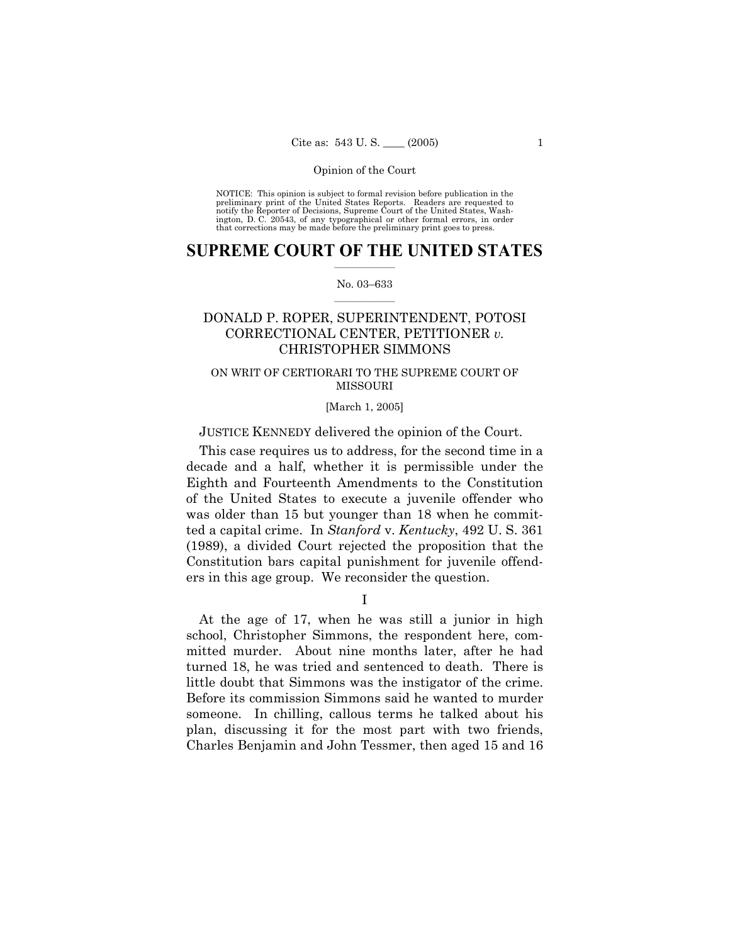NOTICE: This opinion is subject to formal revision before publication in the preliminary print of the United States Reports. Readers are requested to notify the Reporter of Decisions, Supreme Court of the United States, Washington, D. C. 20543, of any typographical or other formal errors, in order that corrections may be made before the preliminary print goes to press.

## $\frac{1}{2}$  ,  $\frac{1}{2}$  ,  $\frac{1}{2}$  ,  $\frac{1}{2}$  ,  $\frac{1}{2}$  ,  $\frac{1}{2}$  ,  $\frac{1}{2}$ **SUPREME COURT OF THE UNITED STATES**

## $\mathcal{L}=\mathcal{L}$ No. 03–633

# DONALD P. ROPER, SUPERINTENDENT, POTOSI CORRECTIONAL CENTER, PETITIONER *v.*  CHRISTOPHER SIMMONS

## ON WRIT OF CERTIORARI TO THE SUPREME COURT OF MISSOURI

## [March 1, 2005]

# JUSTICE KENNEDY delivered the opinion of the Court.

This case requires us to address, for the second time in a decade and a half, whether it is permissible under the Eighth and Fourteenth Amendments to the Constitution of the United States to execute a juvenile offender who was older than 15 but younger than 18 when he committed a capital crime. In *Stanford* v. *Kentucky*, 492 U. S. 361 (1989), a divided Court rejected the proposition that the Constitution bars capital punishment for juvenile offenders in this age group. We reconsider the question.

I

At the age of 17, when he was still a junior in high school, Christopher Simmons, the respondent here, committed murder. About nine months later, after he had turned 18, he was tried and sentenced to death. There is little doubt that Simmons was the instigator of the crime. Before its commission Simmons said he wanted to murder someone. In chilling, callous terms he talked about his plan, discussing it for the most part with two friends, Charles Benjamin and John Tessmer, then aged 15 and 16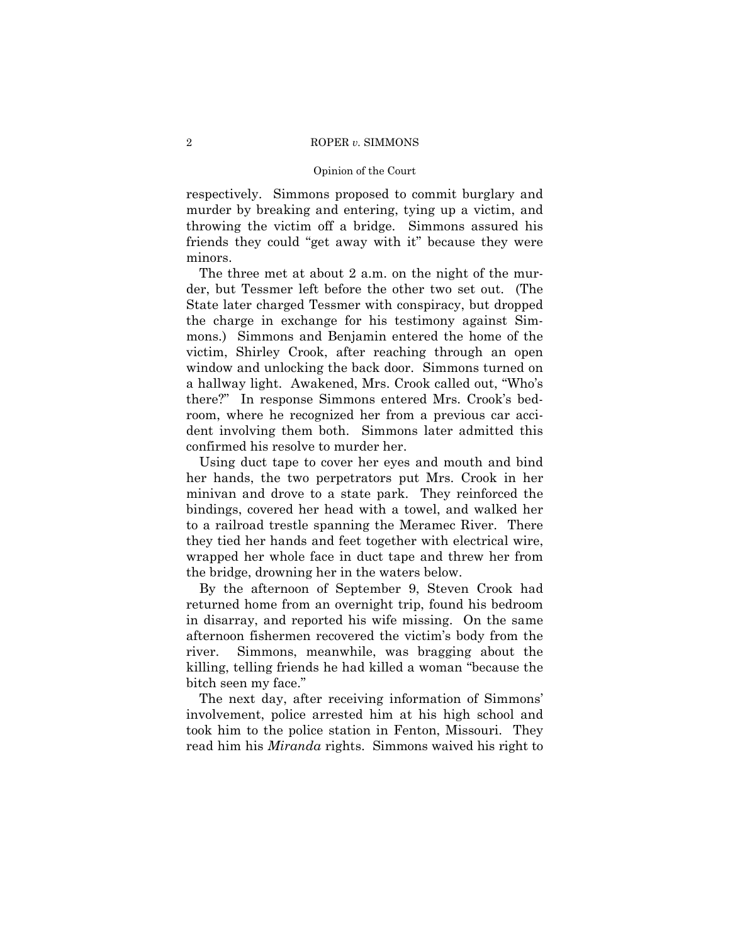## Opinion of the Court

respectively. Simmons proposed to commit burglary and murder by breaking and entering, tying up a victim, and throwing the victim off a bridge. Simmons assured his friends they could "get away with it" because they were minors.

The three met at about 2 a.m. on the night of the murder, but Tessmer left before the other two set out. (The State later charged Tessmer with conspiracy, but dropped the charge in exchange for his testimony against Simmons.) Simmons and Benjamin entered the home of the victim, Shirley Crook, after reaching through an open window and unlocking the back door. Simmons turned on a hallway light. Awakened, Mrs. Crook called out, "Who's there?" In response Simmons entered Mrs. Crook's bedroom, where he recognized her from a previous car accident involving them both. Simmons later admitted this confirmed his resolve to murder her.

Using duct tape to cover her eyes and mouth and bind her hands, the two perpetrators put Mrs. Crook in her minivan and drove to a state park. They reinforced the bindings, covered her head with a towel, and walked her to a railroad trestle spanning the Meramec River. There they tied her hands and feet together with electrical wire, wrapped her whole face in duct tape and threw her from the bridge, drowning her in the waters below.

By the afternoon of September 9, Steven Crook had returned home from an overnight trip, found his bedroom in disarray, and reported his wife missing. On the same afternoon fishermen recovered the victim's body from the river. Simmons, meanwhile, was bragging about the killing, telling friends he had killed a woman "because the bitch seen my face."

The next day, after receiving information of Simmons' involvement, police arrested him at his high school and took him to the police station in Fenton, Missouri. They read him his *Miranda* rights. Simmons waived his right to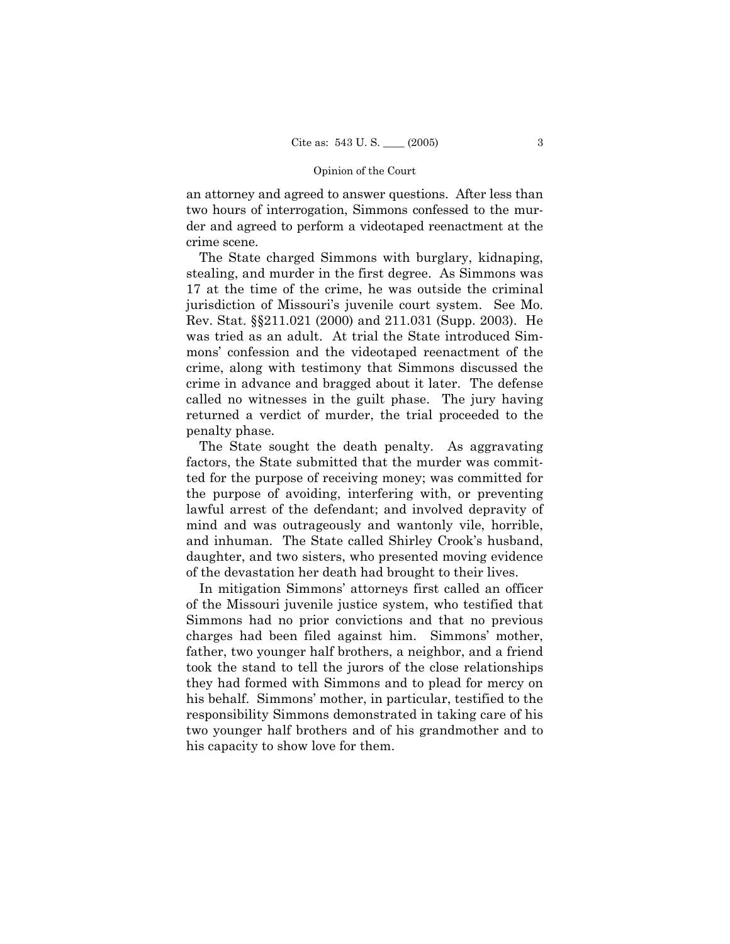an attorney and agreed to answer questions. After less than two hours of interrogation, Simmons confessed to the murder and agreed to perform a videotaped reenactment at the crime scene.

The State charged Simmons with burglary, kidnaping, stealing, and murder in the first degree. As Simmons was 17 at the time of the crime, he was outside the criminal jurisdiction of Missouri's juvenile court system. See Mo. Rev. Stat. §§211.021 (2000) and 211.031 (Supp. 2003). He was tried as an adult. At trial the State introduced Simmons' confession and the videotaped reenactment of the crime, along with testimony that Simmons discussed the crime in advance and bragged about it later. The defense called no witnesses in the guilt phase. The jury having returned a verdict of murder, the trial proceeded to the penalty phase.

The State sought the death penalty. As aggravating factors, the State submitted that the murder was committed for the purpose of receiving money; was committed for the purpose of avoiding, interfering with, or preventing lawful arrest of the defendant; and involved depravity of mind and was outrageously and wantonly vile, horrible, and inhuman. The State called Shirley Crook's husband, daughter, and two sisters, who presented moving evidence of the devastation her death had brought to their lives.

In mitigation Simmons' attorneys first called an officer of the Missouri juvenile justice system, who testified that Simmons had no prior convictions and that no previous charges had been filed against him. Simmons' mother, father, two younger half brothers, a neighbor, and a friend took the stand to tell the jurors of the close relationships they had formed with Simmons and to plead for mercy on his behalf. Simmons' mother, in particular, testified to the responsibility Simmons demonstrated in taking care of his two younger half brothers and of his grandmother and to his capacity to show love for them.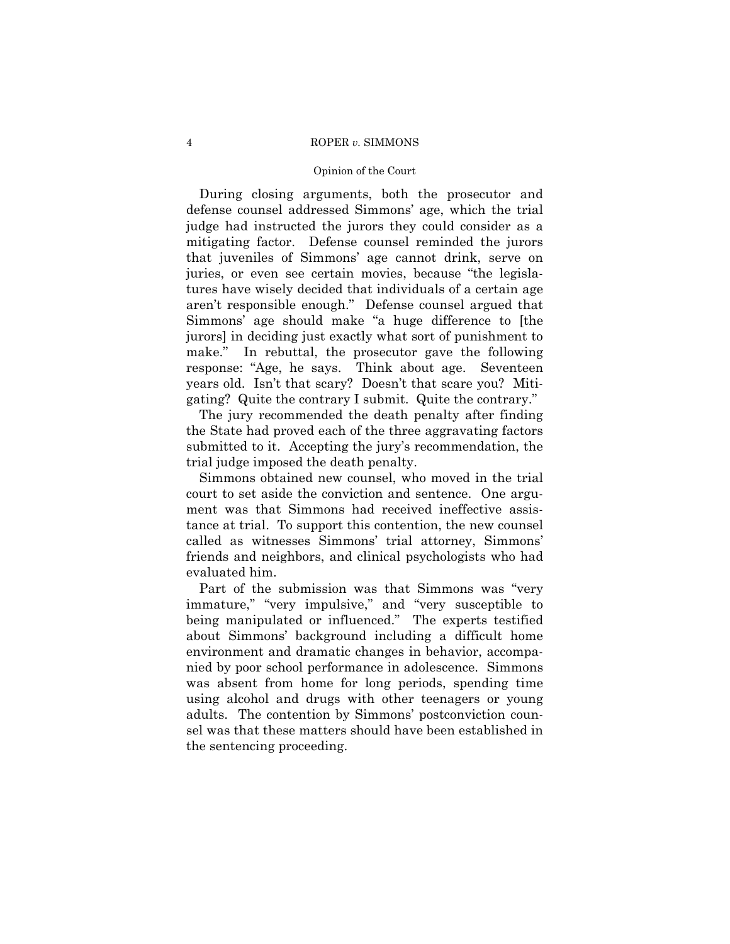## Opinion of the Court

During closing arguments, both the prosecutor and defense counsel addressed Simmons' age, which the trial judge had instructed the jurors they could consider as a mitigating factor. Defense counsel reminded the jurors that juveniles of Simmons' age cannot drink, serve on juries, or even see certain movies, because "the legislatures have wisely decided that individuals of a certain age aren't responsible enough." Defense counsel argued that Simmons' age should make "a huge difference to [the jurors] in deciding just exactly what sort of punishment to make." In rebuttal, the prosecutor gave the following response: "Age, he says. Think about age. Seventeen years old. Isn't that scary? Doesn't that scare you? Mitigating? Quite the contrary I submit. Quite the contrary."

The jury recommended the death penalty after finding the State had proved each of the three aggravating factors submitted to it. Accepting the jury's recommendation, the trial judge imposed the death penalty.

Simmons obtained new counsel, who moved in the trial court to set aside the conviction and sentence. One argument was that Simmons had received ineffective assistance at trial. To support this contention, the new counsel called as witnesses Simmons' trial attorney, Simmons' friends and neighbors, and clinical psychologists who had evaluated him.

Part of the submission was that Simmons was "very immature," "very impulsive," and "very susceptible to being manipulated or influenced." The experts testified about Simmons' background including a difficult home environment and dramatic changes in behavior, accompanied by poor school performance in adolescence. Simmons was absent from home for long periods, spending time using alcohol and drugs with other teenagers or young adults. The contention by Simmons' postconviction counsel was that these matters should have been established in the sentencing proceeding.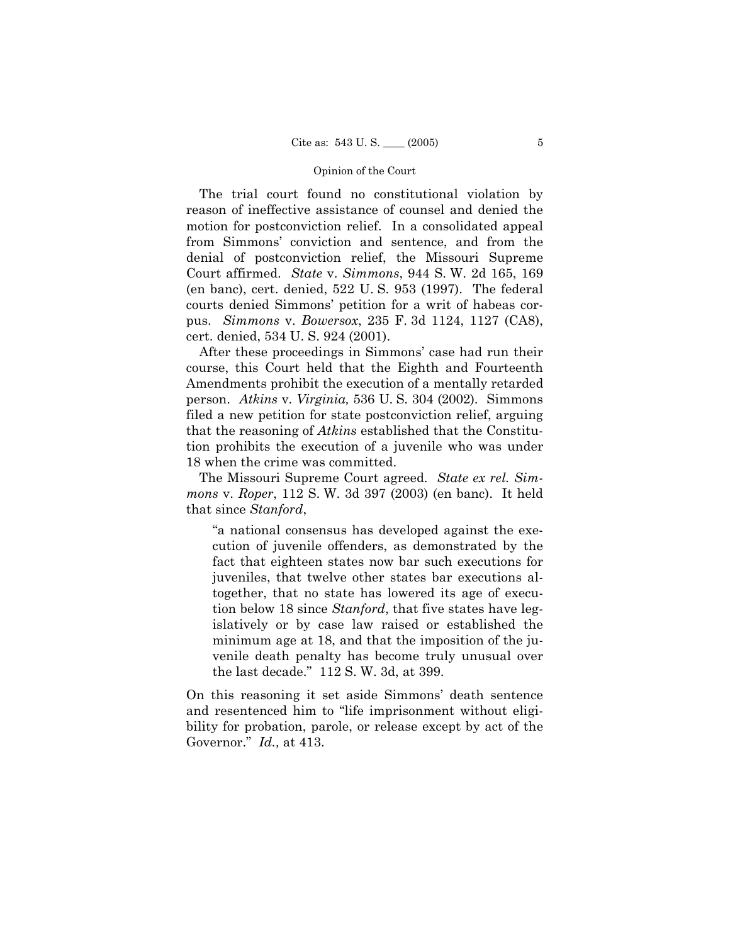The trial court found no constitutional violation by reason of ineffective assistance of counsel and denied the motion for postconviction relief. In a consolidated appeal from Simmons' conviction and sentence, and from the denial of postconviction relief, the Missouri Supreme Court affirmed. *State* v. *Simmons*, 944 S. W. 2d 165, 169 (en banc), cert. denied, 522 U. S. 953 (1997). The federal courts denied Simmons' petition for a writ of habeas corpus. *Simmons* v. *Bowersox*, 235 F. 3d 1124, 1127 (CA8), cert. denied, 534 U. S. 924 (2001).

After these proceedings in Simmons' case had run their course, this Court held that the Eighth and Fourteenth Amendments prohibit the execution of a mentally retarded person. *Atkins* v. *Virginia,* 536 U. S. 304 (2002). Simmons filed a new petition for state postconviction relief, arguing that the reasoning of *Atkins* established that the Constitution prohibits the execution of a juvenile who was under 18 when the crime was committed.

The Missouri Supreme Court agreed. *State ex rel. Simmons* v. *Roper*, 112 S. W. 3d 397 (2003) (en banc). It held that since *Stanford*,

"a national consensus has developed against the execution of juvenile offenders, as demonstrated by the fact that eighteen states now bar such executions for juveniles, that twelve other states bar executions altogether, that no state has lowered its age of execution below 18 since *Stanford*, that five states have legislatively or by case law raised or established the minimum age at 18, and that the imposition of the juvenile death penalty has become truly unusual over the last decade." 112 S. W. 3d, at 399.

On this reasoning it set aside Simmons' death sentence and resentenced him to "life imprisonment without eligibility for probation, parole, or release except by act of the Governor." *Id.,* at 413.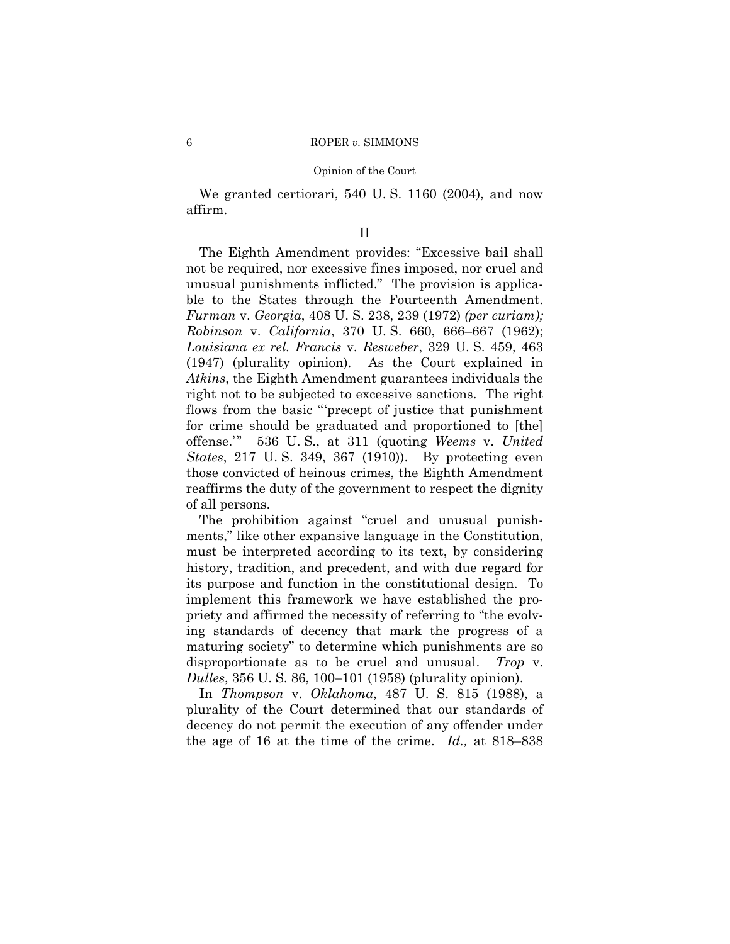We granted certiorari, 540 U. S. 1160 (2004), and now affirm.

## II

The Eighth Amendment provides: "Excessive bail shall not be required, nor excessive fines imposed, nor cruel and unusual punishments inflicted." The provision is applicable to the States through the Fourteenth Amendment. *Furman* v. *Georgia*, 408 U. S. 238, 239 (1972) *(per curiam); Robinson* v. *California*, 370 U. S. 660, 666–667 (1962); *Louisiana ex rel. Francis* v. *Resweber*, 329 U. S. 459, 463 (1947) (plurality opinion). As the Court explained in *Atkins*, the Eighth Amendment guarantees individuals the right not to be subjected to excessive sanctions. The right flows from the basic " 'precept of justice that punishment for crime should be graduated and proportioned to [the] offense.' " 536 U. S., at 311 (quoting *Weems* v. *United States*, 217 U. S. 349, 367 (1910)). By protecting even those convicted of heinous crimes, the Eighth Amendment reaffirms the duty of the government to respect the dignity of all persons.

The prohibition against "cruel and unusual punishments," like other expansive language in the Constitution, must be interpreted according to its text, by considering history, tradition, and precedent, and with due regard for its purpose and function in the constitutional design. To implement this framework we have established the propriety and affirmed the necessity of referring to "the evolving standards of decency that mark the progress of a maturing society" to determine which punishments are so disproportionate as to be cruel and unusual. *Trop* v. *Dulles*, 356 U. S. 86, 100–101 (1958) (plurality opinion).

In *Thompson* v. *Oklahoma*, 487 U. S. 815 (1988), a plurality of the Court determined that our standards of decency do not permit the execution of any offender under the age of 16 at the time of the crime. *Id.,* at 818–838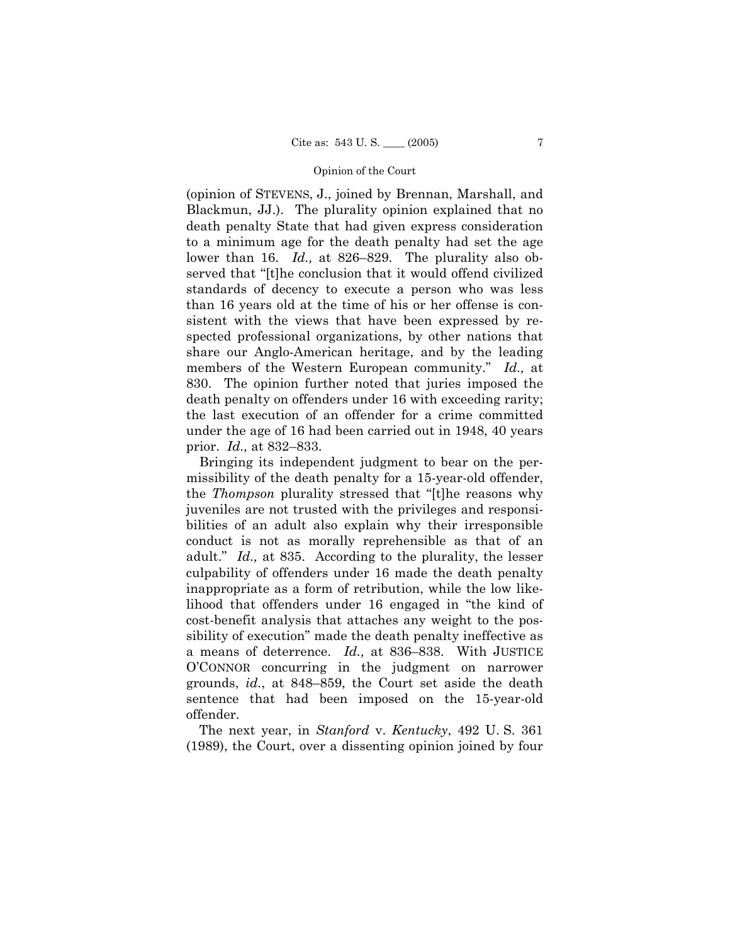(opinion of STEVENS, J., joined by Brennan, Marshall, and Blackmun, JJ.). The plurality opinion explained that no death penalty State that had given express consideration to a minimum age for the death penalty had set the age lower than 16. *Id.,* at 826–829. The plurality also observed that "[t]he conclusion that it would offend civilized standards of decency to execute a person who was less than 16 years old at the time of his or her offense is consistent with the views that have been expressed by respected professional organizations, by other nations that share our Anglo-American heritage, and by the leading members of the Western European community." *Id.,* at 830. The opinion further noted that juries imposed the death penalty on offenders under 16 with exceeding rarity; the last execution of an offender for a crime committed under the age of 16 had been carried out in 1948, 40 years prior. *Id.,* at 832–833.

Bringing its independent judgment to bear on the permissibility of the death penalty for a 15-year-old offender, the *Thompson* plurality stressed that "[t]he reasons why juveniles are not trusted with the privileges and responsibilities of an adult also explain why their irresponsible conduct is not as morally reprehensible as that of an adult." *Id.,* at 835. According to the plurality, the lesser culpability of offenders under 16 made the death penalty inappropriate as a form of retribution, while the low likelihood that offenders under 16 engaged in "the kind of cost-benefit analysis that attaches any weight to the possibility of execution" made the death penalty ineffective as a means of deterrence. *Id.,* at 836–838. With JUSTICE O'CONNOR concurring in the judgment on narrower grounds, *id.*, at 848–859, the Court set aside the death sentence that had been imposed on the 15-year-old offender.

The next year, in *Stanford* v. *Kentucky*, 492 U. S. 361 (1989), the Court, over a dissenting opinion joined by four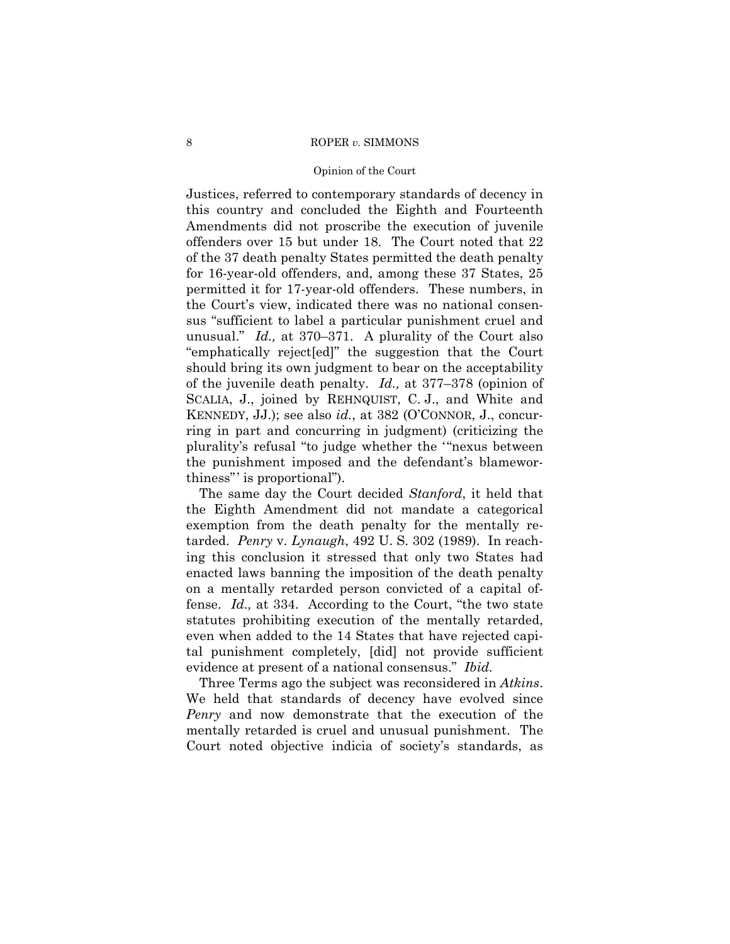## Opinion of the Court

Justices, referred to contemporary standards of decency in this country and concluded the Eighth and Fourteenth Amendments did not proscribe the execution of juvenile offenders over 15 but under 18. The Court noted that 22 of the 37 death penalty States permitted the death penalty for 16-year-old offenders, and, among these 37 States, 25 permitted it for 17-year-old offenders. These numbers, in the Court's view, indicated there was no national consensus "sufficient to label a particular punishment cruel and unusual." *Id.,* at 370–371. A plurality of the Court also "emphatically reject[ed]" the suggestion that the Court should bring its own judgment to bear on the acceptability of the juvenile death penalty. *Id.,* at 377–378 (opinion of SCALIA, J., joined by REHNQUIST, C. J., and White and KENNEDY, JJ.); see also *id.*, at 382 (O'CONNOR, J., concurring in part and concurring in judgment) (criticizing the plurality's refusal "to judge whether the '"nexus between the punishment imposed and the defendant's blameworthiness" ' is proportional").

The same day the Court decided *Stanford*, it held that the Eighth Amendment did not mandate a categorical exemption from the death penalty for the mentally retarded. *Penry* v. *Lynaugh*, 492 U. S. 302 (1989). In reaching this conclusion it stressed that only two States had enacted laws banning the imposition of the death penalty on a mentally retarded person convicted of a capital offense. *Id.,* at 334. According to the Court, "the two state statutes prohibiting execution of the mentally retarded, even when added to the 14 States that have rejected capital punishment completely, [did] not provide sufficient evidence at present of a national consensus." *Ibid.* 

Three Terms ago the subject was reconsidered in *Atkins*. We held that standards of decency have evolved since *Penry* and now demonstrate that the execution of the mentally retarded is cruel and unusual punishment. The Court noted objective indicia of society's standards, as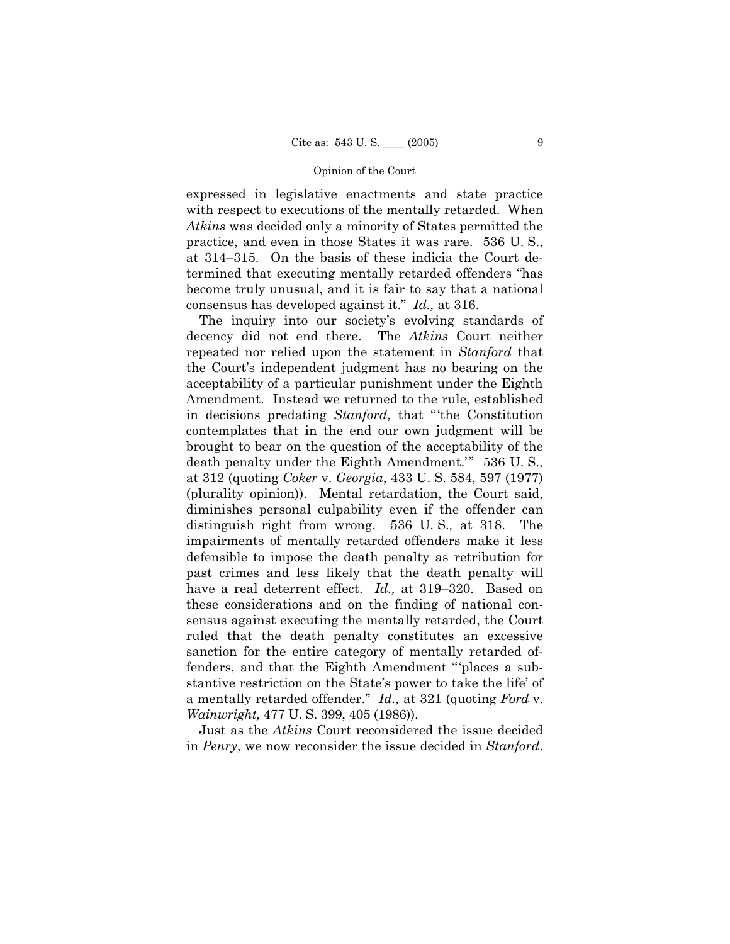expressed in legislative enactments and state practice with respect to executions of the mentally retarded. When *Atkins* was decided only a minority of States permitted the practice, and even in those States it was rare. 536 U. S., at 314–315. On the basis of these indicia the Court determined that executing mentally retarded offenders "has become truly unusual, and it is fair to say that a national consensus has developed against it." *Id.,* at 316.

The inquiry into our society's evolving standards of decency did not end there. The *Atkins* Court neither repeated nor relied upon the statement in *Stanford* that the Court's independent judgment has no bearing on the acceptability of a particular punishment under the Eighth Amendment. Instead we returned to the rule, established in decisions predating *Stanford*, that "the Constitution contemplates that in the end our own judgment will be brought to bear on the question of the acceptability of the death penalty under the Eighth Amendment.'" 536 U. S.*,*  at 312 (quoting *Coker* v. *Georgia*, 433 U. S. 584, 597 (1977) (plurality opinion)). Mental retardation, the Court said, diminishes personal culpability even if the offender can distinguish right from wrong. 536 U. S.*,* at 318. The impairments of mentally retarded offenders make it less defensible to impose the death penalty as retribution for past crimes and less likely that the death penalty will have a real deterrent effect. *Id.,* at 319–320. Based on these considerations and on the finding of national consensus against executing the mentally retarded, the Court ruled that the death penalty constitutes an excessive sanction for the entire category of mentally retarded offenders, and that the Eighth Amendment "'places a substantive restriction on the State's power to take the life' of a mentally retarded offender." *Id.,* at 321 (quoting *Ford* v. *Wainwright,* 477 U. S. 399, 405 (1986)).

Just as the *Atkins* Court reconsidered the issue decided in *Penry*, we now reconsider the issue decided in *Stanford*.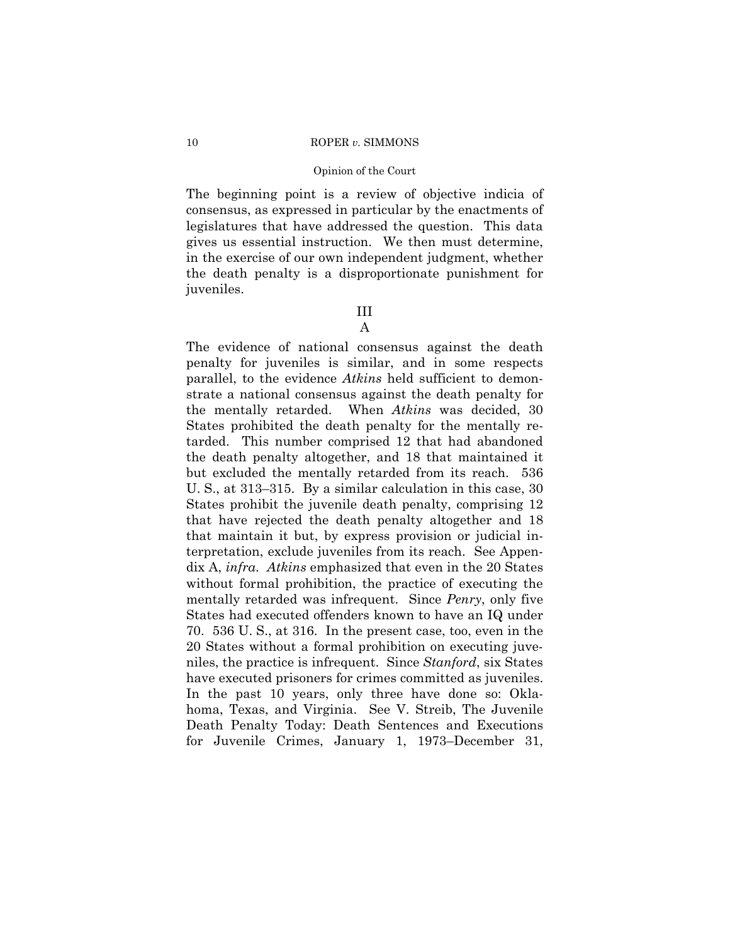## Opinion of the Court

The beginning point is a review of objective indicia of consensus, as expressed in particular by the enactments of legislatures that have addressed the question. This data gives us essential instruction. We then must determine, in the exercise of our own independent judgment, whether the death penalty is a disproportionate punishment for juveniles.

## III

## A

The evidence of national consensus against the death penalty for juveniles is similar, and in some respects parallel, to the evidence *Atkins* held sufficient to demonstrate a national consensus against the death penalty for the mentally retarded. When *Atkins* was decided, 30 States prohibited the death penalty for the mentally retarded. This number comprised 12 that had abandoned the death penalty altogether, and 18 that maintained it but excluded the mentally retarded from its reach. 536 U. S., at 313–315. By a similar calculation in this case, 30 States prohibit the juvenile death penalty, comprising 12 that have rejected the death penalty altogether and 18 that maintain it but, by express provision or judicial interpretation, exclude juveniles from its reach. See Appendix A, *infra*. *Atkins* emphasized that even in the 20 States without formal prohibition, the practice of executing the mentally retarded was infrequent. Since *Penry*, only five States had executed offenders known to have an IQ under 70. 536 U. S., at 316. In the present case, too, even in the 20 States without a formal prohibition on executing juveniles, the practice is infrequent. Since *Stanford*, six States have executed prisoners for crimes committed as juveniles. In the past 10 years, only three have done so: Oklahoma, Texas, and Virginia. See V. Streib, The Juvenile Death Penalty Today: Death Sentences and Executions for Juvenile Crimes, January 1, 1973–December 31,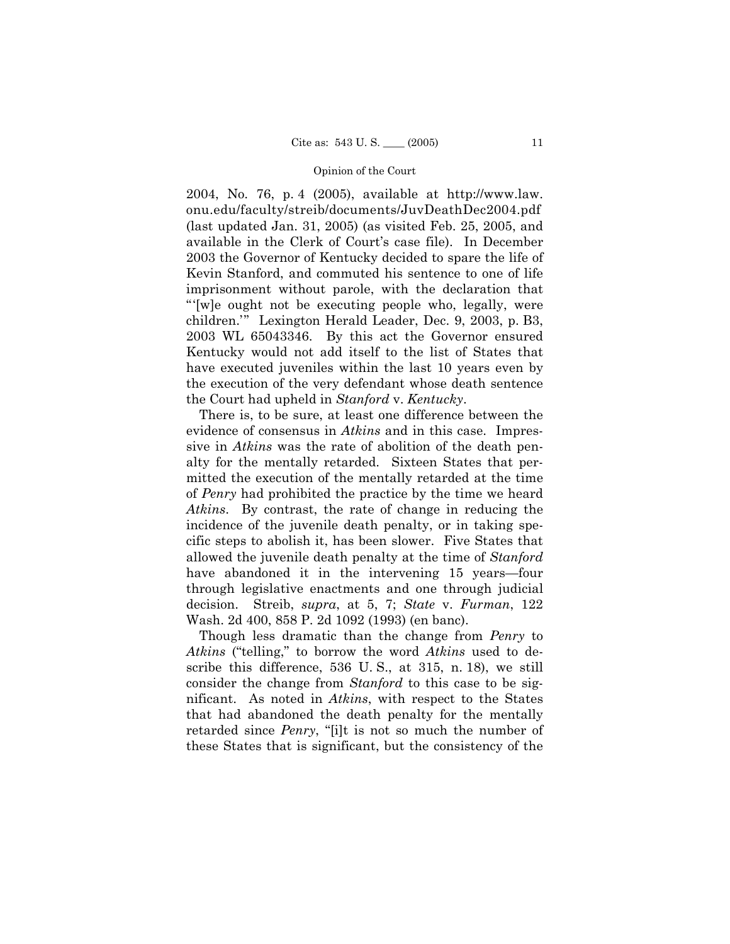2004, No. 76, p. 4 (2005), available at http://www.law. onu.edu/faculty/streib/documents/JuvDeathDec2004.pdf (last updated Jan. 31, 2005) (as visited Feb. 25, 2005, and available in the Clerk of Court's case file). In December 2003 the Governor of Kentucky decided to spare the life of Kevin Stanford, and commuted his sentence to one of life imprisonment without parole, with the declaration that " [w]e ought not be executing people who, legally, were children.'" Lexington Herald Leader, Dec. 9, 2003, p. B3, 2003 WL 65043346. By this act the Governor ensured Kentucky would not add itself to the list of States that have executed juveniles within the last 10 years even by the execution of the very defendant whose death sentence the Court had upheld in *Stanford* v. *Kentucky*.

There is, to be sure, at least one difference between the evidence of consensus in *Atkins* and in this case. Impressive in *Atkins* was the rate of abolition of the death penalty for the mentally retarded. Sixteen States that permitted the execution of the mentally retarded at the time of *Penry* had prohibited the practice by the time we heard *Atkins*. By contrast, the rate of change in reducing the incidence of the juvenile death penalty, or in taking specific steps to abolish it, has been slower. Five States that allowed the juvenile death penalty at the time of *Stanford*  have abandoned it in the intervening 15 years—four through legislative enactments and one through judicial decision. Streib, *supra*, at 5, 7; *State* v. *Furman*, 122 Wash. 2d 400, 858 P. 2d 1092 (1993) (en banc).

Though less dramatic than the change from *Penry* to *Atkins* ("telling," to borrow the word *Atkins* used to describe this difference, 536 U. S., at 315, n. 18), we still consider the change from *Stanford* to this case to be significant. As noted in *Atkins*, with respect to the States that had abandoned the death penalty for the mentally retarded since *Penry*, "[i]t is not so much the number of these States that is significant, but the consistency of the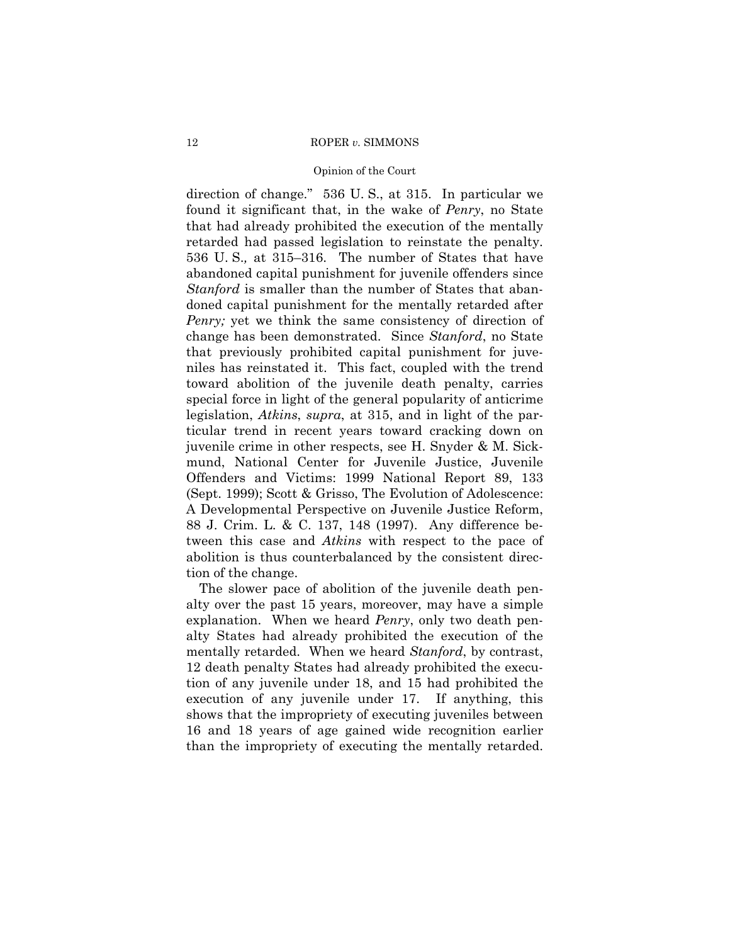## Opinion of the Court

direction of change." 536 U. S., at 315. In particular we found it significant that, in the wake of *Penry*, no State that had already prohibited the execution of the mentally retarded had passed legislation to reinstate the penalty. 536 U. S.*,* at 315–316. The number of States that have abandoned capital punishment for juvenile offenders since *Stanford* is smaller than the number of States that abandoned capital punishment for the mentally retarded after *Penry;* yet we think the same consistency of direction of change has been demonstrated. Since *Stanford*, no State that previously prohibited capital punishment for juveniles has reinstated it. This fact, coupled with the trend toward abolition of the juvenile death penalty, carries special force in light of the general popularity of anticrime legislation, *Atkins*, *supra*, at 315, and in light of the particular trend in recent years toward cracking down on juvenile crime in other respects, see H. Snyder & M. Sickmund, National Center for Juvenile Justice, Juvenile Offenders and Victims: 1999 National Report 89, 133 (Sept. 1999); Scott & Grisso, The Evolution of Adolescence: A Developmental Perspective on Juvenile Justice Reform, 88 J. Crim. L. & C. 137, 148 (1997). Any difference between this case and *Atkins* with respect to the pace of abolition is thus counterbalanced by the consistent direction of the change.

The slower pace of abolition of the juvenile death penalty over the past 15 years, moreover, may have a simple explanation. When we heard *Penry*, only two death penalty States had already prohibited the execution of the mentally retarded. When we heard *Stanford*, by contrast, 12 death penalty States had already prohibited the execution of any juvenile under 18, and 15 had prohibited the execution of any juvenile under 17. If anything, this shows that the impropriety of executing juveniles between 16 and 18 years of age gained wide recognition earlier than the impropriety of executing the mentally retarded.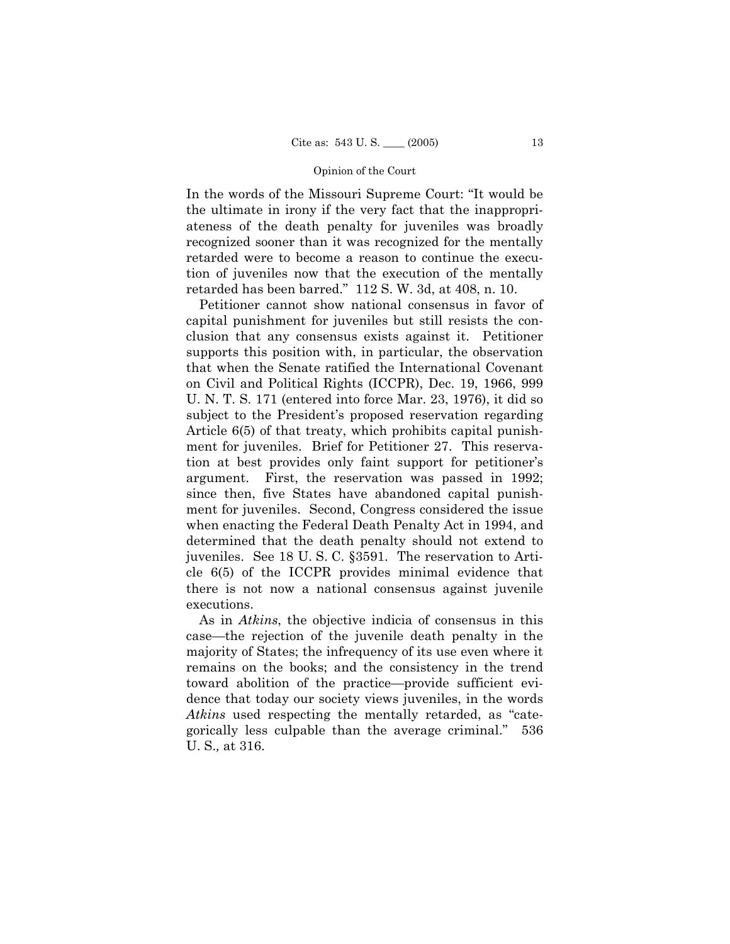In the words of the Missouri Supreme Court: "It would be the ultimate in irony if the very fact that the inappropriateness of the death penalty for juveniles was broadly recognized sooner than it was recognized for the mentally retarded were to become a reason to continue the execution of juveniles now that the execution of the mentally retarded has been barred." 112 S. W. 3d, at 408, n. 10.

Petitioner cannot show national consensus in favor of capital punishment for juveniles but still resists the conclusion that any consensus exists against it. Petitioner supports this position with, in particular, the observation that when the Senate ratified the International Covenant on Civil and Political Rights (ICCPR), Dec. 19, 1966, 999 U. N. T. S. 171 (entered into force Mar. 23, 1976), it did so subject to the President's proposed reservation regarding Article 6(5) of that treaty, which prohibits capital punishment for juveniles. Brief for Petitioner 27. This reservation at best provides only faint support for petitioner's argument. First, the reservation was passed in 1992; since then, five States have abandoned capital punishment for juveniles. Second, Congress considered the issue when enacting the Federal Death Penalty Act in 1994, and determined that the death penalty should not extend to juveniles. See 18 U. S. C. §3591. The reservation to Article 6(5) of the ICCPR provides minimal evidence that there is not now a national consensus against juvenile executions.

 As in *Atkins*, the objective indicia of consensus in this case—the rejection of the juvenile death penalty in the majority of States; the infrequency of its use even where it remains on the books; and the consistency in the trend toward abolition of the practice—provide sufficient evidence that today our society views juveniles, in the words *Atkins* used respecting the mentally retarded, as "categorically less culpable than the average criminal." 536 U. S.*,* at 316.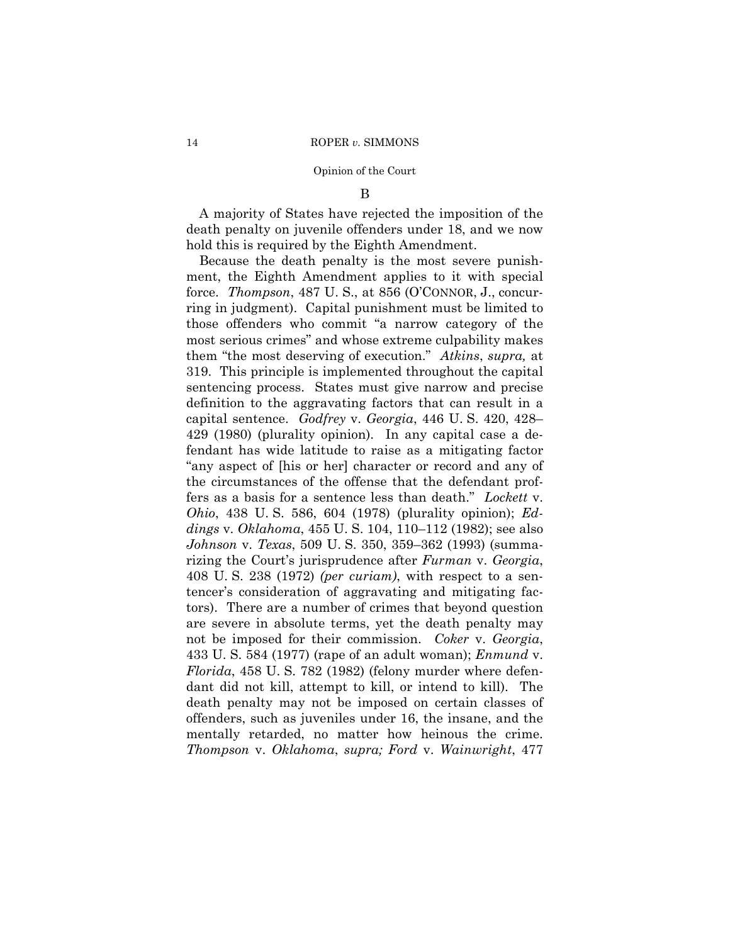B

A majority of States have rejected the imposition of the death penalty on juvenile offenders under 18, and we now hold this is required by the Eighth Amendment.

Because the death penalty is the most severe punishment, the Eighth Amendment applies to it with special force. *Thompson*, 487 U. S., at 856 (O'CONNOR, J., concurring in judgment). Capital punishment must be limited to those offenders who commit "a narrow category of the most serious crimes" and whose extreme culpability makes them "the most deserving of execution." *Atkins*, *supra,* at 319. This principle is implemented throughout the capital sentencing process. States must give narrow and precise definition to the aggravating factors that can result in a capital sentence. *Godfrey* v. *Georgia*, 446 U. S. 420, 428– 429 (1980) (plurality opinion). In any capital case a defendant has wide latitude to raise as a mitigating factor "any aspect of [his or her] character or record and any of the circumstances of the offense that the defendant proffers as a basis for a sentence less than death." *Lockett* v. *Ohio*, 438 U. S. 586, 604 (1978) (plurality opinion); *Eddings* v. *Oklahoma*, 455 U. S. 104, 110–112 (1982); see also *Johnson* v. *Texas*, 509 U. S. 350, 359–362 (1993) (summarizing the Court's jurisprudence after *Furman* v. *Georgia*, 408 U. S. 238 (1972) *(per curiam)*, with respect to a sentencer's consideration of aggravating and mitigating factors). There are a number of crimes that beyond question are severe in absolute terms, yet the death penalty may not be imposed for their commission. *Coker* v. *Georgia*, 433 U. S. 584 (1977) (rape of an adult woman); *Enmund* v. *Florida*, 458 U. S. 782 (1982) (felony murder where defendant did not kill, attempt to kill, or intend to kill). The death penalty may not be imposed on certain classes of offenders, such as juveniles under 16, the insane, and the mentally retarded, no matter how heinous the crime. *Thompson* v. *Oklahoma*, *supra; Ford* v. *Wainwright*, 477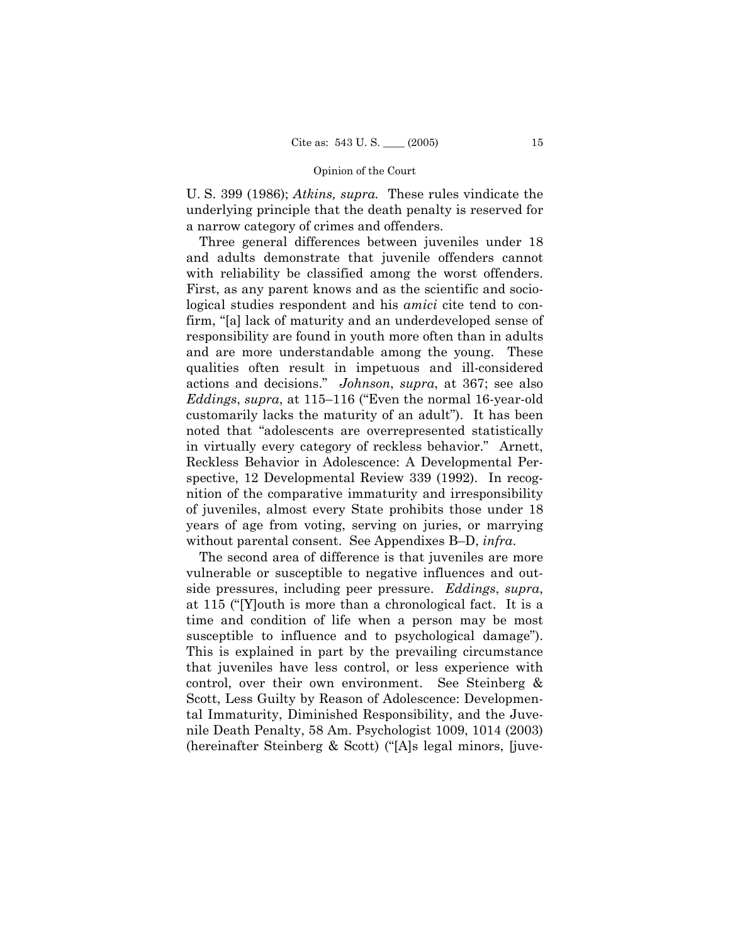U. S. 399 (1986); *Atkins, supra.* These rules vindicate the underlying principle that the death penalty is reserved for a narrow category of crimes and offenders.

Three general differences between juveniles under 18 and adults demonstrate that juvenile offenders cannot with reliability be classified among the worst offenders. First, as any parent knows and as the scientific and sociological studies respondent and his *amici* cite tend to confirm, "[a] lack of maturity and an underdeveloped sense of responsibility are found in youth more often than in adults and are more understandable among the young. These qualities often result in impetuous and ill-considered actions and decisions." *Johnson*, *supra*, at 367; see also *Eddings*, *supra*, at 115–116 ("Even the normal 16-year-old customarily lacks the maturity of an adult"). It has been noted that "adolescents are overrepresented statistically in virtually every category of reckless behavior." Arnett, Reckless Behavior in Adolescence: A Developmental Perspective, 12 Developmental Review 339 (1992). In recognition of the comparative immaturity and irresponsibility of juveniles, almost every State prohibits those under 18 years of age from voting, serving on juries, or marrying without parental consent. See Appendixes B–D, *infra*.

The second area of difference is that juveniles are more vulnerable or susceptible to negative influences and outside pressures, including peer pressure. *Eddings*, *supra*, at 115 ("[Y]outh is more than a chronological fact. It is a time and condition of life when a person may be most susceptible to influence and to psychological damage"). This is explained in part by the prevailing circumstance that juveniles have less control, or less experience with control, over their own environment. See Steinberg & Scott, Less Guilty by Reason of Adolescence: Developmental Immaturity, Diminished Responsibility, and the Juvenile Death Penalty, 58 Am. Psychologist 1009, 1014 (2003) (hereinafter Steinberg & Scott) ("[A]s legal minors, [juve-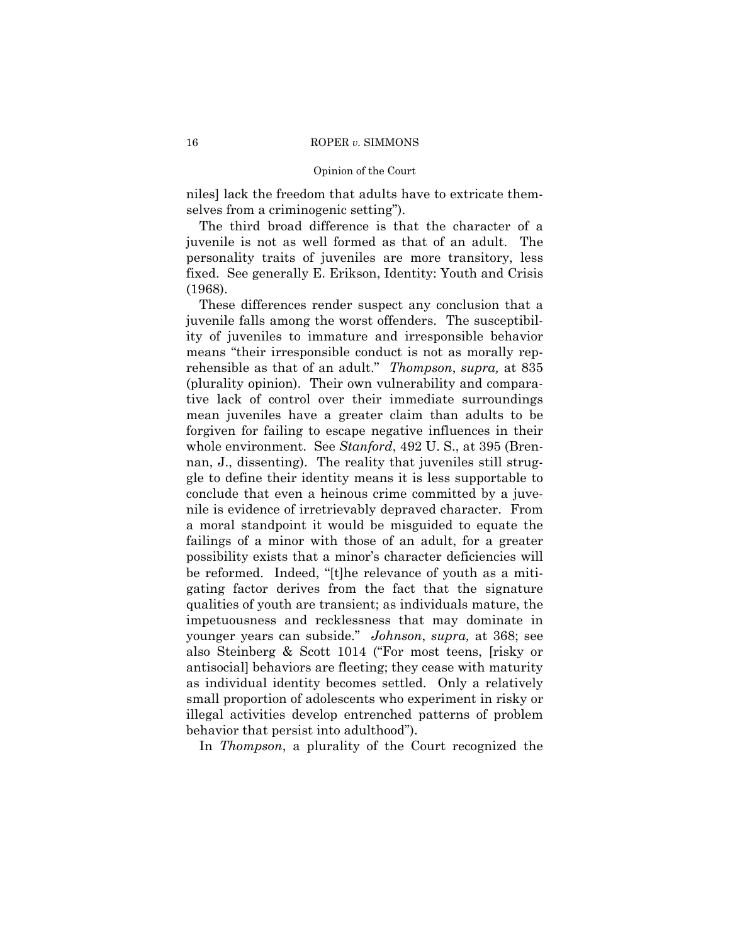niles] lack the freedom that adults have to extricate themselves from a criminogenic setting").

The third broad difference is that the character of a juvenile is not as well formed as that of an adult. The personality traits of juveniles are more transitory, less fixed. See generally E. Erikson, Identity: Youth and Crisis (1968).

These differences render suspect any conclusion that a juvenile falls among the worst offenders. The susceptibility of juveniles to immature and irresponsible behavior means "their irresponsible conduct is not as morally reprehensible as that of an adult." *Thompson*, *supra,* at 835 (plurality opinion). Their own vulnerability and comparative lack of control over their immediate surroundings mean juveniles have a greater claim than adults to be forgiven for failing to escape negative influences in their whole environment. See *Stanford*, 492 U. S., at 395 (Brennan, J., dissenting). The reality that juveniles still struggle to define their identity means it is less supportable to conclude that even a heinous crime committed by a juvenile is evidence of irretrievably depraved character. From a moral standpoint it would be misguided to equate the failings of a minor with those of an adult, for a greater possibility exists that a minor's character deficiencies will be reformed. Indeed, "[t]he relevance of youth as a mitigating factor derives from the fact that the signature qualities of youth are transient; as individuals mature, the impetuousness and recklessness that may dominate in younger years can subside." *Johnson*, *supra,* at 368; see also Steinberg & Scott 1014 ("For most teens, [risky or antisocial] behaviors are fleeting; they cease with maturity as individual identity becomes settled. Only a relatively small proportion of adolescents who experiment in risky or illegal activities develop entrenched patterns of problem behavior that persist into adulthood").

In *Thompson*, a plurality of the Court recognized the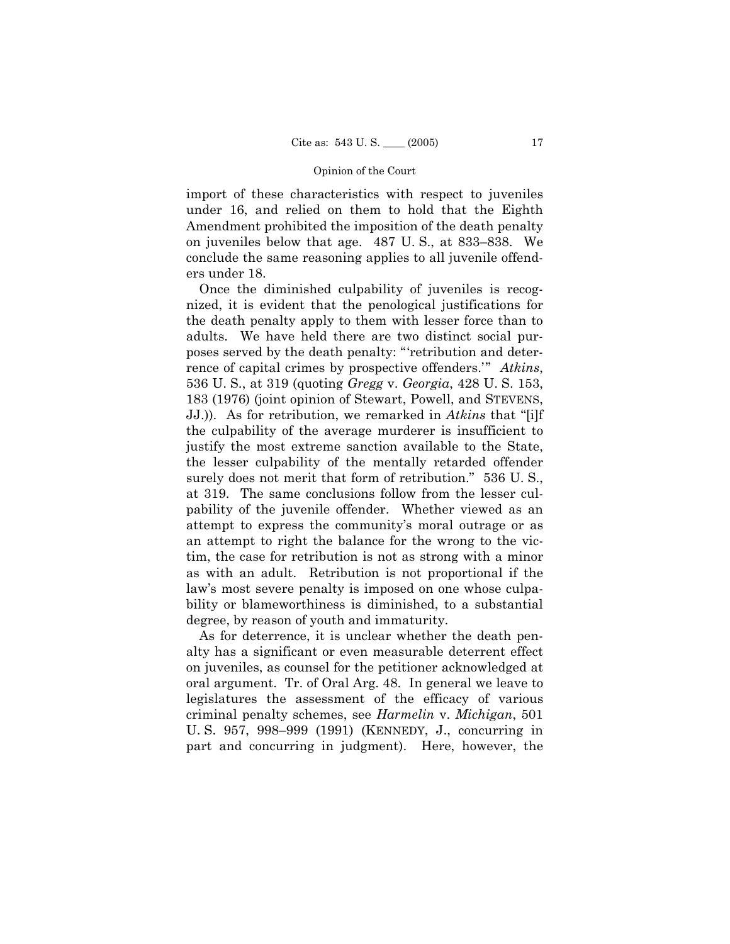import of these characteristics with respect to juveniles under 16, and relied on them to hold that the Eighth Amendment prohibited the imposition of the death penalty on juveniles below that age. 487 U. S., at 833–838. We conclude the same reasoning applies to all juvenile offenders under 18.

Once the diminished culpability of juveniles is recognized, it is evident that the penological justifications for the death penalty apply to them with lesser force than to adults. We have held there are two distinct social purposes served by the death penalty: " 'retribution and deterrence of capital crimes by prospective offenders." Atkins, 536 U. S., at 319 (quoting *Gregg* v. *Georgia*, 428 U. S. 153, 183 (1976) (joint opinion of Stewart, Powell, and STEVENS, JJ.)). As for retribution, we remarked in *Atkins* that "[i]f the culpability of the average murderer is insufficient to justify the most extreme sanction available to the State, the lesser culpability of the mentally retarded offender surely does not merit that form of retribution." 536 U. S., at 319. The same conclusions follow from the lesser culpability of the juvenile offender. Whether viewed as an attempt to express the community's moral outrage or as an attempt to right the balance for the wrong to the victim, the case for retribution is not as strong with a minor as with an adult. Retribution is not proportional if the law's most severe penalty is imposed on one whose culpability or blameworthiness is diminished, to a substantial degree, by reason of youth and immaturity.

As for deterrence, it is unclear whether the death penalty has a significant or even measurable deterrent effect on juveniles, as counsel for the petitioner acknowledged at oral argument. Tr. of Oral Arg. 48. In general we leave to legislatures the assessment of the efficacy of various criminal penalty schemes, see *Harmelin* v. *Michigan*, 501 U. S. 957, 998–999 (1991) (KENNEDY, J., concurring in part and concurring in judgment). Here, however, the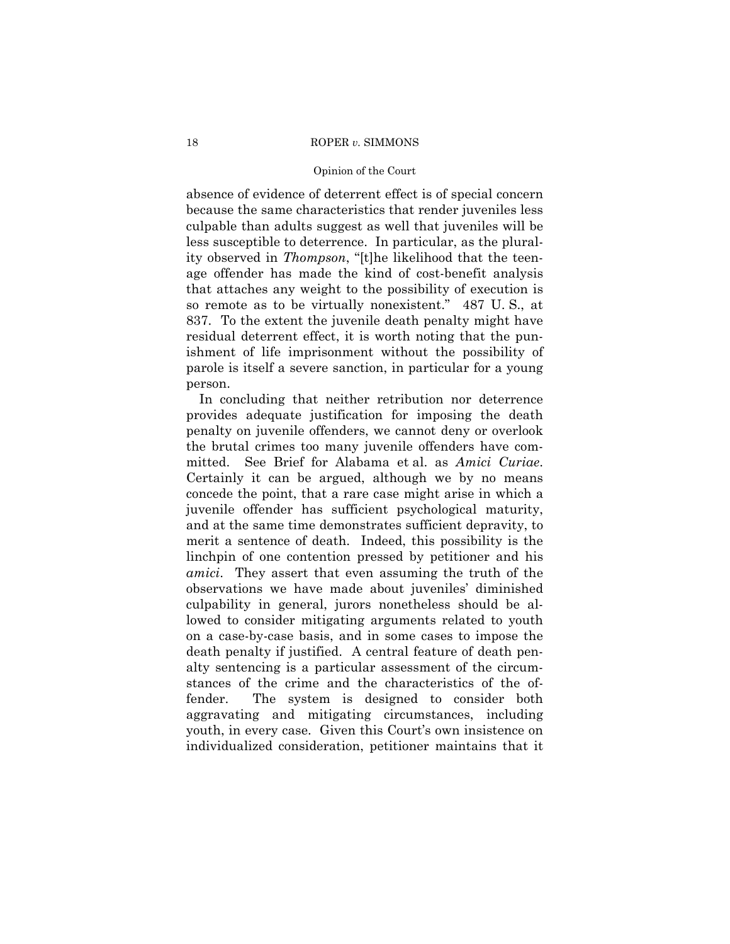## Opinion of the Court

absence of evidence of deterrent effect is of special concern because the same characteristics that render juveniles less culpable than adults suggest as well that juveniles will be less susceptible to deterrence. In particular, as the plurality observed in *Thompson*, "[t]he likelihood that the teenage offender has made the kind of cost-benefit analysis that attaches any weight to the possibility of execution is so remote as to be virtually nonexistent." 487 U. S., at 837. To the extent the juvenile death penalty might have residual deterrent effect, it is worth noting that the punishment of life imprisonment without the possibility of parole is itself a severe sanction, in particular for a young person.

In concluding that neither retribution nor deterrence provides adequate justification for imposing the death penalty on juvenile offenders, we cannot deny or overlook the brutal crimes too many juvenile offenders have committed. See Brief for Alabama et al. as *Amici Curiae*. Certainly it can be argued, although we by no means concede the point, that a rare case might arise in which a juvenile offender has sufficient psychological maturity, and at the same time demonstrates sufficient depravity, to merit a sentence of death. Indeed, this possibility is the linchpin of one contention pressed by petitioner and his *amici*. They assert that even assuming the truth of the observations we have made about juveniles' diminished culpability in general, jurors nonetheless should be allowed to consider mitigating arguments related to youth on a case-by-case basis, and in some cases to impose the death penalty if justified. A central feature of death penalty sentencing is a particular assessment of the circumstances of the crime and the characteristics of the offender. The system is designed to consider both aggravating and mitigating circumstances, including youth, in every case. Given this Court's own insistence on individualized consideration, petitioner maintains that it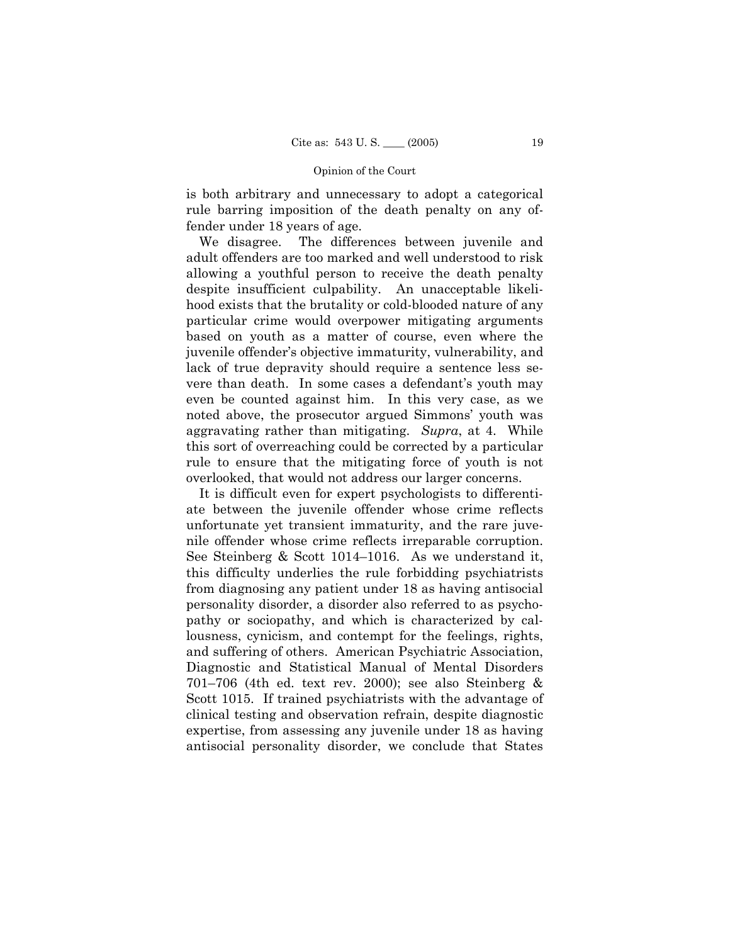is both arbitrary and unnecessary to adopt a categorical rule barring imposition of the death penalty on any offender under 18 years of age.

We disagree. The differences between juvenile and adult offenders are too marked and well understood to risk allowing a youthful person to receive the death penalty despite insufficient culpability. An unacceptable likelihood exists that the brutality or cold-blooded nature of any particular crime would overpower mitigating arguments based on youth as a matter of course, even where the juvenile offender's objective immaturity, vulnerability, and lack of true depravity should require a sentence less severe than death. In some cases a defendant's youth may even be counted against him. In this very case, as we noted above, the prosecutor argued Simmons' youth was aggravating rather than mitigating. *Supra*, at 4. While this sort of overreaching could be corrected by a particular rule to ensure that the mitigating force of youth is not overlooked, that would not address our larger concerns.

It is difficult even for expert psychologists to differentiate between the juvenile offender whose crime reflects unfortunate yet transient immaturity, and the rare juvenile offender whose crime reflects irreparable corruption. See Steinberg & Scott 1014–1016. As we understand it, this difficulty underlies the rule forbidding psychiatrists from diagnosing any patient under 18 as having antisocial personality disorder, a disorder also referred to as psychopathy or sociopathy, and which is characterized by callousness, cynicism, and contempt for the feelings, rights, and suffering of others. American Psychiatric Association, Diagnostic and Statistical Manual of Mental Disorders 701–706 (4th ed. text rev. 2000); see also Steinberg & Scott 1015. If trained psychiatrists with the advantage of clinical testing and observation refrain, despite diagnostic expertise, from assessing any juvenile under 18 as having antisocial personality disorder, we conclude that States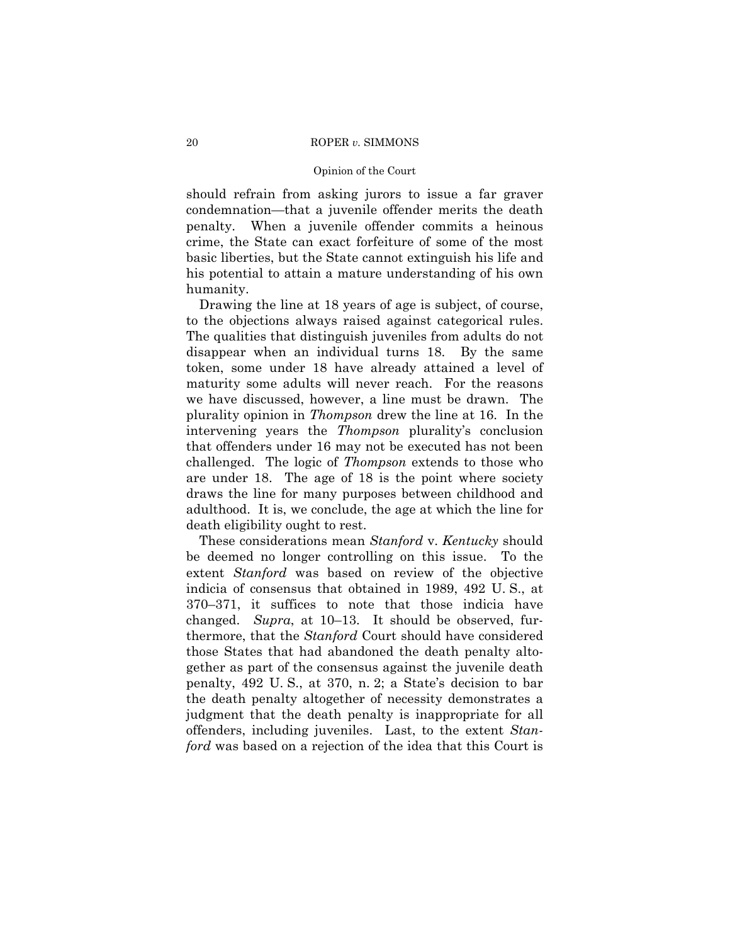## Opinion of the Court

should refrain from asking jurors to issue a far graver condemnation—that a juvenile offender merits the death penalty. When a juvenile offender commits a heinous crime, the State can exact forfeiture of some of the most basic liberties, but the State cannot extinguish his life and his potential to attain a mature understanding of his own humanity.

Drawing the line at 18 years of age is subject, of course, to the objections always raised against categorical rules. The qualities that distinguish juveniles from adults do not disappear when an individual turns 18. By the same token, some under 18 have already attained a level of maturity some adults will never reach. For the reasons we have discussed, however, a line must be drawn. The plurality opinion in *Thompson* drew the line at 16. In the intervening years the *Thompson* plurality's conclusion that offenders under 16 may not be executed has not been challenged. The logic of *Thompson* extends to those who are under 18. The age of 18 is the point where society draws the line for many purposes between childhood and adulthood. It is, we conclude, the age at which the line for death eligibility ought to rest.

These considerations mean *Stanford* v. *Kentucky* should be deemed no longer controlling on this issue. To the extent *Stanford* was based on review of the objective indicia of consensus that obtained in 1989, 492 U. S., at 370–371, it suffices to note that those indicia have changed. *Supra*, at 10–13. It should be observed, furthermore, that the *Stanford* Court should have considered those States that had abandoned the death penalty altogether as part of the consensus against the juvenile death penalty, 492 U. S., at 370, n. 2; a State's decision to bar the death penalty altogether of necessity demonstrates a judgment that the death penalty is inappropriate for all offenders, including juveniles. Last, to the extent *Stanford* was based on a rejection of the idea that this Court is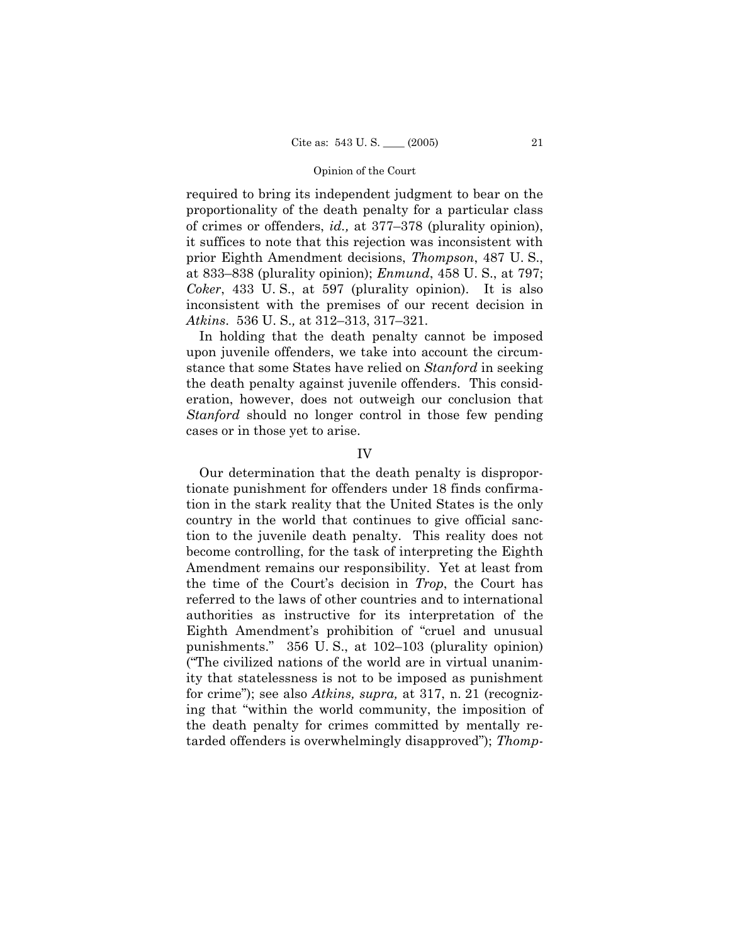required to bring its independent judgment to bear on the proportionality of the death penalty for a particular class of crimes or offenders, *id.,* at 377–378 (plurality opinion), it suffices to note that this rejection was inconsistent with prior Eighth Amendment decisions, *Thompson*, 487 U. S., at 833–838 (plurality opinion); *Enmund*, 458 U. S., at 797; *Coker*, 433 U. S., at 597 (plurality opinion). It is also inconsistent with the premises of our recent decision in *Atkins*. 536 U. S.*,* at 312–313, 317–321.

In holding that the death penalty cannot be imposed upon juvenile offenders, we take into account the circumstance that some States have relied on *Stanford* in seeking the death penalty against juvenile offenders. This consideration, however, does not outweigh our conclusion that *Stanford* should no longer control in those few pending cases or in those yet to arise.

## IV

Our determination that the death penalty is disproportionate punishment for offenders under 18 finds confirmation in the stark reality that the United States is the only country in the world that continues to give official sanction to the juvenile death penalty. This reality does not become controlling, for the task of interpreting the Eighth Amendment remains our responsibility. Yet at least from the time of the Court's decision in *Trop*, the Court has referred to the laws of other countries and to international authorities as instructive for its interpretation of the Eighth Amendment's prohibition of "cruel and unusual punishments." 356 U. S., at 102–103 (plurality opinion) ("The civilized nations of the world are in virtual unanimity that statelessness is not to be imposed as punishment for crime"); see also *Atkins, supra,* at 317, n. 21 (recognizing that "within the world community, the imposition of the death penalty for crimes committed by mentally retarded offenders is overwhelmingly disapproved"); *Thomp-*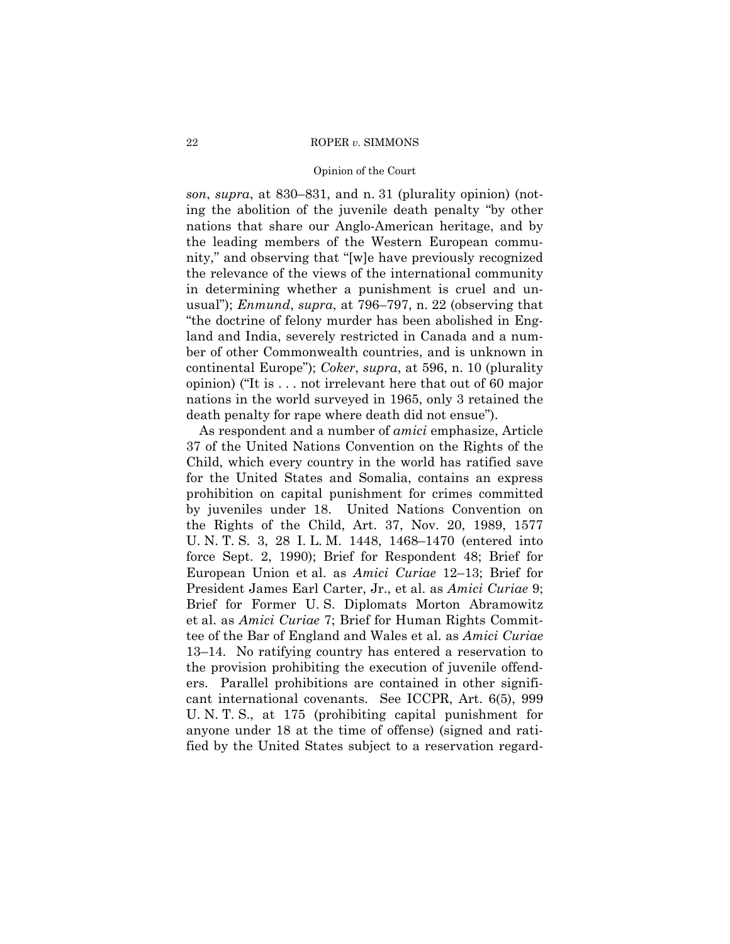## Opinion of the Court

*son*, *supra*, at 830–831, and n. 31 (plurality opinion) (noting the abolition of the juvenile death penalty "by other nations that share our Anglo-American heritage, and by the leading members of the Western European community," and observing that "[w]e have previously recognized the relevance of the views of the international community in determining whether a punishment is cruel and unusual"); *Enmund*, *supra*, at 796–797, n. 22 (observing that "the doctrine of felony murder has been abolished in England and India, severely restricted in Canada and a number of other Commonwealth countries, and is unknown in continental Europe"); *Coker*, *supra*, at 596, n. 10 (plurality opinion) ("It is . . . not irrelevant here that out of 60 major nations in the world surveyed in 1965, only 3 retained the death penalty for rape where death did not ensue").

As respondent and a number of *amici* emphasize, Article 37 of the United Nations Convention on the Rights of the Child, which every country in the world has ratified save for the United States and Somalia, contains an express prohibition on capital punishment for crimes committed by juveniles under 18. United Nations Convention on the Rights of the Child, Art. 37, Nov. 20, 1989, 1577 U. N. T. S. 3, 28 I. L. M. 1448, 1468–1470 (entered into force Sept. 2, 1990); Brief for Respondent 48; Brief for European Union et al. as *Amici Curiae* 12–13; Brief for President James Earl Carter, Jr., et al. as *Amici Curiae* 9; Brief for Former U. S. Diplomats Morton Abramowitz et al. as *Amici Curiae* 7; Brief for Human Rights Committee of the Bar of England and Wales et al. as *Amici Curiae*  13–14. No ratifying country has entered a reservation to the provision prohibiting the execution of juvenile offenders. Parallel prohibitions are contained in other significant international covenants. See ICCPR, Art. 6(5), 999 U. N. T. S., at 175 (prohibiting capital punishment for anyone under 18 at the time of offense) (signed and ratified by the United States subject to a reservation regard-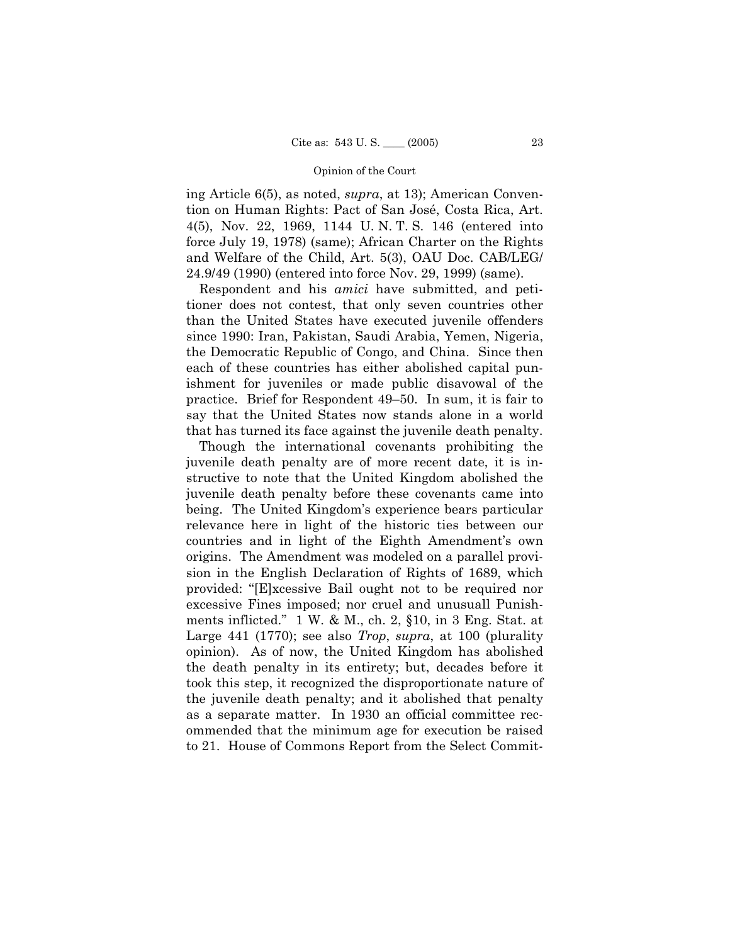ing Article 6(5), as noted, *supra*, at 13); American Convention on Human Rights: Pact of San José, Costa Rica, Art. 4(5), Nov. 22, 1969, 1144 U. N. T. S. 146 (entered into force July 19, 1978) (same); African Charter on the Rights and Welfare of the Child, Art. 5(3), OAU Doc. CAB/LEG/ 24.9/49 (1990) (entered into force Nov. 29, 1999) (same).

Respondent and his *amici* have submitted, and petitioner does not contest, that only seven countries other than the United States have executed juvenile offenders since 1990: Iran, Pakistan, Saudi Arabia, Yemen, Nigeria, the Democratic Republic of Congo, and China. Since then each of these countries has either abolished capital punishment for juveniles or made public disavowal of the practice. Brief for Respondent 49–50. In sum, it is fair to say that the United States now stands alone in a world that has turned its face against the juvenile death penalty.

Though the international covenants prohibiting the juvenile death penalty are of more recent date, it is instructive to note that the United Kingdom abolished the juvenile death penalty before these covenants came into being. The United Kingdom's experience bears particular relevance here in light of the historic ties between our countries and in light of the Eighth Amendment's own origins. The Amendment was modeled on a parallel provision in the English Declaration of Rights of 1689, which provided: "[E]xcessive Bail ought not to be required nor excessive Fines imposed; nor cruel and unusuall Punishments inflicted." 1 W. & M., ch. 2, §10, in 3 Eng. Stat. at Large 441 (1770); see also *Trop*, *supra*, at 100 (plurality opinion). As of now, the United Kingdom has abolished the death penalty in its entirety; but, decades before it took this step, it recognized the disproportionate nature of the juvenile death penalty; and it abolished that penalty as a separate matter. In 1930 an official committee recommended that the minimum age for execution be raised to 21. House of Commons Report from the Select Commit-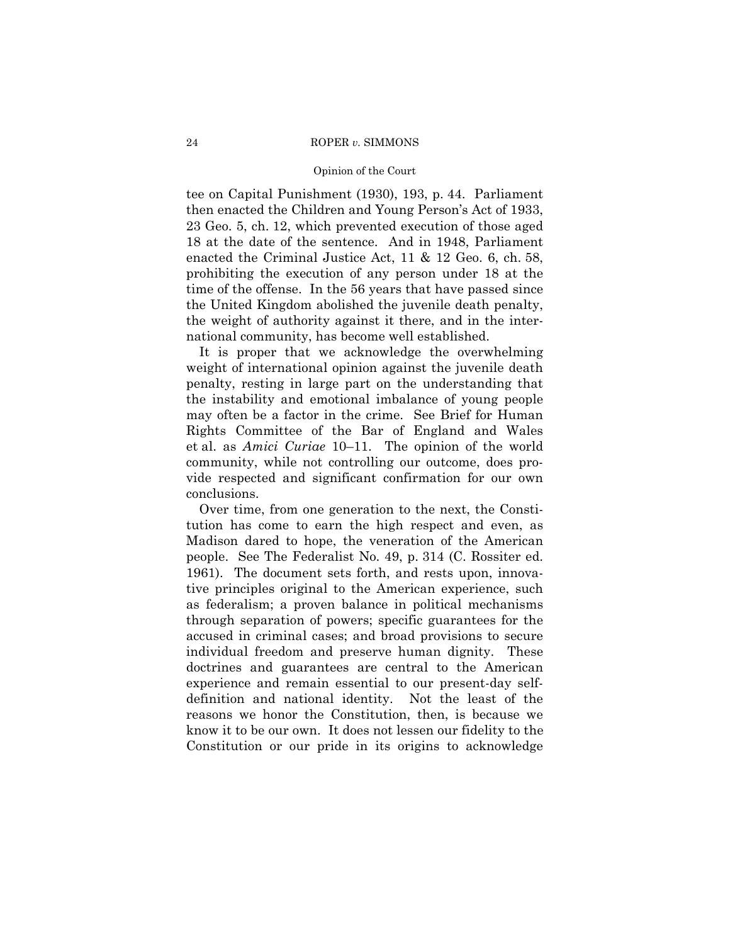## Opinion of the Court

tee on Capital Punishment (1930), 193, p. 44. Parliament then enacted the Children and Young Person's Act of 1933, 23 Geo. 5, ch. 12, which prevented execution of those aged 18 at the date of the sentence. And in 1948, Parliament enacted the Criminal Justice Act, 11 & 12 Geo. 6, ch. 58, prohibiting the execution of any person under 18 at the time of the offense. In the 56 years that have passed since the United Kingdom abolished the juvenile death penalty, the weight of authority against it there, and in the international community, has become well established.

It is proper that we acknowledge the overwhelming weight of international opinion against the juvenile death penalty, resting in large part on the understanding that the instability and emotional imbalance of young people may often be a factor in the crime. See Brief for Human Rights Committee of the Bar of England and Wales et al. as *Amici Curiae* 10–11. The opinion of the world community, while not controlling our outcome, does provide respected and significant confirmation for our own conclusions.

Over time, from one generation to the next, the Constitution has come to earn the high respect and even, as Madison dared to hope, the veneration of the American people. See The Federalist No. 49, p. 314 (C. Rossiter ed. 1961). The document sets forth, and rests upon, innovative principles original to the American experience, such as federalism; a proven balance in political mechanisms through separation of powers; specific guarantees for the accused in criminal cases; and broad provisions to secure individual freedom and preserve human dignity. These doctrines and guarantees are central to the American experience and remain essential to our present-day selfdefinition and national identity. Not the least of the reasons we honor the Constitution, then, is because we know it to be our own. It does not lessen our fidelity to the Constitution or our pride in its origins to acknowledge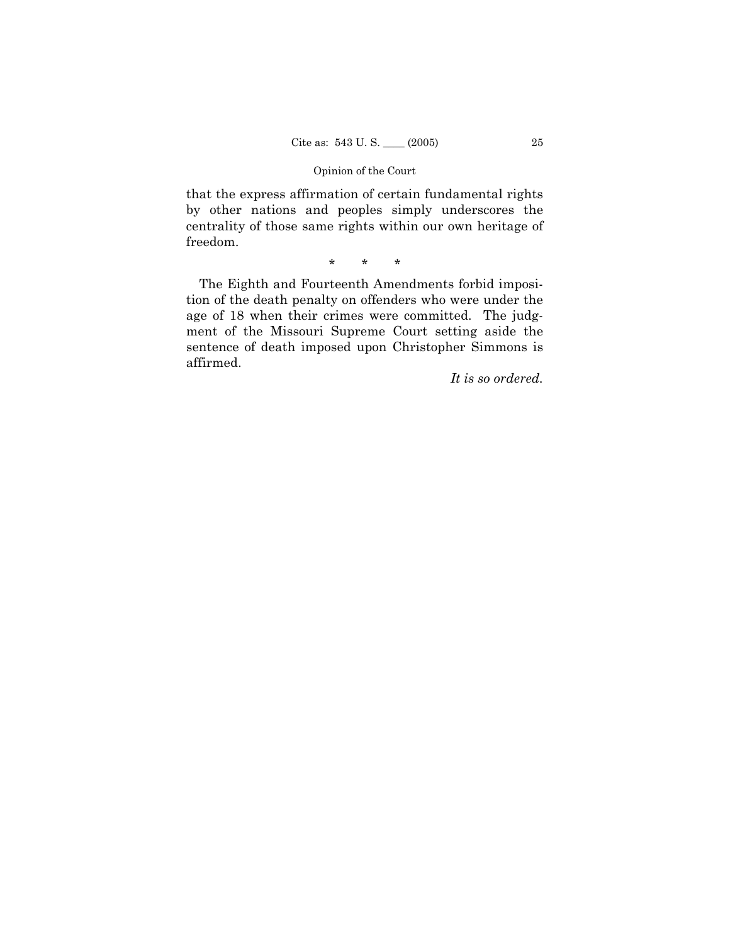that the express affirmation of certain fundamental rights by other nations and peoples simply underscores the centrality of those same rights within our own heritage of freedom.

\* \* \*

The Eighth and Fourteenth Amendments forbid imposition of the death penalty on offenders who were under the age of 18 when their crimes were committed. The judgment of the Missouri Supreme Court setting aside the sentence of death imposed upon Christopher Simmons is affirmed.

*It is so ordered.*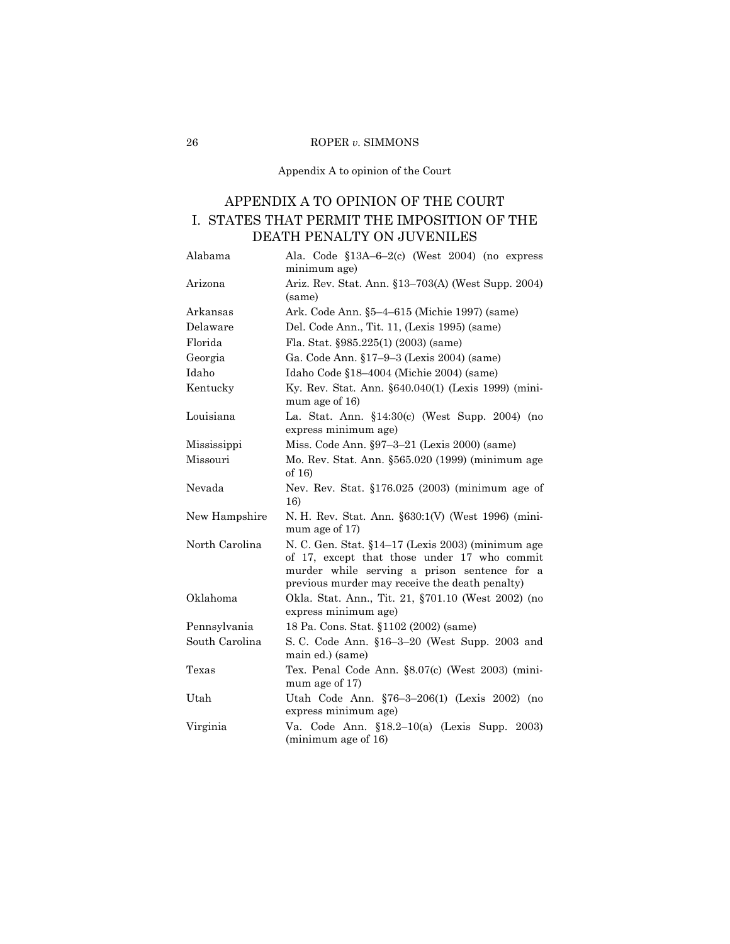Appendix A to opinion of the Court

# APPENDIX A TO OPINION OF THE COURT I. STATES THAT PERMIT THE IMPOSITION OF THE DEATH PENALTY ON JUVENILES

| Alabama        | Ala. Code $$13A-6-2(c)$ (West 2004) (no express<br>minimum age)                                                                                                                                       |  |  |  |  |
|----------------|-------------------------------------------------------------------------------------------------------------------------------------------------------------------------------------------------------|--|--|--|--|
| Arizona        | Ariz. Rev. Stat. Ann. §13-703(A) (West Supp. 2004)<br>(same)                                                                                                                                          |  |  |  |  |
| Arkansas       | Ark. Code Ann. §5-4-615 (Michie 1997) (same)                                                                                                                                                          |  |  |  |  |
| Delaware       | Del. Code Ann., Tit. 11, (Lexis 1995) (same)                                                                                                                                                          |  |  |  |  |
| Florida        | Fla. Stat. $$985.225(1) (2003)$ (same)                                                                                                                                                                |  |  |  |  |
| Georgia        | Ga. Code Ann. §17–9–3 (Lexis 2004) (same)                                                                                                                                                             |  |  |  |  |
| Idaho          | Idaho Code §18–4004 (Michie 2004) (same)                                                                                                                                                              |  |  |  |  |
| Kentucky       | Ky. Rev. Stat. Ann. §640.040(1) (Lexis 1999) (mini-<br>mum age of 16)                                                                                                                                 |  |  |  |  |
| Louisiana      | La. Stat. Ann. $$14:30(c)$ (West Supp. 2004) (no<br>express minimum age)                                                                                                                              |  |  |  |  |
| Mississippi    | Miss. Code Ann. §97-3-21 (Lexis 2000) (same)                                                                                                                                                          |  |  |  |  |
| Missouri       | Mo. Rev. Stat. Ann. §565.020 (1999) (minimum age<br>of 16)                                                                                                                                            |  |  |  |  |
| Nevada         | Nev. Rev. Stat. §176.025 (2003) (minimum age of<br>16)                                                                                                                                                |  |  |  |  |
| New Hampshire  | N. H. Rev. Stat. Ann. §630:1(V) (West 1996) (mini-<br>mum age of $17$ )                                                                                                                               |  |  |  |  |
| North Carolina | N. C. Gen. Stat. $$14-17$ (Lexis 2003) (minimum age<br>of 17, except that those under 17 who commit<br>murder while serving a prison sentence for a<br>previous murder may receive the death penalty) |  |  |  |  |
| Oklahoma       | Okla. Stat. Ann., Tit. 21, §701.10 (West 2002) (no<br>express minimum age)                                                                                                                            |  |  |  |  |
| Pennsylvania   | 18 Pa. Cons. Stat. §1102 (2002) (same)                                                                                                                                                                |  |  |  |  |
| South Carolina | S. C. Code Ann. §16-3-20 (West Supp. 2003 and<br>main ed.) (same)                                                                                                                                     |  |  |  |  |
| Texas          | Tex. Penal Code Ann. §8.07(c) (West 2003) (mini-<br>mum age of $17$ )                                                                                                                                 |  |  |  |  |
| Utah           | Utah Code Ann. §76-3-206(1) (Lexis 2002) (no<br>express minimum age)                                                                                                                                  |  |  |  |  |
| Virginia       | Va. Code Ann. $$18.2-10(a)$ (Lexis Supp. 2003)<br>$(\text{minimum age of } 16)$                                                                                                                       |  |  |  |  |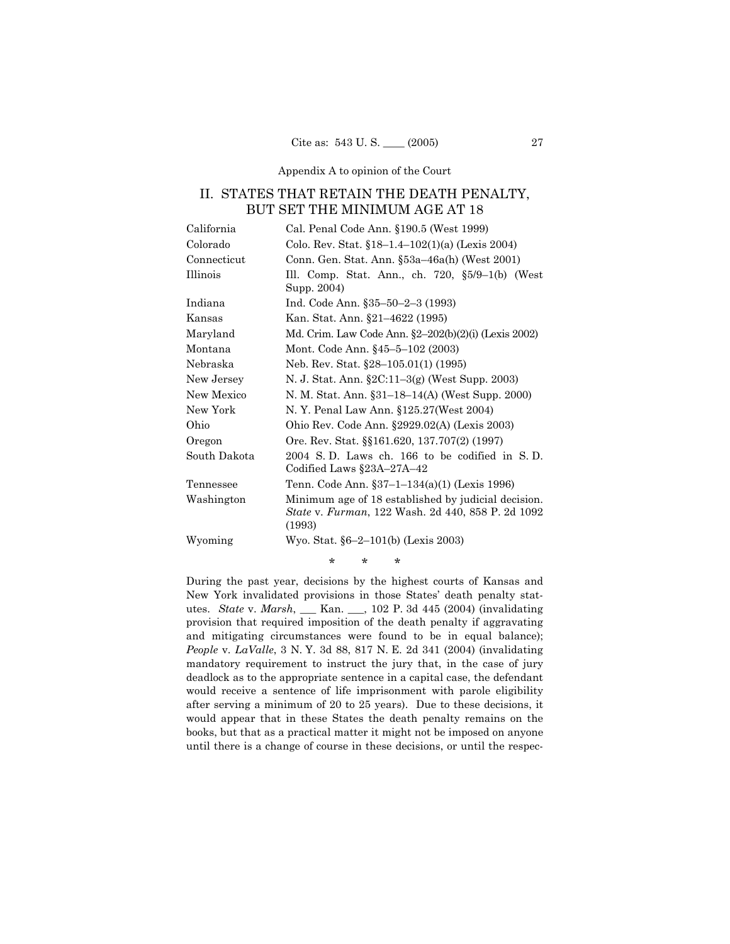Appendix A to opinion of the Court

# II. STATES THAT RETAIN THE DEATH PENALTY, BUT SET THE MINIMUM AGE AT 18

| California   | Cal. Penal Code Ann. §190.5 (West 1999)                                                                                   |  |  |  |  |
|--------------|---------------------------------------------------------------------------------------------------------------------------|--|--|--|--|
| Colorado     | Colo. Rev. Stat. $$18-1.4-102(1)(a)$ (Lexis 2004)                                                                         |  |  |  |  |
| Connecticut  | Conn. Gen. Stat. Ann. §53a–46a(h) (West 2001)                                                                             |  |  |  |  |
| Illinois     | Ill. Comp. Stat. Ann., ch. 720, $\S5/9-1(b)$ (West<br>Supp. 2004)                                                         |  |  |  |  |
| Indiana      | Ind. Code Ann. $\S35-50-2-3$ (1993)                                                                                       |  |  |  |  |
| Kansas       | Kan. Stat. Ann. §21–4622 (1995)                                                                                           |  |  |  |  |
| Maryland     | Md. Crim. Law Code Ann. §2-202(b)(2)(i) (Lexis 2002)                                                                      |  |  |  |  |
| Montana      | Mont. Code Ann. §45–5–102 (2003)                                                                                          |  |  |  |  |
| Nebraska     | Neb. Rev. Stat. §28–105.01(1) (1995)                                                                                      |  |  |  |  |
| New Jersey   | N. J. Stat. Ann. §2C:11–3(g) (West Supp. 2003)                                                                            |  |  |  |  |
| New Mexico   | N. M. Stat. Ann. §31–18–14(A) (West Supp. 2000)                                                                           |  |  |  |  |
| New York     | N. Y. Penal Law Ann. §125.27(West 2004)                                                                                   |  |  |  |  |
| Ohio         | Ohio Rev. Code Ann. §2929.02(A) (Lexis 2003)                                                                              |  |  |  |  |
| Oregon       | Ore. Rev. Stat. §§161.620, 137.707(2) (1997)                                                                              |  |  |  |  |
| South Dakota | 2004 S.D. Laws ch. 166 to be codified in S.D.<br>Codified Laws §23A-27A-42                                                |  |  |  |  |
| Tennessee    | Tenn. Code Ann. §37-1-134(a)(1) (Lexis 1996)                                                                              |  |  |  |  |
| Washington   | Minimum age of 18 established by judicial decision.<br><i>State v. Furman, 122 Wash. 2d 440, 858 P. 2d 1092</i><br>(1993) |  |  |  |  |
| Wyoming      | Wyo. Stat. §6–2–101(b) (Lexis 2003)                                                                                       |  |  |  |  |

\* \* \*

During the past year, decisions by the highest courts of Kansas and New York invalidated provisions in those States' death penalty statutes. *State* v. *Marsh*, \_\_\_ Kan. \_\_\_, 102 P. 3d 445 (2004) (invalidating provision that required imposition of the death penalty if aggravating and mitigating circumstances were found to be in equal balance); *People* v. *LaValle*, 3 N. Y. 3d 88, 817 N. E. 2d 341 (2004) (invalidating mandatory requirement to instruct the jury that, in the case of jury deadlock as to the appropriate sentence in a capital case, the defendant would receive a sentence of life imprisonment with parole eligibility after serving a minimum of 20 to 25 years). Due to these decisions, it would appear that in these States the death penalty remains on the books, but that as a practical matter it might not be imposed on anyone until there is a change of course in these decisions, or until the respec-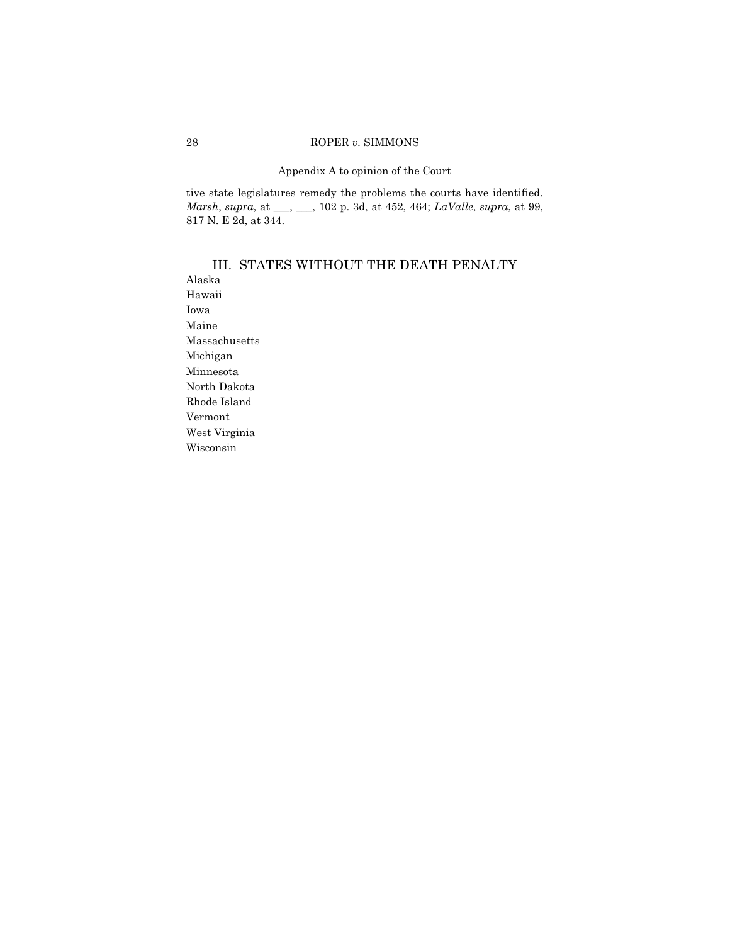## Appendix A to opinion of the Court

tive state legislatures remedy the problems the courts have identified. *Marsh*, *supra*, at \_\_\_, \_\_\_, 102 p. 3d, at 452, 464; *LaValle*, *supra*, at 99, 817 N. E 2d, at 344.

## III. STATES WITHOUT THE DEATH PENALTY Alaska

Hawaii Iowa Maine Massachusetts Michigan Minnesota North Dakota Rhode Island Vermont West Virginia Wisconsin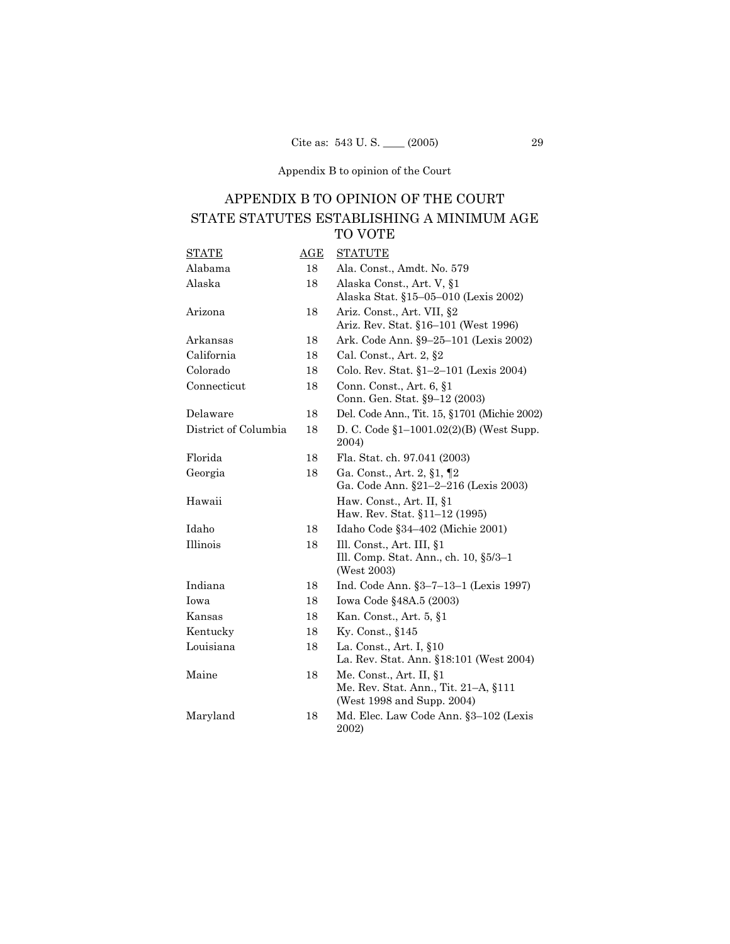Appendix B to opinion of the Court

# APPENDIX B TO OPINION OF THE COURT STATE STATUTES ESTABLISHING A MINIMUM AGE TO VOTE

| <b>STATE</b>         | $\rm{AGE}$ | <u>STATUTE</u>                                                                                |
|----------------------|------------|-----------------------------------------------------------------------------------------------|
| Alabama              | 18         | Ala. Const., Amdt. No. 579                                                                    |
| Alaska               | 18         | Alaska Const., Art. V, §1<br>Alaska Stat. §15–05–010 (Lexis 2002)                             |
| Arizona              | 18         | Ariz. Const., Art. VII, §2<br>Ariz. Rev. Stat. §16–101 (West 1996)                            |
| Arkansas             | 18         | Ark. Code Ann. §9–25–101 (Lexis 2002)                                                         |
| California           | 18         | Cal. Const., Art. 2, §2                                                                       |
| Colorado             | 18         | Colo. Rev. Stat. §1-2-101 (Lexis 2004)                                                        |
| Connecticut          | 18         | Conn. Const., Art. 6, §1<br>Conn. Gen. Stat. §9–12 (2003)                                     |
| Delaware             | 18         | Del. Code Ann., Tit. 15, §1701 (Michie 2002)                                                  |
| District of Columbia | 18         | D. C. Code $\S1-1001.02(2)$ (B) (West Supp.<br>2004)                                          |
| Florida              | 18         | Fla. Stat. ch. 97.041 (2003)                                                                  |
| Georgia              | 18         | Ga. Const., Art. 2, §1, ¶2<br>Ga. Code Ann. §21–2–216 (Lexis 2003)                            |
| Hawaii               |            | Haw. Const., Art. II, §1<br>Haw. Rev. Stat. §11-12 (1995)                                     |
| Idaho                | 18         | Idaho Code §34-402 (Michie 2001)                                                              |
| Illinois             | 18         | Ill. Const., Art. III, §1<br>Ill. Comp. Stat. Ann., ch. 10, §5/3–1<br>(West 2003)             |
| Indiana              | 18         | Ind. Code Ann. §3-7-13-1 (Lexis 1997)                                                         |
| Iowa                 | 18         | Iowa Code §48A.5 (2003)                                                                       |
| Kansas               | 18         | Kan. Const., Art. 5, §1                                                                       |
| Kentucky             | 18         | Ky. Const., $§145$                                                                            |
| Louisiana            | 18         | La. Const., Art. I, §10<br>La. Rev. Stat. Ann. §18:101 (West 2004)                            |
| Maine                | 18         | Me. Const., Art. II, §1<br>Me. Rev. Stat. Ann., Tit. 21–A, §111<br>(West 1998 and Supp. 2004) |
| Maryland             | 18         | Md. Elec. Law Code Ann. §3–102 (Lexis<br>2002)                                                |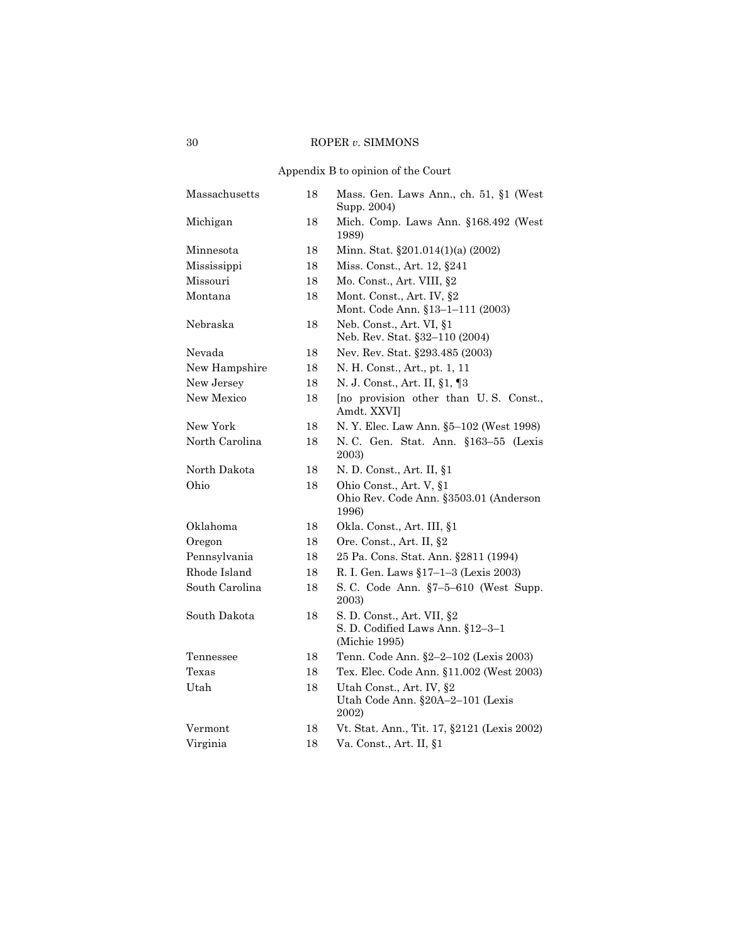Appendix B to opinion of the Court

| Massachusetts  | 18 | Mass. Gen. Laws Ann., ch. 51, §1 (West<br>Supp. 2004)                           |
|----------------|----|---------------------------------------------------------------------------------|
| Michigan       | 18 | Mich. Comp. Laws Ann. §168.492 (West<br>1989)                                   |
| Minnesota      | 18 | Minn. Stat. §201.014(1)(a) (2002)                                               |
| Mississippi    | 18 | Miss. Const., Art. 12, §241                                                     |
| Missouri       | 18 | Mo. Const., Art. VIII, §2                                                       |
| Montana        | 18 | Mont. Const., Art. IV, §2<br>Mont. Code Ann. §13-1-111 (2003)                   |
| Nebraska       | 18 | Neb. Const., Art. VI, §1<br>Neb. Rev. Stat. §32-110 (2004)                      |
| Nevada         | 18 | Nev. Rev. Stat. §293.485 (2003)                                                 |
| New Hampshire  | 18 | N. H. Const., Art., pt. 1, 11                                                   |
| New Jersey     | 18 | N. J. Const., Art. II, §1, ¶3                                                   |
| New Mexico     | 18 | [no provision other than U.S. Const.,<br>Amdt. XXVI]                            |
| New York       | 18 | N. Y. Elec. Law Ann. §5-102 (West 1998)                                         |
| North Carolina | 18 | N.C. Gen. Stat. Ann. §163-55 (Lexis<br>2003)                                    |
| North Dakota   | 18 | N. D. Const., Art. II, §1                                                       |
| Ohio           | 18 | Ohio Const., Art. V, §1<br>Ohio Rev. Code Ann. §3503.01 (Anderson<br>1996)      |
| Oklahoma       | 18 | Okla. Const., Art. III, §1                                                      |
| Oregon         | 18 | Ore. Const., Art. II, §2                                                        |
| Pennsylvania   | 18 | 25 Pa. Cons. Stat. Ann. §2811 (1994)                                            |
| Rhode Island   | 18 | R. I. Gen. Laws §17-1-3 (Lexis 2003)                                            |
| South Carolina | 18 | S.C. Code Ann. §7-5-610 (West Supp.<br>2003)                                    |
| South Dakota   | 18 | S. D. Const., Art. VII, §2<br>S. D. Codified Laws Ann. §12-3-1<br>(Michie 1995) |
| Tennessee      | 18 | Tenn. Code Ann. §2-2-102 (Lexis 2003)                                           |
| ${\rm Texas}$  | 18 | Tex. Elec. Code Ann. §11.002 (West 2003)                                        |
| Utah           | 18 | Utah Const., Art. IV, §2<br>Utah Code Ann. §20A-2-101 (Lexis<br>2002)           |
| Vermont        | 18 | Vt. Stat. Ann., Tit. 17, §2121 (Lexis 2002)                                     |
| Virginia       | 18 | Va. Const., Art. II, §1                                                         |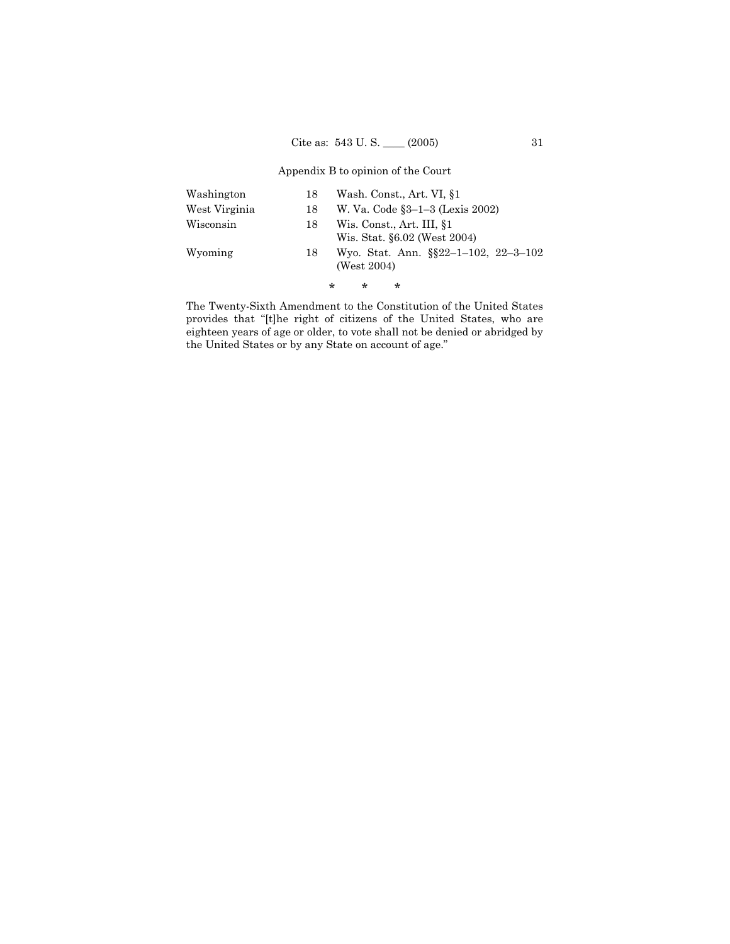Appendix B to opinion of the Court

| Washington    | 18 | Wash. Const., Art. VI, §1                                 |
|---------------|----|-----------------------------------------------------------|
| West Virginia | 18 | W. Va. Code §3–1–3 (Lexis 2002)                           |
| Wisconsin     | 18 | Wis. Const., Art. III, §1<br>Wis. Stat. §6.02 (West 2004) |
| Wyoming       | 18 | Wyo. Stat. Ann. §§22-1-102, 22-3-102<br>(West 2004)       |
|               |    | $\star$<br>÷<br>÷                                         |

The Twenty-Sixth Amendment to the Constitution of the United States provides that "[t]he right of citizens of the United States, who are eighteen years of age or older, to vote shall not be denied or abridged by the United States or by any State on account of age."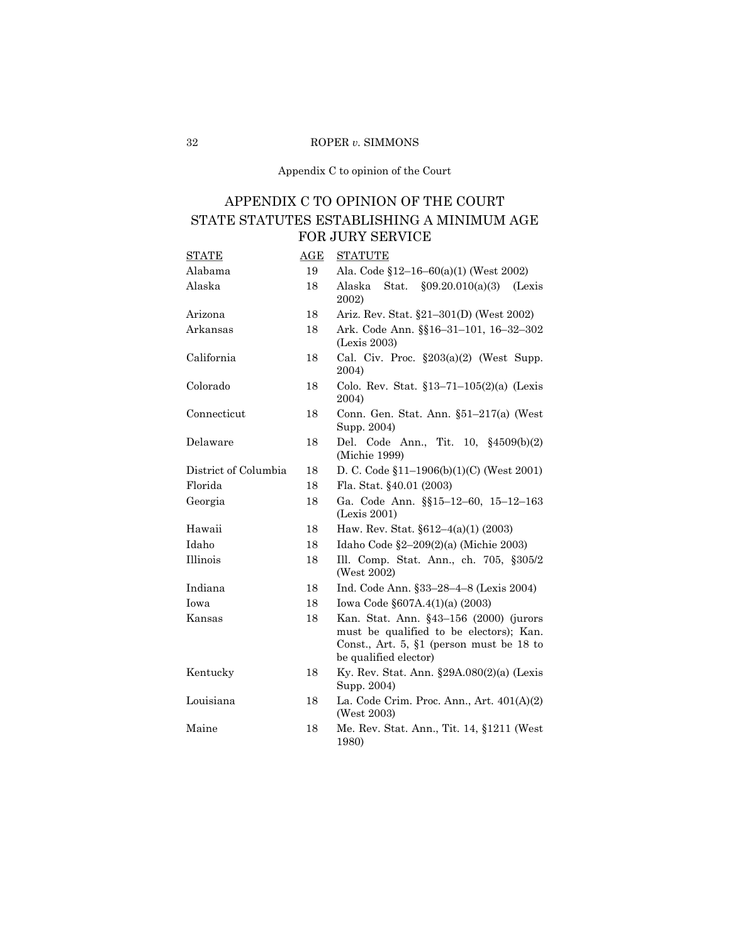Appendix C to opinion of the Court

# APPENDIX C TO OPINION OF THE COURT STATE STATUTES ESTABLISHING A MINIMUM AGE FOR JURY SERVICE

| <b>STATE</b>         | $\overline{AGE}$ | <b>STATUTE</b>                                                                                                                                         |
|----------------------|------------------|--------------------------------------------------------------------------------------------------------------------------------------------------------|
| Alabama              | 19               | Ala. Code §12-16-60(a)(1) (West 2002)                                                                                                                  |
| Alaska               | 18               | Alaska<br>Stat.<br>§09.20.010(a)(3)<br>(Lexis)<br>2002)                                                                                                |
| Arizona              | 18               | Ariz. Rev. Stat. §21-301(D) (West 2002)                                                                                                                |
| Arkansas             | 18               | Ark. Code Ann. §§16-31-101, 16-32-302<br>(Lexis 2003)                                                                                                  |
| California           | 18               | Cal. Civ. Proc. $\S 203(a)(2)$ (West Supp.<br>2004)                                                                                                    |
| Colorado             | 18               | Colo. Rev. Stat. $$13-71-105(2)(a)$ (Lexis<br>2004)                                                                                                    |
| Connecticut          | 18               | Conn. Gen. Stat. Ann. §51–217(a) (West<br>Supp. 2004)                                                                                                  |
| Delaware             | 18               | Del. Code Ann., Tit. 10, §4509(b)(2)<br>(Michie 1999)                                                                                                  |
| District of Columbia | 18               | D. C. Code §11-1906(b)(1)(C) (West 2001)                                                                                                               |
| Florida              | 18               | Fla. Stat. §40.01 (2003)                                                                                                                               |
| Georgia              | 18               | Ga. Code Ann. §§15-12-60, 15-12-163<br>(Lexis 2001)                                                                                                    |
| Hawaii               | 18               | Haw. Rev. Stat. $\S612-4(a)(1)$ (2003)                                                                                                                 |
| Idaho                | 18               | Idaho Code §2-209(2)(a) (Michie 2003)                                                                                                                  |
| Illinois             | 18               | Ill. Comp. Stat. Ann., ch. 705, §305/2<br>(West 2002)                                                                                                  |
| Indiana              | 18               | Ind. Code Ann. §33-28-4-8 (Lexis 2004)                                                                                                                 |
| Iowa                 | 18               | Iowa Code §607A.4(1)(a) (2003)                                                                                                                         |
| Kansas               | 18               | Kan. Stat. Ann. §43-156 (2000) (jurors<br>must be qualified to be electors); Kan.<br>Const., Art. 5, §1 (person must be 18 to<br>be qualified elector) |
| Kentucky             | 18               | Ky. Rev. Stat. Ann. $\S29A.080(2)(a)$ (Lexis<br>Supp. 2004)                                                                                            |
| Louisiana            | 18               | La. Code Crim. Proc. Ann., Art. 401(A)(2)<br>(West 2003)                                                                                               |
| Maine                | 18               | Me. Rev. Stat. Ann., Tit. 14, §1211 (West<br>1980)                                                                                                     |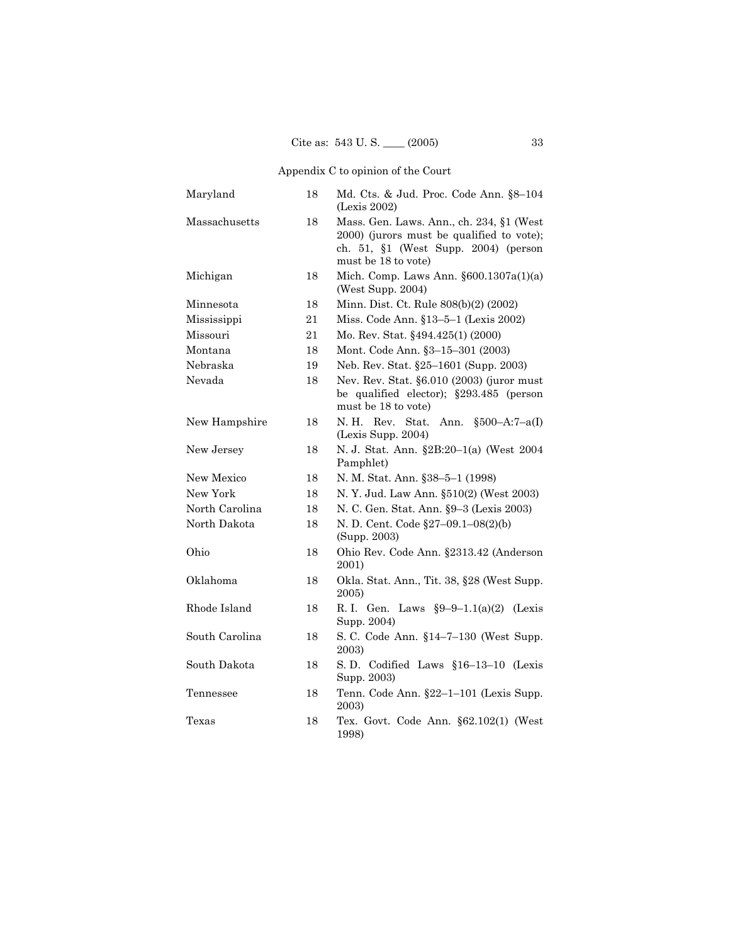Appendix C to opinion of the Court

| Maryland       | 18 | Md. Cts. & Jud. Proc. Code Ann. §8–104<br>(Lexis 2002)                                                                                                 |
|----------------|----|--------------------------------------------------------------------------------------------------------------------------------------------------------|
| Massachusetts  | 18 | Mass. Gen. Laws. Ann., ch. 234, §1 (West<br>2000) (jurors must be qualified to vote);<br>ch. 51, $$1$ (West Supp. 2004) (person<br>must be 18 to vote) |
| Michigan       | 18 | Mich. Comp. Laws Ann. $\S 600.1307a(1)(a)$<br>(West Supp. $2004$ )                                                                                     |
| Minnesota      | 18 | Minn. Dist. Ct. Rule 808(b)(2) (2002)                                                                                                                  |
| Mississippi    | 21 | Miss. Code Ann. §13-5-1 (Lexis 2002)                                                                                                                   |
| Missouri       | 21 | Mo. Rev. Stat. §494.425(1) (2000)                                                                                                                      |
| Montana        | 18 | Mont. Code Ann. §3-15-301 (2003)                                                                                                                       |
| Nebraska       | 19 | Neb. Rev. Stat. §25-1601 (Supp. 2003)                                                                                                                  |
| Nevada         | 18 | Nev. Rev. Stat. §6.010 (2003) (juror must<br>be qualified elector); §293.485 (person<br>must be 18 to vote)                                            |
| New Hampshire  | 18 | N. H.<br>Rev.<br>Stat.<br>Ann.<br>$§500-A:7-a(I)$<br>(Lexis Supp. 2004)                                                                                |
| New Jersey     | 18 | N. J. Stat. Ann. §2B:20-1(a) (West 2004<br>Pamphlet)                                                                                                   |
| New Mexico     | 18 | N. M. Stat. Ann. §38-5-1 (1998)                                                                                                                        |
| New York       | 18 | N. Y. Jud. Law Ann. §510(2) (West 2003)                                                                                                                |
| North Carolina | 18 | N. C. Gen. Stat. Ann. §9-3 (Lexis 2003)                                                                                                                |
| North Dakota   | 18 | N. D. Cent. Code §27-09.1-08(2)(b)<br>(Supp. 2003)                                                                                                     |
| Ohio           | 18 | Ohio Rev. Code Ann. §2313.42 (Anderson<br>2001)                                                                                                        |
| Oklahoma       | 18 | Okla. Stat. Ann., Tit. 38, §28 (West Supp.<br>2005)                                                                                                    |
| Rhode Island   | 18 | R. I. Gen. Laws $\S9 - 9 - 1.1(a)(2)$ (Lexis<br>Supp. 2004)                                                                                            |
| South Carolina | 18 | S. C. Code Ann. $$14-7-130$ (West Supp.<br>2003)                                                                                                       |
| South Dakota   | 18 | S.D. Codified Laws $$16-13-10$ (Lexis<br>Supp. 2003)                                                                                                   |
| Tennessee      | 18 | Tenn. Code Ann. §22-1-101 (Lexis Supp.<br>2003)                                                                                                        |
| Texas          | 18 | Tex. Govt. Code Ann. §62.102(1) (West<br>1998)                                                                                                         |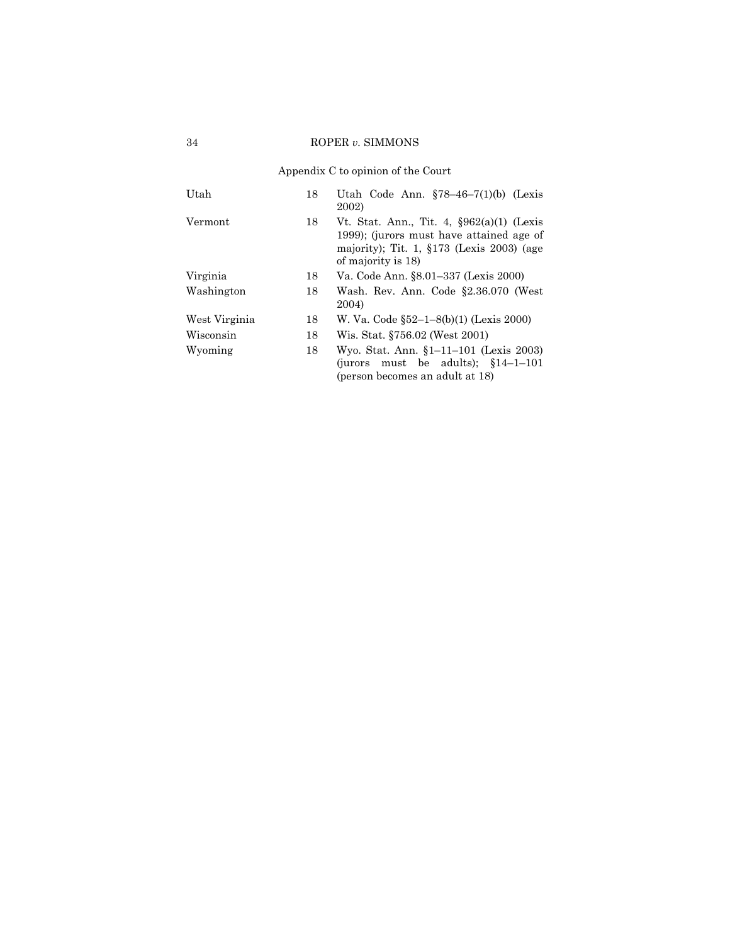| Utah          | 18 | Utah Code Ann. $$78-46-7(1)(b)$ (Lexis<br>2002)                                                                                                                 |
|---------------|----|-----------------------------------------------------------------------------------------------------------------------------------------------------------------|
| Vermont       | 18 | Vt. Stat. Ann., Tit. 4, $\S 962(a)(1)$ (Lexis<br>1999); (jurors must have attained age of<br>majority); Tit. 1, $\S173$ (Lexis 2003) (age<br>of majority is 18) |
| Virginia      | 18 | Va. Code Ann. §8.01–337 (Lexis 2000)                                                                                                                            |
| Washington    | 18 | Wash. Rev. Ann. Code §2.36.070 (West<br>2004)                                                                                                                   |
| West Virginia | 18 | W. Va. Code §52–1–8(b)(1) (Lexis 2000)                                                                                                                          |
| Wisconsin     | 18 | Wis. Stat. \$756.02 (West 2001)                                                                                                                                 |
| Wyoming       | 18 | Wyo. Stat. Ann. §1–11–101 (Lexis 2003)<br>(jurors must be adults); $$14-1-101$<br>(person becomes an adult at 18)                                               |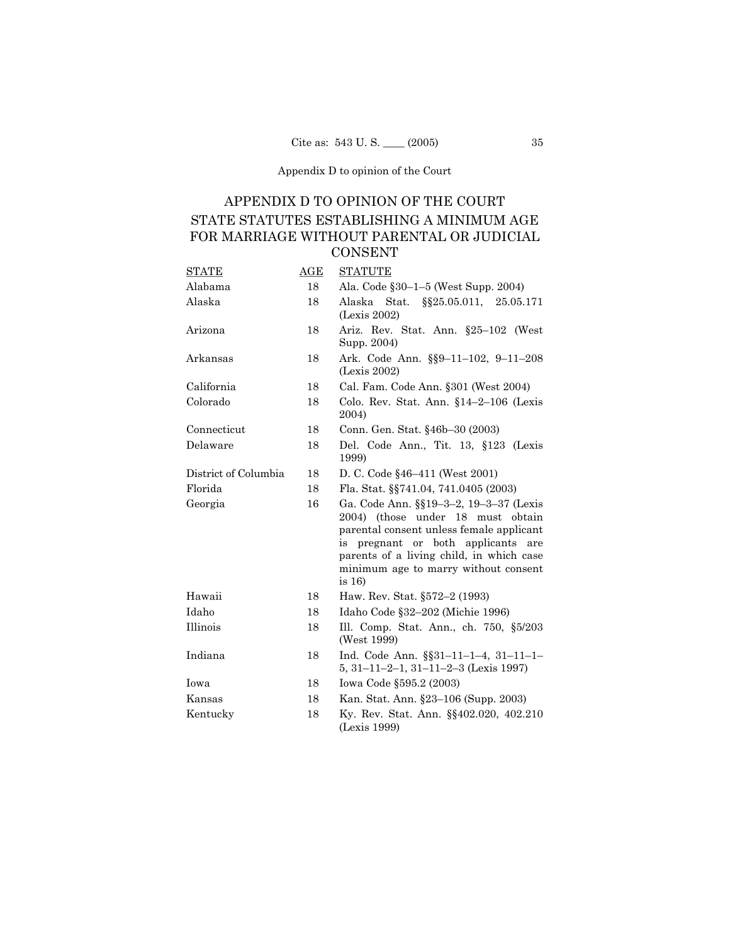Appendix D to opinion of the Court

# APPENDIX D TO OPINION OF THE COURT STATE STATUTES ESTABLISHING A MINIMUM AGE FOR MARRIAGE WITHOUT PARENTAL OR JUDICIAL CONSENT

| <b>STATE</b>         | $\overline{\text{AGE}}$ | <b>STATUTE</b>                                                                                                                                                                                                                                                      |
|----------------------|-------------------------|---------------------------------------------------------------------------------------------------------------------------------------------------------------------------------------------------------------------------------------------------------------------|
| Alabama              | 18                      | Ala. Code §30–1–5 (West Supp. 2004)                                                                                                                                                                                                                                 |
| Alaska               | 18                      | Alaska Stat. §§25.05.011, 25.05.171<br>(Lexis 2002)                                                                                                                                                                                                                 |
| Arizona              | 18                      | Ariz. Rev. Stat. Ann. §25-102 (West<br>Supp. 2004)                                                                                                                                                                                                                  |
| Arkansas             | 18                      | Ark. Code Ann. §§9-11-102, 9-11-208<br>(Lexis 2002)                                                                                                                                                                                                                 |
| California           | 18                      | Cal. Fam. Code Ann. §301 (West 2004)                                                                                                                                                                                                                                |
| Colorado             | 18                      | Colo. Rev. Stat. Ann. §14-2-106 (Lexis<br>2004)                                                                                                                                                                                                                     |
| Connecticut          | 18                      | Conn. Gen. Stat. §46b-30 (2003)                                                                                                                                                                                                                                     |
| Delaware             | 18                      | Del. Code Ann., Tit. 13, §123 (Lexis<br>1999)                                                                                                                                                                                                                       |
| District of Columbia | 18                      | D. C. Code §46–411 (West 2001)                                                                                                                                                                                                                                      |
| Florida              | 18                      | Fla. Stat. §§741.04, 741.0405 (2003)                                                                                                                                                                                                                                |
| Georgia              | 16                      | Ga. Code Ann. §§19–3–2, 19–3–37 (Lexis<br>2004) (those under 18 must obtain<br>parental consent unless female applicant<br>pregnant or both applicants<br>is<br>are<br>parents of a living child, in which case<br>minimum age to marry without consent<br>is $16)$ |
| Hawaii               | 18                      | Haw. Rev. Stat. §572–2 (1993)                                                                                                                                                                                                                                       |
| Idaho                | 18                      | Idaho Code §32-202 (Michie 1996)                                                                                                                                                                                                                                    |
| Illinois             | $18\,$                  | Ill. Comp. Stat. Ann., ch. 750, §5/203<br>(West 1999)                                                                                                                                                                                                               |
| Indiana              | 18                      | Ind. Code Ann. §§31-11-1-4, 31-11-1-<br>$5, 31-11-2-1, 31-11-2-3$ (Lexis 1997)                                                                                                                                                                                      |
| Iowa                 | 18                      | Iowa Code §595.2 (2003)                                                                                                                                                                                                                                             |
| Kansas               | 18                      | Kan. Stat. Ann. §23–106 (Supp. 2003)                                                                                                                                                                                                                                |
| Kentucky             | 18                      | Ky. Rev. Stat. Ann. §§402.020, 402.210<br>(Lexis 1999)                                                                                                                                                                                                              |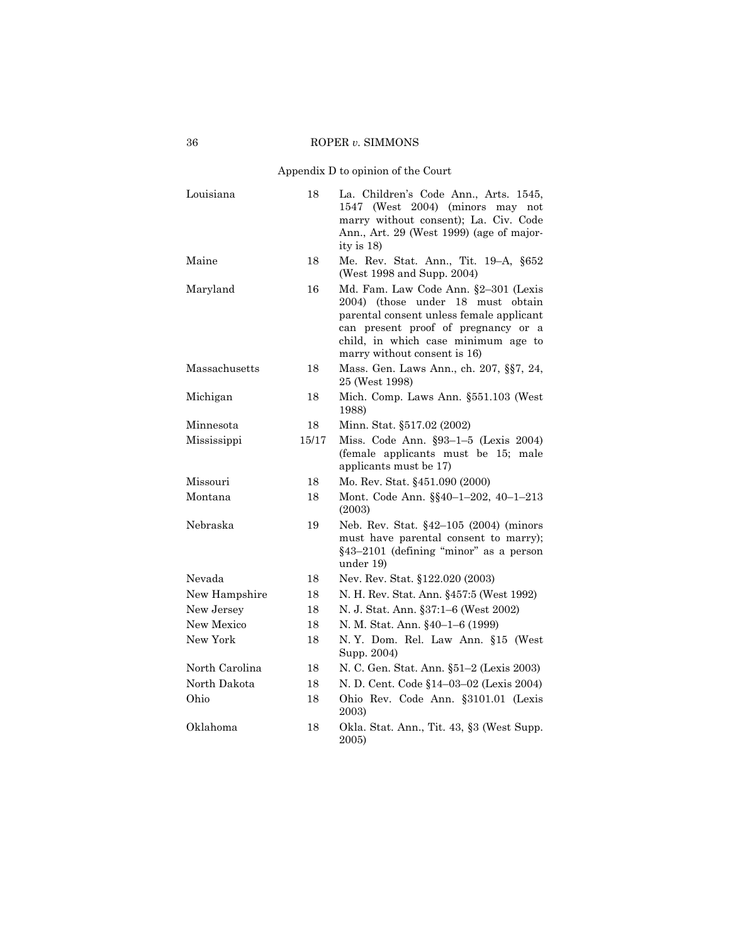Appendix D to opinion of the Court

| Louisiana      | 18    | La. Children's Code Ann., Arts. 1545,<br>1547 (West 2004) (minors may not<br>marry without consent); La. Civ. Code<br>Ann., Art. 29 (West 1999) (age of major-<br>ity is 18)                                                        |
|----------------|-------|-------------------------------------------------------------------------------------------------------------------------------------------------------------------------------------------------------------------------------------|
| Maine          | 18    | Me. Rev. Stat. Ann., Tit. 19-A, §652<br>(West 1998 and Supp. 2004)                                                                                                                                                                  |
| Maryland       | 16    | Md. Fam. Law Code Ann. §2-301 (Lexis<br>2004) (those under 18 must obtain<br>parental consent unless female applicant<br>can present proof of pregnancy or a<br>child, in which case minimum age to<br>marry without consent is 16) |
| Massachusetts  | 18    | Mass. Gen. Laws Ann., ch. 207, §§7, 24,<br>25 (West 1998)                                                                                                                                                                           |
| Michigan       | 18    | Mich. Comp. Laws Ann. §551.103 (West<br>1988)                                                                                                                                                                                       |
| Minnesota      | 18    | Minn. Stat. §517.02 (2002)                                                                                                                                                                                                          |
| Mississippi    | 15/17 | Miss. Code Ann. §93-1-5 (Lexis 2004)<br>(female applicants must be 15; male<br>applicants must be 17)                                                                                                                               |
| Missouri       | 18    | Mo. Rev. Stat. §451.090 (2000)                                                                                                                                                                                                      |
| Montana        | 18    | Mont. Code Ann. §§40-1-202, 40-1-213<br>(2003)                                                                                                                                                                                      |
| Nebraska       | 19    | Neb. Rev. Stat. §42-105 (2004) (minors<br>must have parental consent to marry);<br>§43-2101 (defining "minor" as a person<br>under 19)                                                                                              |
| Nevada         | 18    | Nev. Rev. Stat. §122.020 (2003)                                                                                                                                                                                                     |
| New Hampshire  | 18    | N. H. Rev. Stat. Ann. §457:5 (West 1992)                                                                                                                                                                                            |
| New Jersey     | 18    | N. J. Stat. Ann. §37:1-6 (West 2002)                                                                                                                                                                                                |
| New Mexico     | 18    | N. M. Stat. Ann. §40-1-6 (1999)                                                                                                                                                                                                     |
| New York       | 18    | N.Y. Dom. Rel. Law Ann. §15 (West<br>Supp. 2004)                                                                                                                                                                                    |
| North Carolina | 18    | N. C. Gen. Stat. Ann. §51-2 (Lexis 2003)                                                                                                                                                                                            |
| North Dakota   | 18    | N. D. Cent. Code §14-03-02 (Lexis 2004)                                                                                                                                                                                             |
| Ohio           | 18    | Ohio Rev. Code Ann. §3101.01 (Lexis<br>2003)                                                                                                                                                                                        |
| Oklahoma       | 18    | Okla. Stat. Ann., Tit. 43, §3 (West Supp.<br>2005)                                                                                                                                                                                  |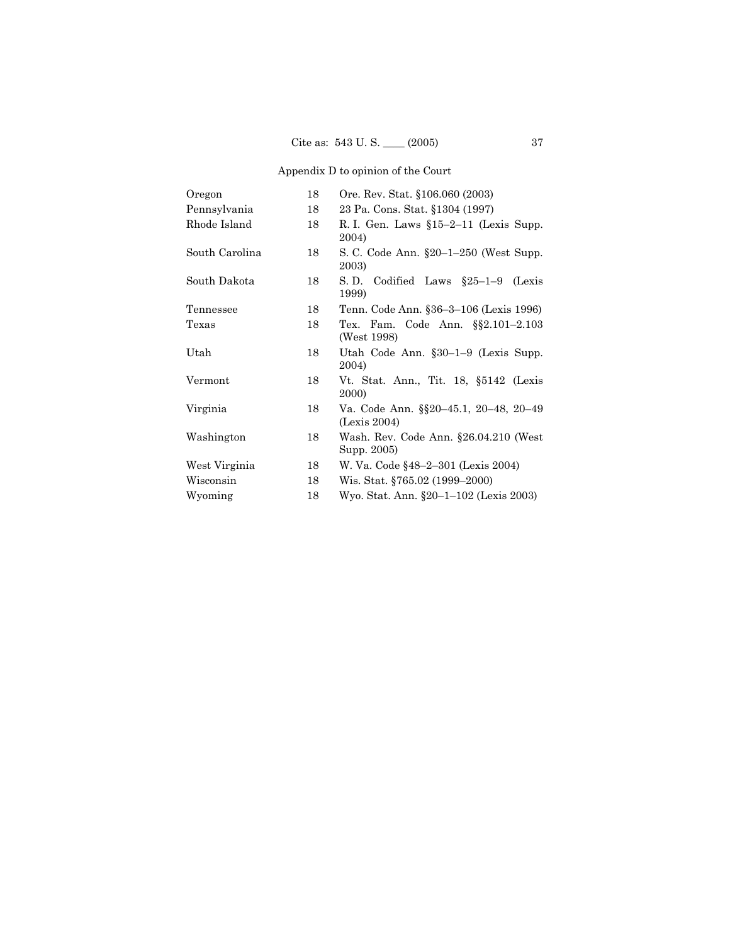Appendix D to opinion of the Court

| Oregon         | 18 | Ore. Rev. Stat. §106.060 (2003)                       |
|----------------|----|-------------------------------------------------------|
| Pennsylvania   | 18 | 23 Pa. Cons. Stat. §1304 (1997)                       |
| Rhode Island   | 18 | R. I. Gen. Laws $$15-2-11$ (Lexis Supp.<br>2004)      |
| South Carolina | 18 | S. C. Code Ann. §20-1-250 (West Supp.<br>2003)        |
| South Dakota   | 18 | S.D. Codified Laws $\S25-1-9$ (Lexis<br>1999)         |
| Tennessee      | 18 | Tenn. Code Ann. §36–3–106 (Lexis 1996)                |
| Texas          | 18 | Tex. Fam. Code Ann. §§2.101–2.103<br>(West 1998)      |
| Utah           | 18 | Utah Code Ann. §30-1-9 (Lexis Supp.<br>2004)          |
| Vermont        | 18 | Vt. Stat. Ann., Tit. 18, §5142 (Lexis<br>2000)        |
| Virginia       | 18 | Va. Code Ann. §§20–45.1, 20–48, 20–49<br>(Lexis 2004) |
| Washington     | 18 | Wash. Rev. Code Ann. §26.04.210 (West<br>Supp. 2005)  |
| West Virginia  | 18 | W. Va. Code §48–2–301 (Lexis 2004)                    |
| Wisconsin      | 18 | Wis. Stat. §765.02 (1999–2000)                        |
| Wyoming        | 18 | Wyo. Stat. Ann. §20–1–102 (Lexis 2003)                |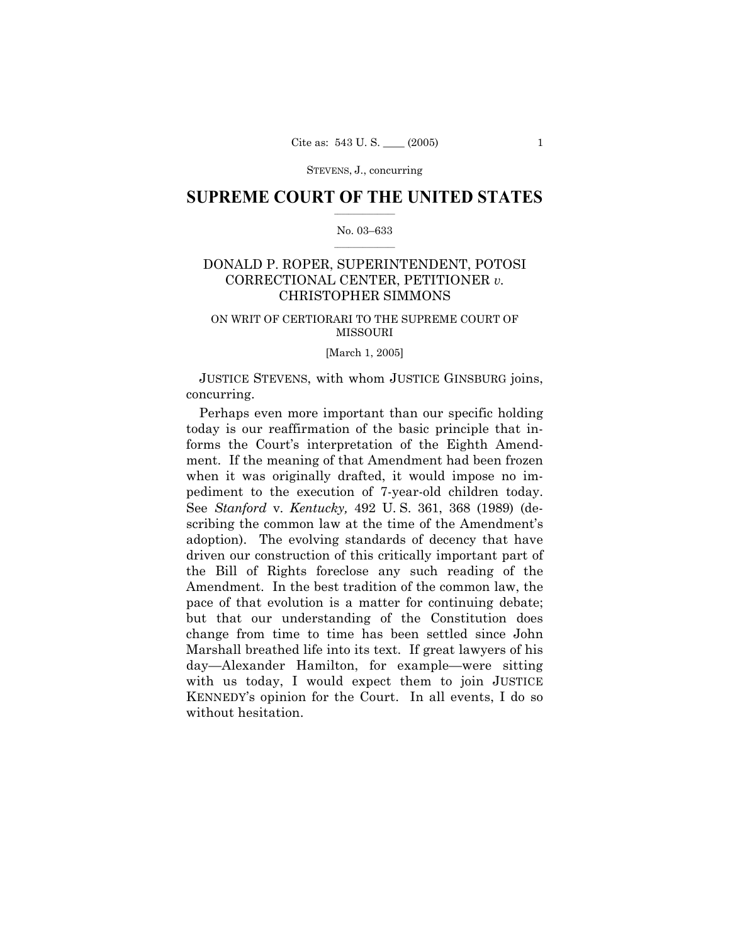STEVENS, J., concurring

# $\frac{1}{2}$  ,  $\frac{1}{2}$  ,  $\frac{1}{2}$  ,  $\frac{1}{2}$  ,  $\frac{1}{2}$  ,  $\frac{1}{2}$  ,  $\frac{1}{2}$ **SUPREME COURT OF THE UNITED STATES**

## $\mathcal{L}=\mathcal{L}$ No. 03–633

# DONALD P. ROPER, SUPERINTENDENT, POTOSI CORRECTIONAL CENTER, PETITIONER *v.* CHRISTOPHER SIMMONS

# ON WRIT OF CERTIORARI TO THE SUPREME COURT OF MISSOURI

[March 1, 2005]

JUSTICE STEVENS, with whom JUSTICE GINSBURG joins, concurring.

Perhaps even more important than our specific holding today is our reaffirmation of the basic principle that informs the Court's interpretation of the Eighth Amendment. If the meaning of that Amendment had been frozen when it was originally drafted, it would impose no impediment to the execution of 7-year-old children today. See *Stanford* v. *Kentucky,* 492 U. S. 361, 368 (1989) (describing the common law at the time of the Amendment's adoption). The evolving standards of decency that have driven our construction of this critically important part of the Bill of Rights foreclose any such reading of the Amendment. In the best tradition of the common law, the pace of that evolution is a matter for continuing debate; but that our understanding of the Constitution does change from time to time has been settled since John Marshall breathed life into its text. If great lawyers of his day—Alexander Hamilton, for example—were sitting with us today, I would expect them to join JUSTICE KENNEDY's opinion for the Court. In all events, I do so without hesitation.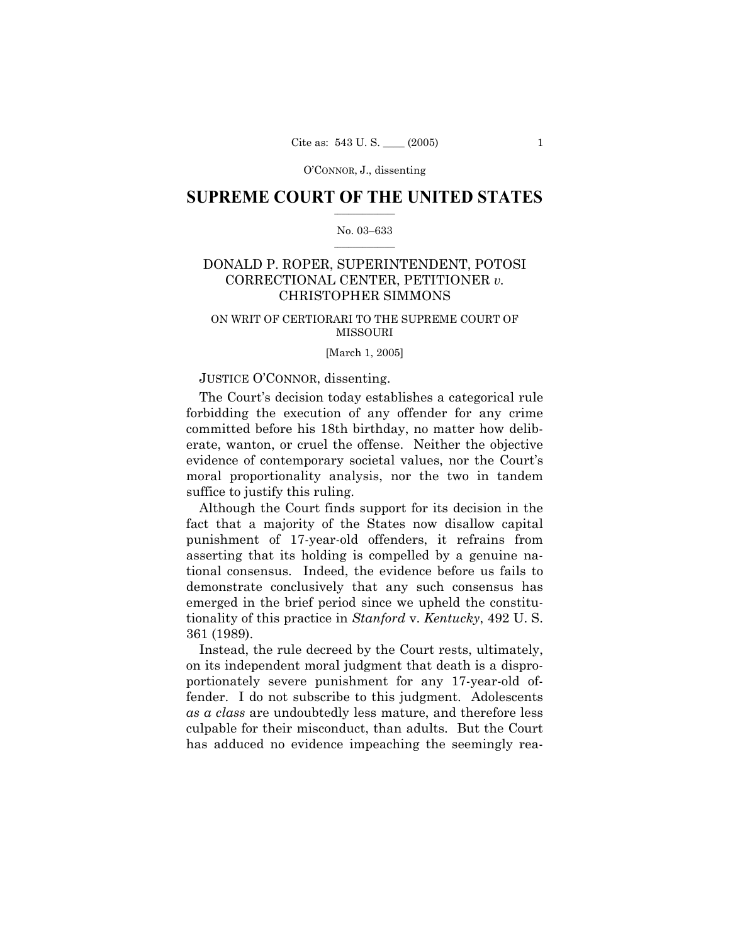# $\frac{1}{2}$  ,  $\frac{1}{2}$  ,  $\frac{1}{2}$  ,  $\frac{1}{2}$  ,  $\frac{1}{2}$  ,  $\frac{1}{2}$  ,  $\frac{1}{2}$ **SUPREME COURT OF THE UNITED STATES**

## $\mathcal{L}=\mathcal{L}$ No. 03–633

# DONALD P. ROPER, SUPERINTENDENT, POTOSI CORRECTIONAL CENTER, PETITIONER *v.*  CHRISTOPHER SIMMONS

# ON WRIT OF CERTIORARI TO THE SUPREME COURT OF MISSOURI

#### [March 1, 2005]

### JUSTICE O'CONNOR, dissenting.

The Court's decision today establishes a categorical rule forbidding the execution of any offender for any crime committed before his 18th birthday, no matter how deliberate, wanton, or cruel the offense. Neither the objective evidence of contemporary societal values, nor the Court's moral proportionality analysis, nor the two in tandem suffice to justify this ruling.

Although the Court finds support for its decision in the fact that a majority of the States now disallow capital punishment of 17-year-old offenders, it refrains from asserting that its holding is compelled by a genuine national consensus. Indeed, the evidence before us fails to demonstrate conclusively that any such consensus has emerged in the brief period since we upheld the constitutionality of this practice in *Stanford* v. *Kentucky*, 492 U. S. 361 (1989).

Instead, the rule decreed by the Court rests, ultimately, on its independent moral judgment that death is a disproportionately severe punishment for any 17-year-old offender. I do not subscribe to this judgment. Adolescents *as a class* are undoubtedly less mature, and therefore less culpable for their misconduct, than adults. But the Court has adduced no evidence impeaching the seemingly rea-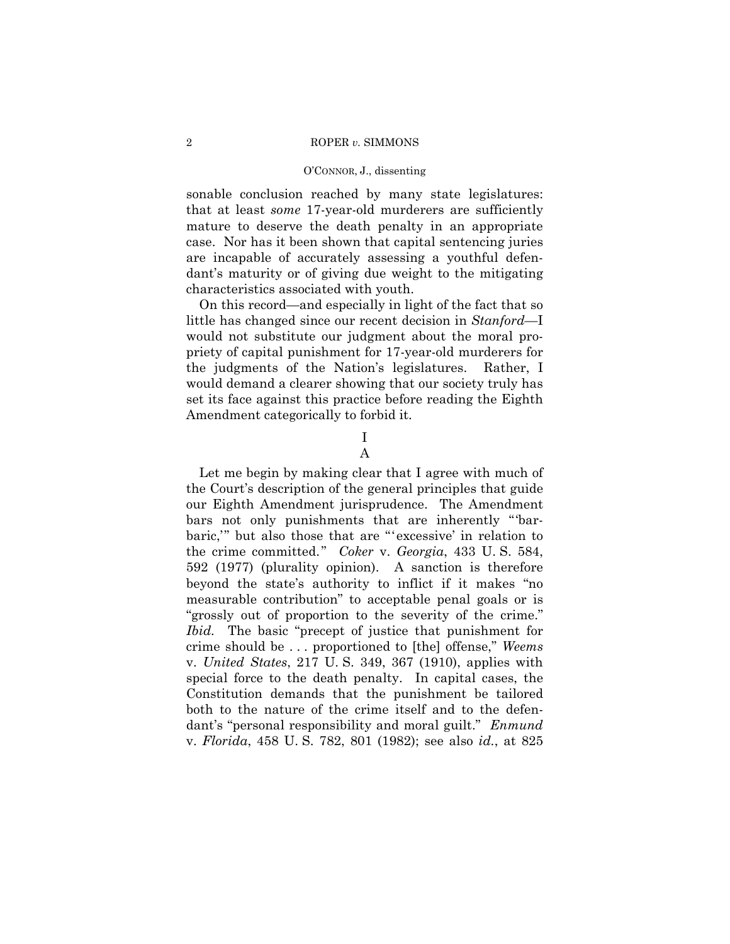#### O'CONNOR, J., dissenting

sonable conclusion reached by many state legislatures: that at least *some* 17-year-old murderers are sufficiently mature to deserve the death penalty in an appropriate case. Nor has it been shown that capital sentencing juries are incapable of accurately assessing a youthful defendant's maturity or of giving due weight to the mitigating characteristics associated with youth.

On this record—and especially in light of the fact that so little has changed since our recent decision in *Stanford*—I would not substitute our judgment about the moral propriety of capital punishment for 17-year-old murderers for the judgments of the Nation's legislatures. Rather, I would demand a clearer showing that our society truly has set its face against this practice before reading the Eighth Amendment categorically to forbid it.

# I A

Let me begin by making clear that I agree with much of the Court's description of the general principles that guide our Eighth Amendment jurisprudence. The Amendment bars not only punishments that are inherently "barbaric," but also those that are "'excessive' in relation to the crime committed." *Coker* v. *Georgia*, 433 U. S. 584, 592 (1977) (plurality opinion). A sanction is therefore beyond the state's authority to inflict if it makes "no measurable contribution" to acceptable penal goals or is "grossly out of proportion to the severity of the crime." *Ibid.* The basic "precept of justice that punishment for crime should be . . . proportioned to [the] offense," *Weems*  v. *United States*, 217 U. S. 349, 367 (1910), applies with special force to the death penalty. In capital cases, the Constitution demands that the punishment be tailored both to the nature of the crime itself and to the defendant's "personal responsibility and moral guilt." *Enmund*  v. *Florida*, 458 U. S. 782, 801 (1982); see also *id.*, at 825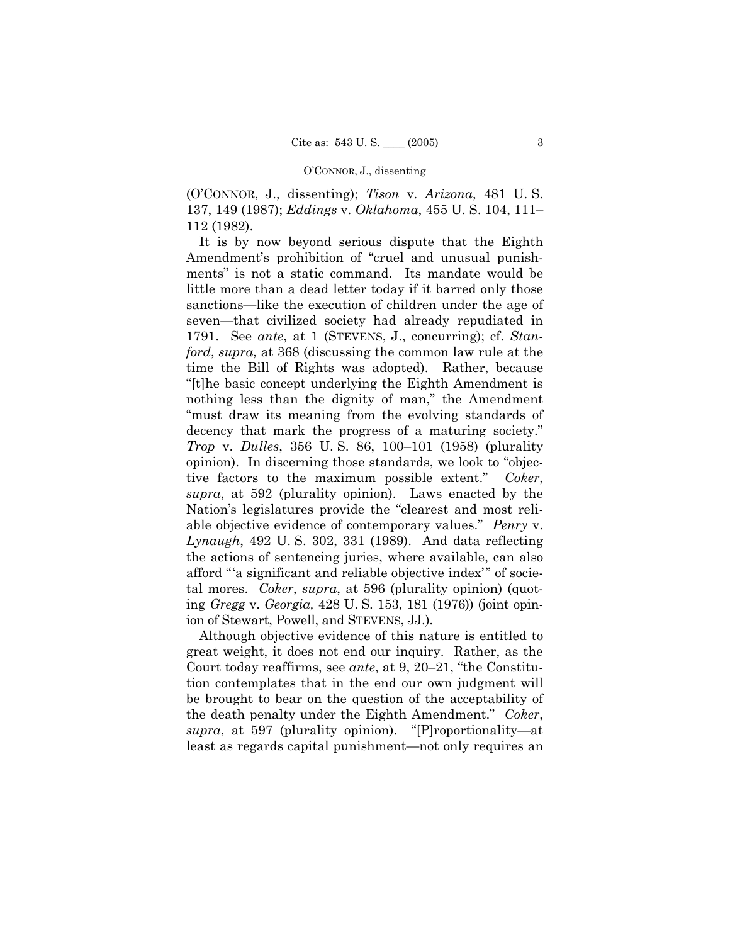(O'CONNOR, J., dissenting); *Tison* v. *Arizona*, 481 U. S. 137, 149 (1987); *Eddings* v. *Oklahoma*, 455 U. S. 104, 111– 112 (1982).

It is by now beyond serious dispute that the Eighth Amendment's prohibition of "cruel and unusual punishments" is not a static command. Its mandate would be little more than a dead letter today if it barred only those sanctions—like the execution of children under the age of seven—that civilized society had already repudiated in 1791. See *ante*, at 1 (STEVENS, J., concurring); cf. *Stanford*, *supra*, at 368 (discussing the common law rule at the time the Bill of Rights was adopted). Rather, because "[t]he basic concept underlying the Eighth Amendment is nothing less than the dignity of man," the Amendment "must draw its meaning from the evolving standards of decency that mark the progress of a maturing society." *Trop* v. *Dulles*, 356 U. S. 86, 100–101 (1958) (plurality opinion). In discerning those standards, we look to "objective factors to the maximum possible extent." *Coker*, *supra*, at 592 (plurality opinion). Laws enacted by the Nation's legislatures provide the "clearest and most reliable objective evidence of contemporary values." *Penry* v. *Lynaugh*, 492 U. S. 302, 331 (1989). And data reflecting the actions of sentencing juries, where available, can also afford " a significant and reliable objective index" of societal mores. *Coker*, *supra*, at 596 (plurality opinion) (quoting *Gregg* v. *Georgia,* 428 U. S. 153, 181 (1976)) (joint opinion of Stewart, Powell, and STEVENS, JJ.).

Although objective evidence of this nature is entitled to great weight, it does not end our inquiry. Rather, as the Court today reaffirms, see *ante*, at 9, 20–21, "the Constitution contemplates that in the end our own judgment will be brought to bear on the question of the acceptability of the death penalty under the Eighth Amendment." *Coker*, *supra*, at 597 (plurality opinion). "[P]roportionality—at least as regards capital punishment—not only requires an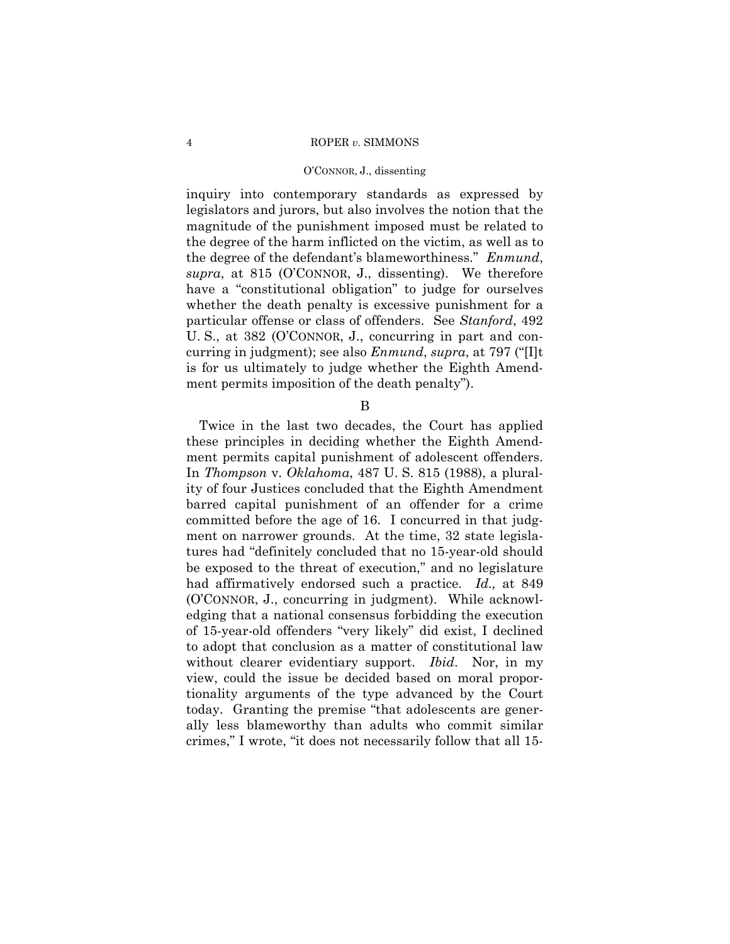#### O'CONNOR, J., dissenting

inquiry into contemporary standards as expressed by legislators and jurors, but also involves the notion that the magnitude of the punishment imposed must be related to the degree of the harm inflicted on the victim, as well as to the degree of the defendant's blameworthiness." *Enmund*, *supra*, at 815 (O'CONNOR, J., dissenting). We therefore have a "constitutional obligation" to judge for ourselves whether the death penalty is excessive punishment for a particular offense or class of offenders. See *Stanford*, 492 U. S., at 382 (O'CONNOR, J., concurring in part and concurring in judgment); see also *Enmund*, *supra*, at 797 ("[I]t is for us ultimately to judge whether the Eighth Amendment permits imposition of the death penalty").

B

Twice in the last two decades, the Court has applied these principles in deciding whether the Eighth Amendment permits capital punishment of adolescent offenders. In *Thompson* v. *Oklahoma*, 487 U. S. 815 (1988), a plurality of four Justices concluded that the Eighth Amendment barred capital punishment of an offender for a crime committed before the age of 16. I concurred in that judgment on narrower grounds. At the time, 32 state legislatures had "definitely concluded that no 15-year-old should be exposed to the threat of execution," and no legislature had affirmatively endorsed such a practice. *Id.,* at 849 (O'CONNOR, J., concurring in judgment). While acknowledging that a national consensus forbidding the execution of 15-year-old offenders "very likely" did exist, I declined to adopt that conclusion as a matter of constitutional law without clearer evidentiary support. *Ibid*. Nor, in my view, could the issue be decided based on moral proportionality arguments of the type advanced by the Court today. Granting the premise "that adolescents are generally less blameworthy than adults who commit similar crimes," I wrote, "it does not necessarily follow that all 15-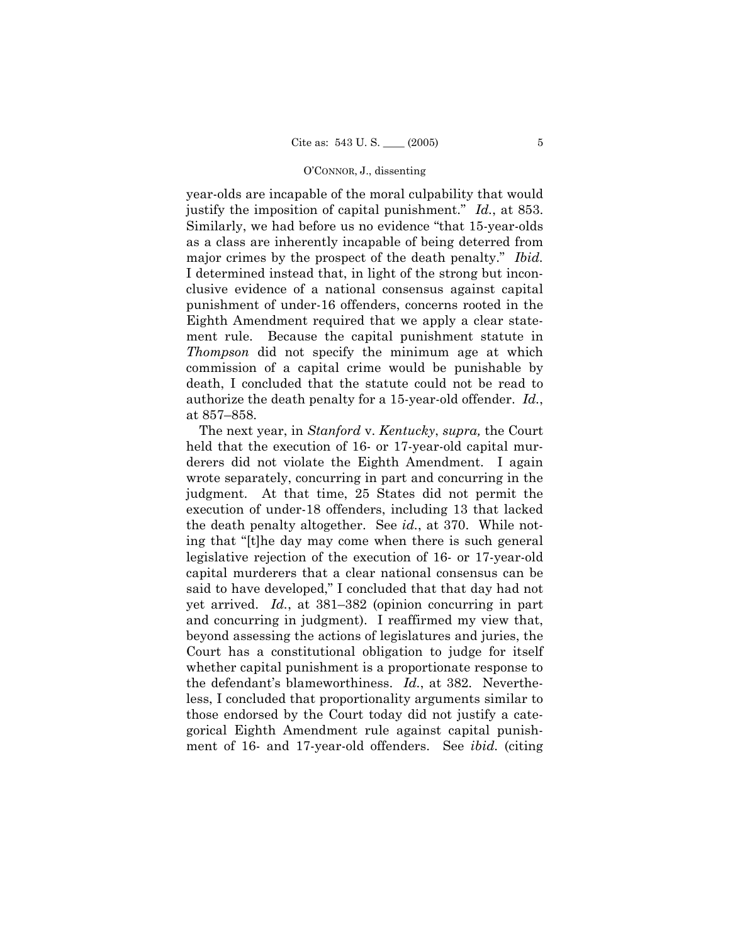year-olds are incapable of the moral culpability that would justify the imposition of capital punishment." *Id.*, at 853. Similarly, we had before us no evidence "that 15-year-olds as a class are inherently incapable of being deterred from major crimes by the prospect of the death penalty." *Ibid.*  I determined instead that, in light of the strong but inconclusive evidence of a national consensus against capital punishment of under-16 offenders, concerns rooted in the Eighth Amendment required that we apply a clear statement rule. Because the capital punishment statute in *Thompson* did not specify the minimum age at which commission of a capital crime would be punishable by death, I concluded that the statute could not be read to authorize the death penalty for a 15-year-old offender. *Id.*, at 857–858.

The next year, in *Stanford* v. *Kentucky*, *supra,* the Court held that the execution of 16- or 17-year-old capital murderers did not violate the Eighth Amendment. I again wrote separately, concurring in part and concurring in the judgment. At that time, 25 States did not permit the execution of under-18 offenders, including 13 that lacked the death penalty altogether. See *id.*, at 370. While noting that "[t]he day may come when there is such general legislative rejection of the execution of 16- or 17-year-old capital murderers that a clear national consensus can be said to have developed," I concluded that that day had not yet arrived. *Id.*, at 381–382 (opinion concurring in part and concurring in judgment). I reaffirmed my view that, beyond assessing the actions of legislatures and juries, the Court has a constitutional obligation to judge for itself whether capital punishment is a proportionate response to the defendant's blameworthiness. *Id.*, at 382. Nevertheless, I concluded that proportionality arguments similar to those endorsed by the Court today did not justify a categorical Eighth Amendment rule against capital punishment of 16- and 17-year-old offenders. See *ibid.* (citing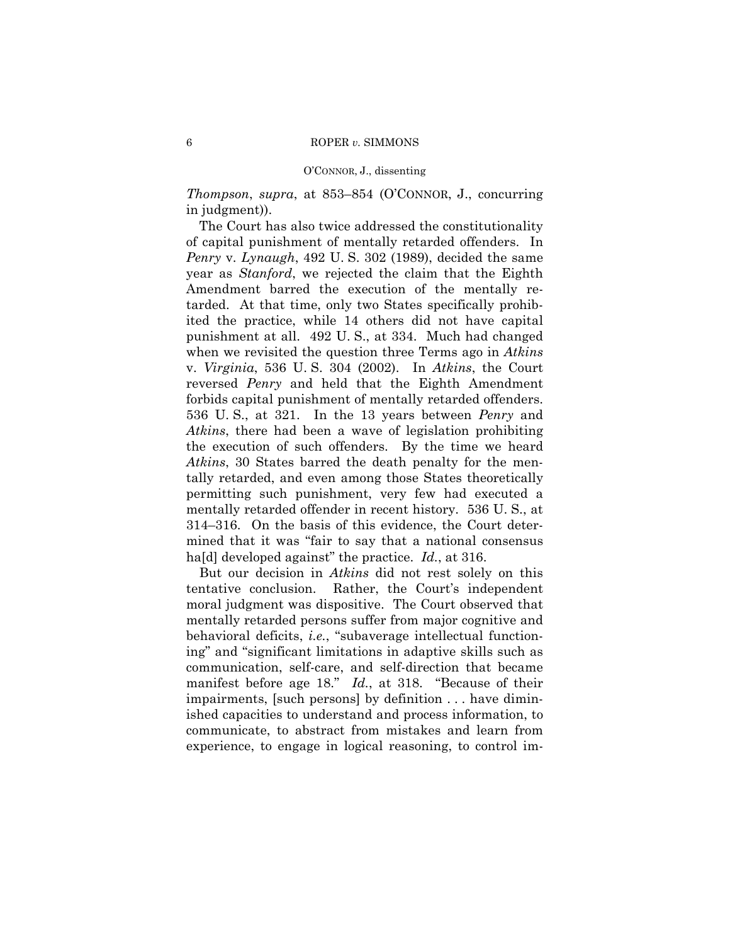*Thompson*, *supra*, at 853–854 (O'CONNOR, J., concurring in judgment)).

The Court has also twice addressed the constitutionality of capital punishment of mentally retarded offenders. In *Penry* v. *Lynaugh*, 492 U. S. 302 (1989), decided the same year as *Stanford*, we rejected the claim that the Eighth Amendment barred the execution of the mentally retarded. At that time, only two States specifically prohibited the practice, while 14 others did not have capital punishment at all. 492 U. S., at 334. Much had changed when we revisited the question three Terms ago in *Atkins*  v. *Virginia*, 536 U. S. 304 (2002). In *Atkins*, the Court reversed *Penry* and held that the Eighth Amendment forbids capital punishment of mentally retarded offenders. 536 U. S., at 321. In the 13 years between *Penry* and *Atkins*, there had been a wave of legislation prohibiting the execution of such offenders. By the time we heard *Atkins*, 30 States barred the death penalty for the mentally retarded, and even among those States theoretically permitting such punishment, very few had executed a mentally retarded offender in recent history. 536 U. S., at 314–316. On the basis of this evidence, the Court determined that it was "fair to say that a national consensus ha[d] developed against" the practice. *Id.*, at 316.

But our decision in *Atkins* did not rest solely on this tentative conclusion. Rather, the Court's independent moral judgment was dispositive. The Court observed that mentally retarded persons suffer from major cognitive and behavioral deficits, *i.e.*, "subaverage intellectual functioning" and "significant limitations in adaptive skills such as communication, self-care, and self-direction that became manifest before age 18." *Id.*, at 318. "Because of their impairments, [such persons] by definition . . . have diminished capacities to understand and process information, to communicate, to abstract from mistakes and learn from experience, to engage in logical reasoning, to control im-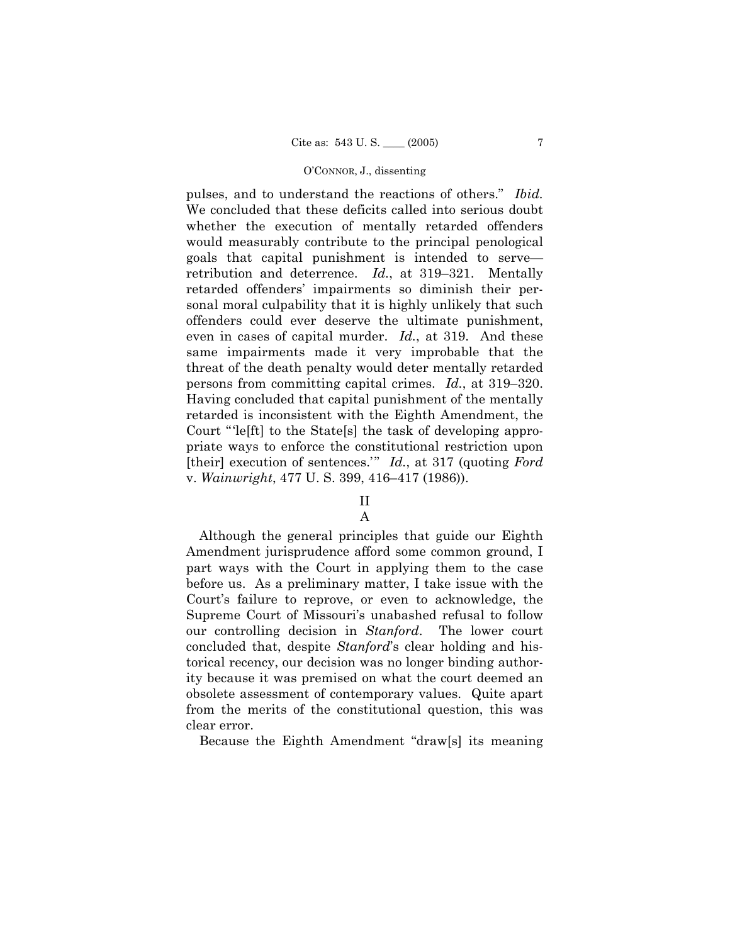pulses, and to understand the reactions of others." *Ibid.*  We concluded that these deficits called into serious doubt whether the execution of mentally retarded offenders would measurably contribute to the principal penological goals that capital punishment is intended to serve retribution and deterrence. *Id.*, at 319–321. Mentally retarded offenders' impairments so diminish their personal moral culpability that it is highly unlikely that such offenders could ever deserve the ultimate punishment, even in cases of capital murder. *Id.*, at 319. And these same impairments made it very improbable that the threat of the death penalty would deter mentally retarded persons from committing capital crimes. *Id.*, at 319–320. Having concluded that capital punishment of the mentally retarded is inconsistent with the Eighth Amendment, the Court " 'le[ft] to the State[s] the task of developing appropriate ways to enforce the constitutional restriction upon [their] execution of sentences.'" *Id.*, at 317 (quoting *Ford*  v. *Wainwright*, 477 U. S. 399, 416–417 (1986)).

# II

# A

Although the general principles that guide our Eighth Amendment jurisprudence afford some common ground, I part ways with the Court in applying them to the case before us. As a preliminary matter, I take issue with the Court's failure to reprove, or even to acknowledge, the Supreme Court of Missouri's unabashed refusal to follow our controlling decision in *Stanford*. The lower court concluded that, despite *Stanford*'s clear holding and historical recency, our decision was no longer binding authority because it was premised on what the court deemed an obsolete assessment of contemporary values. Quite apart from the merits of the constitutional question, this was clear error.

Because the Eighth Amendment "draw[s] its meaning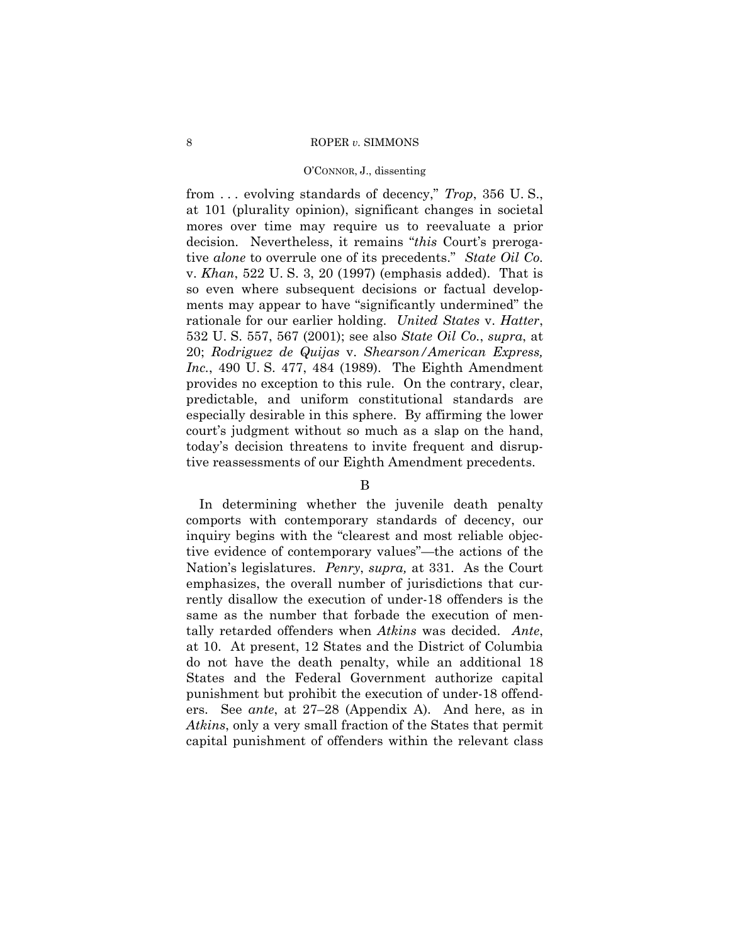#### O'CONNOR, J., dissenting

from . . . evolving standards of decency," *Trop*, 356 U. S., at 101 (plurality opinion), significant changes in societal mores over time may require us to reevaluate a prior decision. Nevertheless, it remains "*this* Court's prerogative *alone* to overrule one of its precedents." *State Oil Co.*  v. *Khan*, 522 U. S. 3, 20 (1997) (emphasis added). That is so even where subsequent decisions or factual developments may appear to have "significantly undermined" the rationale for our earlier holding. *United States* v. *Hatter*, 532 U. S. 557, 567 (2001); see also *State Oil Co.*, *supra*, at 20; *Rodriguez de Quijas* v. *Shearson/American Express, Inc.*, 490 U. S. 477, 484 (1989). The Eighth Amendment provides no exception to this rule. On the contrary, clear, predictable, and uniform constitutional standards are especially desirable in this sphere. By affirming the lower court's judgment without so much as a slap on the hand, today's decision threatens to invite frequent and disruptive reassessments of our Eighth Amendment precedents.

# B

In determining whether the juvenile death penalty comports with contemporary standards of decency, our inquiry begins with the "clearest and most reliable objective evidence of contemporary values"—the actions of the Nation's legislatures. *Penry*, *supra,* at 331. As the Court emphasizes, the overall number of jurisdictions that currently disallow the execution of under-18 offenders is the same as the number that forbade the execution of mentally retarded offenders when *Atkins* was decided. *Ante*, at 10. At present, 12 States and the District of Columbia do not have the death penalty, while an additional 18 States and the Federal Government authorize capital punishment but prohibit the execution of under-18 offenders. See *ante*, at 27–28 (Appendix A). And here, as in *Atkins*, only a very small fraction of the States that permit capital punishment of offenders within the relevant class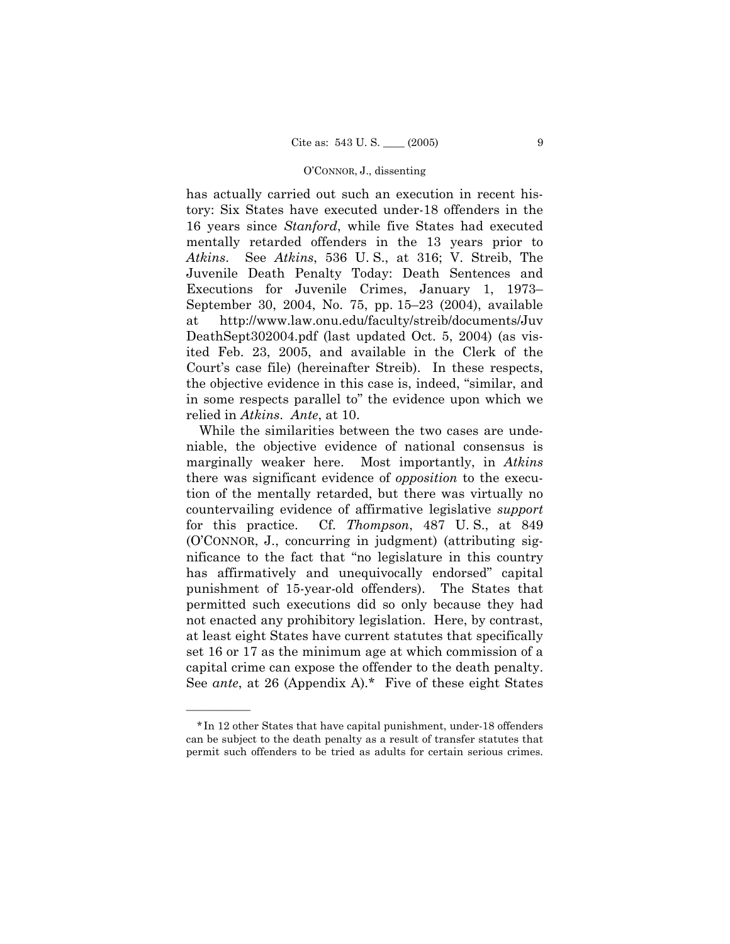has actually carried out such an execution in recent history: Six States have executed under-18 offenders in the 16 years since *Stanford*, while five States had executed mentally retarded offenders in the 13 years prior to *Atkins*. See *Atkins*, 536 U. S., at 316; V. Streib, The Juvenile Death Penalty Today: Death Sentences and Executions for Juvenile Crimes, January 1, 1973– September 30, 2004, No. 75, pp. 15–23 (2004), available at http://www.law.onu.edu/faculty/streib/documents/Juv DeathSept302004.pdf (last updated Oct. 5, 2004) (as visited Feb. 23, 2005, and available in the Clerk of the Court's case file) (hereinafter Streib). In these respects, the objective evidence in this case is, indeed, "similar, and in some respects parallel to" the evidence upon which we relied in *Atkins*. *Ante*, at 10.

While the similarities between the two cases are undeniable, the objective evidence of national consensus is marginally weaker here. Most importantly, in *Atkins*  there was significant evidence of *opposition* to the execution of the mentally retarded, but there was virtually no countervailing evidence of affirmative legislative *support*  for this practice. Cf. *Thompson*, 487 U. S., at 849 (O'CONNOR, J., concurring in judgment) (attributing significance to the fact that "no legislature in this country has affirmatively and unequivocally endorsed" capital punishment of 15-year-old offenders). The States that permitted such executions did so only because they had not enacted any prohibitory legislation. Here, by contrast, at least eight States have current statutes that specifically set 16 or 17 as the minimum age at which commission of a capital crime can expose the offender to the death penalty. See *ante*, at 26 (Appendix A).\* Five of these eight States

<sup>\*</sup> In 12 other States that have capital punishment, under-18 offenders can be subject to the death penalty as a result of transfer statutes that permit such offenders to be tried as adults for certain serious crimes.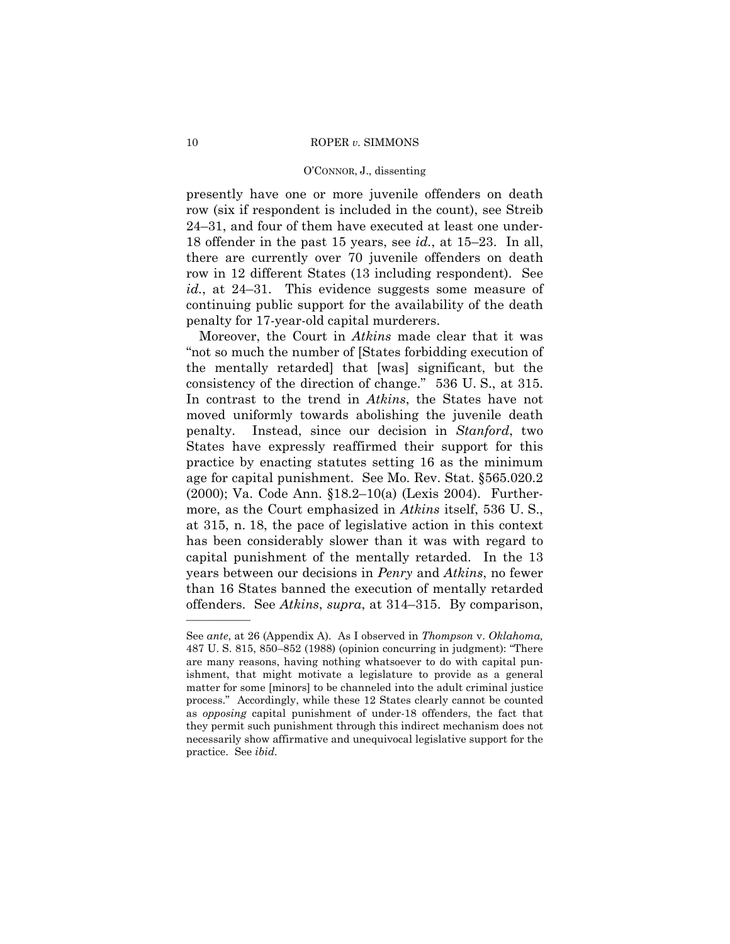#### O'CONNOR, J., dissenting

presently have one or more juvenile offenders on death row (six if respondent is included in the count), see Streib 24–31, and four of them have executed at least one under-18 offender in the past 15 years, see *id.*, at 15–23. In all, there are currently over 70 juvenile offenders on death row in 12 different States (13 including respondent). See id., at 24–31. This evidence suggests some measure of continuing public support for the availability of the death penalty for 17-year-old capital murderers.

Moreover, the Court in *Atkins* made clear that it was "not so much the number of [States forbidding execution of the mentally retarded] that [was] significant, but the consistency of the direction of change." 536 U. S., at 315. In contrast to the trend in *Atkins*, the States have not moved uniformly towards abolishing the juvenile death penalty. Instead, since our decision in *Stanford*, two States have expressly reaffirmed their support for this practice by enacting statutes setting 16 as the minimum age for capital punishment. See Mo. Rev. Stat. §565.020.2 (2000); Va. Code Ann. §18.2–10(a) (Lexis 2004). Furthermore, as the Court emphasized in *Atkins* itself, 536 U. S., at 315, n. 18, the pace of legislative action in this context has been considerably slower than it was with regard to capital punishment of the mentally retarded. In the 13 years between our decisions in *Penry* and *Atkins*, no fewer than 16 States banned the execution of mentally retarded offenders. See *Atkins*, *supra*, at 314–315. By comparison,

See *ante*, at 26 (Appendix A). As I observed in *Thompson* v. *Oklahoma,*  487 U. S. 815, 850–852 (1988) (opinion concurring in judgment): "There are many reasons, having nothing whatsoever to do with capital punishment, that might motivate a legislature to provide as a general matter for some [minors] to be channeled into the adult criminal justice process." Accordingly, while these 12 States clearly cannot be counted as *opposing* capital punishment of under-18 offenders, the fact that they permit such punishment through this indirect mechanism does not necessarily show affirmative and unequivocal legislative support for the practice. See *ibid.*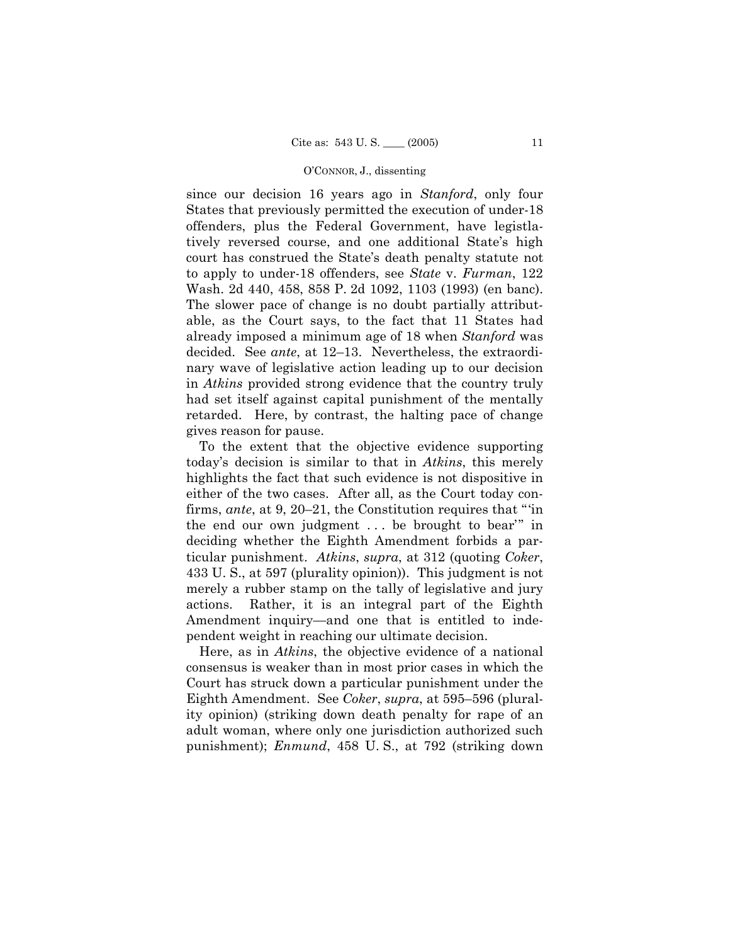since our decision 16 years ago in *Stanford*, only four States that previously permitted the execution of under-18 offenders, plus the Federal Government, have legistlatively reversed course, and one additional State's high court has construed the State's death penalty statute not to apply to under-18 offenders, see *State* v. *Furman*, 122 Wash. 2d 440, 458, 858 P. 2d 1092, 1103 (1993) (en banc). The slower pace of change is no doubt partially attributable, as the Court says, to the fact that 11 States had already imposed a minimum age of 18 when *Stanford* was decided. See *ante*, at 12–13. Nevertheless, the extraordinary wave of legislative action leading up to our decision in *Atkins* provided strong evidence that the country truly had set itself against capital punishment of the mentally retarded. Here, by contrast, the halting pace of change gives reason for pause.

To the extent that the objective evidence supporting today's decision is similar to that in *Atkins*, this merely highlights the fact that such evidence is not dispositive in either of the two cases. After all, as the Court today confirms, *ante*, at 9, 20–21, the Constitution requires that " 'in the end our own judgment . . . be brought to bear'" in deciding whether the Eighth Amendment forbids a particular punishment. *Atkins*, *supra*, at 312 (quoting *Coker*, 433 U. S., at 597 (plurality opinion)). This judgment is not merely a rubber stamp on the tally of legislative and jury actions. Rather, it is an integral part of the Eighth Amendment inquiry—and one that is entitled to independent weight in reaching our ultimate decision.

Here, as in *Atkins*, the objective evidence of a national consensus is weaker than in most prior cases in which the Court has struck down a particular punishment under the Eighth Amendment. See *Coker*, *supra*, at 595–596 (plurality opinion) (striking down death penalty for rape of an adult woman, where only one jurisdiction authorized such punishment); *Enmund*, 458 U. S., at 792 (striking down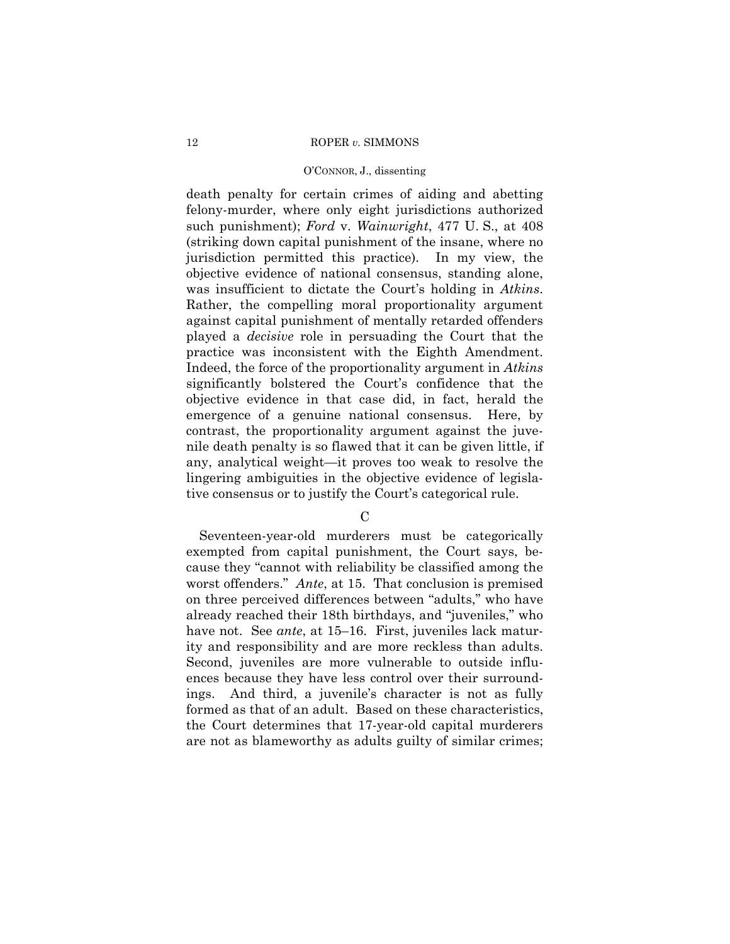#### O'CONNOR, J., dissenting

death penalty for certain crimes of aiding and abetting felony-murder, where only eight jurisdictions authorized such punishment); *Ford* v. *Wainwright*, 477 U. S., at 408 (striking down capital punishment of the insane, where no jurisdiction permitted this practice). In my view, the objective evidence of national consensus, standing alone, was insufficient to dictate the Court's holding in *Atkins*. Rather, the compelling moral proportionality argument against capital punishment of mentally retarded offenders played a *decisive* role in persuading the Court that the practice was inconsistent with the Eighth Amendment. Indeed, the force of the proportionality argument in *Atkins*  significantly bolstered the Court's confidence that the objective evidence in that case did, in fact, herald the emergence of a genuine national consensus. Here, by contrast, the proportionality argument against the juvenile death penalty is so flawed that it can be given little, if any, analytical weight—it proves too weak to resolve the lingering ambiguities in the objective evidence of legislative consensus or to justify the Court's categorical rule.

 $\mathcal{C}$ 

Seventeen-year-old murderers must be categorically exempted from capital punishment, the Court says, because they "cannot with reliability be classified among the worst offenders." *Ante*, at 15. That conclusion is premised on three perceived differences between "adults," who have already reached their 18th birthdays, and "juveniles," who have not. See *ante*, at 15–16. First, juveniles lack maturity and responsibility and are more reckless than adults. Second, juveniles are more vulnerable to outside influences because they have less control over their surroundings. And third, a juvenile's character is not as fully formed as that of an adult. Based on these characteristics, the Court determines that 17-year-old capital murderers are not as blameworthy as adults guilty of similar crimes;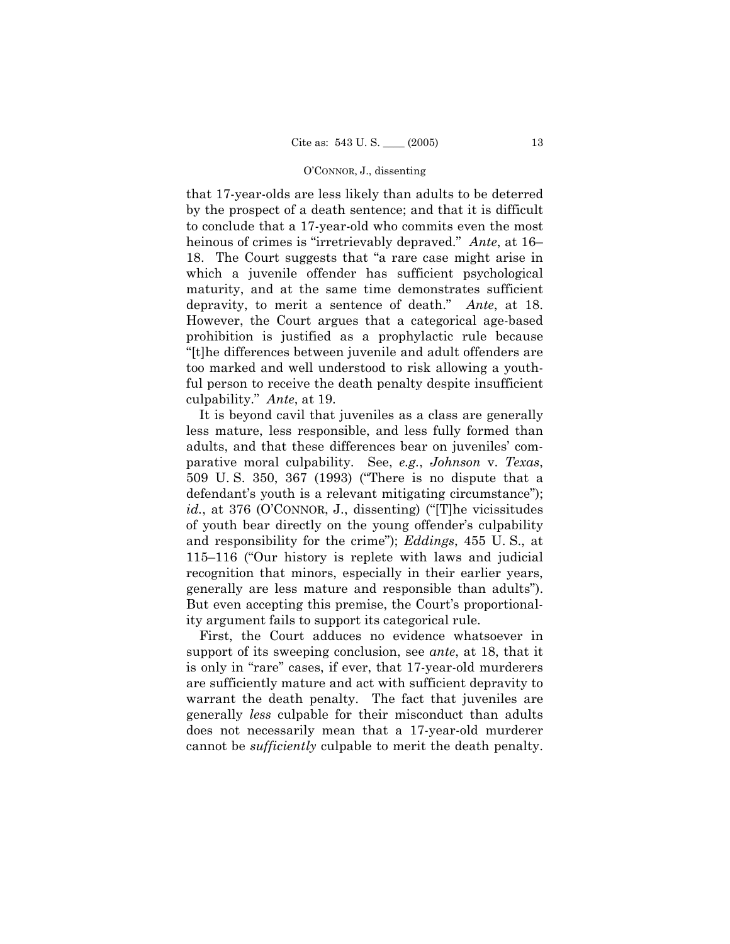that 17-year-olds are less likely than adults to be deterred by the prospect of a death sentence; and that it is difficult to conclude that a 17-year-old who commits even the most heinous of crimes is "irretrievably depraved." *Ante*, at 16– 18. The Court suggests that "a rare case might arise in which a juvenile offender has sufficient psychological maturity, and at the same time demonstrates sufficient depravity, to merit a sentence of death." *Ante*, at 18. However, the Court argues that a categorical age-based prohibition is justified as a prophylactic rule because "[t]he differences between juvenile and adult offenders are too marked and well understood to risk allowing a youthful person to receive the death penalty despite insufficient culpability." *Ante*, at 19.

It is beyond cavil that juveniles as a class are generally less mature, less responsible, and less fully formed than adults, and that these differences bear on juveniles' comparative moral culpability. See, *e.g.*, *Johnson* v. *Texas*, 509 U. S. 350, 367 (1993) ("There is no dispute that a defendant's youth is a relevant mitigating circumstance"); *id.*, at 376 (O'CONNOR, J., dissenting) ("[T]he vicissitudes of youth bear directly on the young offender's culpability and responsibility for the crime"); *Eddings*, 455 U. S., at 115–116 ("Our history is replete with laws and judicial recognition that minors, especially in their earlier years, generally are less mature and responsible than adults"). But even accepting this premise, the Court's proportionality argument fails to support its categorical rule.

First, the Court adduces no evidence whatsoever in support of its sweeping conclusion, see *ante*, at 18, that it is only in "rare" cases, if ever, that 17-year-old murderers are sufficiently mature and act with sufficient depravity to warrant the death penalty. The fact that juveniles are generally *less* culpable for their misconduct than adults does not necessarily mean that a 17-year-old murderer cannot be *sufficiently* culpable to merit the death penalty.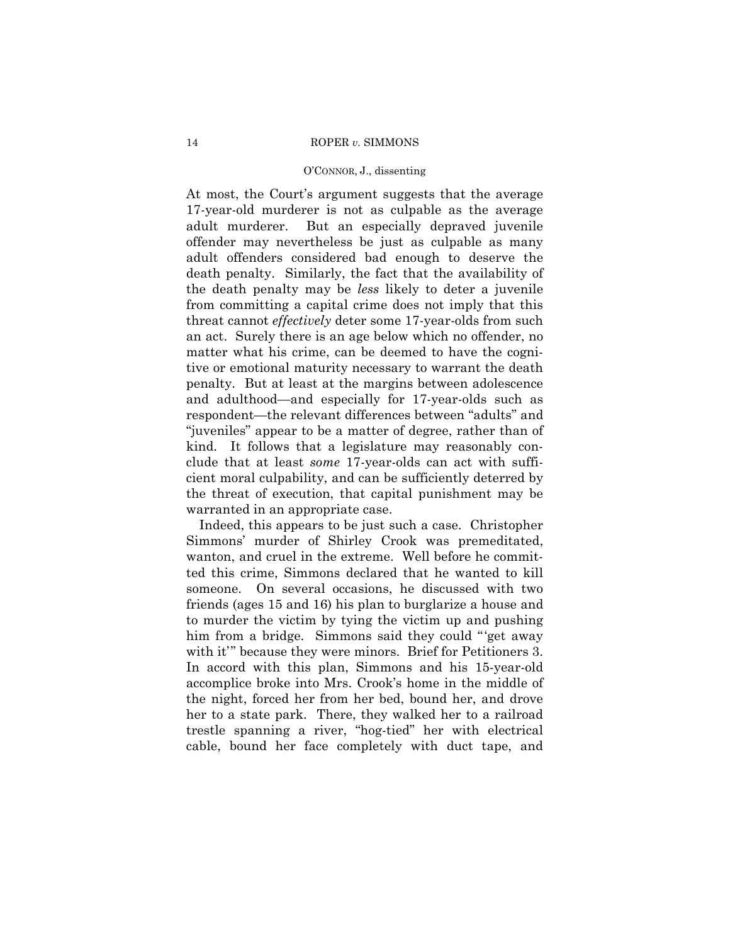#### O'CONNOR, J., dissenting

At most, the Court's argument suggests that the average 17-year-old murderer is not as culpable as the average adult murderer. But an especially depraved juvenile offender may nevertheless be just as culpable as many adult offenders considered bad enough to deserve the death penalty. Similarly, the fact that the availability of the death penalty may be *less* likely to deter a juvenile from committing a capital crime does not imply that this threat cannot *effectively* deter some 17-year-olds from such an act. Surely there is an age below which no offender, no matter what his crime, can be deemed to have the cognitive or emotional maturity necessary to warrant the death penalty. But at least at the margins between adolescence and adulthood—and especially for 17-year-olds such as respondent—the relevant differences between "adults" and "juveniles" appear to be a matter of degree, rather than of kind. It follows that a legislature may reasonably conclude that at least *some* 17-year-olds can act with sufficient moral culpability, and can be sufficiently deterred by the threat of execution, that capital punishment may be warranted in an appropriate case.

Indeed, this appears to be just such a case. Christopher Simmons' murder of Shirley Crook was premeditated, wanton, and cruel in the extreme. Well before he committed this crime, Simmons declared that he wanted to kill someone. On several occasions, he discussed with two friends (ages 15 and 16) his plan to burglarize a house and to murder the victim by tying the victim up and pushing him from a bridge. Simmons said they could "'get away with it" because they were minors. Brief for Petitioners 3. In accord with this plan, Simmons and his 15-year-old accomplice broke into Mrs. Crook's home in the middle of the night, forced her from her bed, bound her, and drove her to a state park. There, they walked her to a railroad trestle spanning a river, "hog-tied" her with electrical cable, bound her face completely with duct tape, and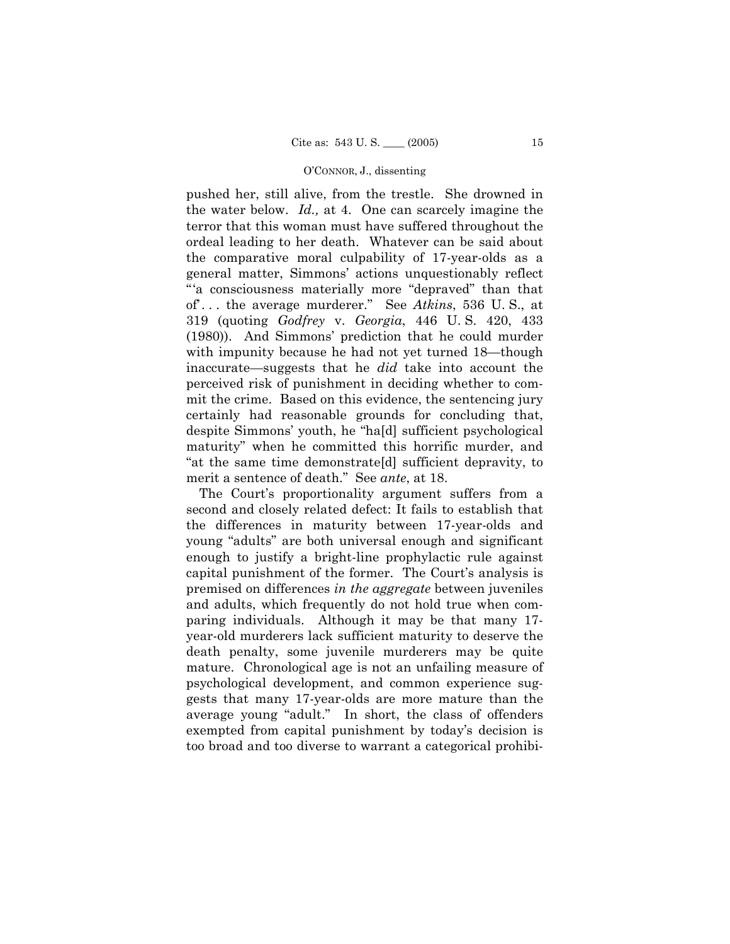pushed her, still alive, from the trestle. She drowned in the water below. *Id.,* at 4. One can scarcely imagine the terror that this woman must have suffered throughout the ordeal leading to her death. Whatever can be said about the comparative moral culpability of 17-year-olds as a general matter, Simmons' actions unquestionably reflect " a consciousness materially more "depraved" than that of' . . . the average murderer." See *Atkins*, 536 U. S., at 319 (quoting *Godfrey* v. *Georgia*, 446 U. S. 420, 433 (1980)). And Simmons' prediction that he could murder with impunity because he had not yet turned 18—though inaccurate—suggests that he *did* take into account the perceived risk of punishment in deciding whether to commit the crime. Based on this evidence, the sentencing jury certainly had reasonable grounds for concluding that, despite Simmons' youth, he "ha[d] sufficient psychological maturity" when he committed this horrific murder, and "at the same time demonstrate[d] sufficient depravity, to merit a sentence of death." See *ante*, at 18.

The Court's proportionality argument suffers from a second and closely related defect: It fails to establish that the differences in maturity between 17-year-olds and young "adults" are both universal enough and significant enough to justify a bright-line prophylactic rule against capital punishment of the former. The Court's analysis is premised on differences *in the aggregate* between juveniles and adults, which frequently do not hold true when comparing individuals. Although it may be that many 17 year-old murderers lack sufficient maturity to deserve the death penalty, some juvenile murderers may be quite mature. Chronological age is not an unfailing measure of psychological development, and common experience suggests that many 17-year-olds are more mature than the average young "adult." In short, the class of offenders exempted from capital punishment by today's decision is too broad and too diverse to warrant a categorical prohibi-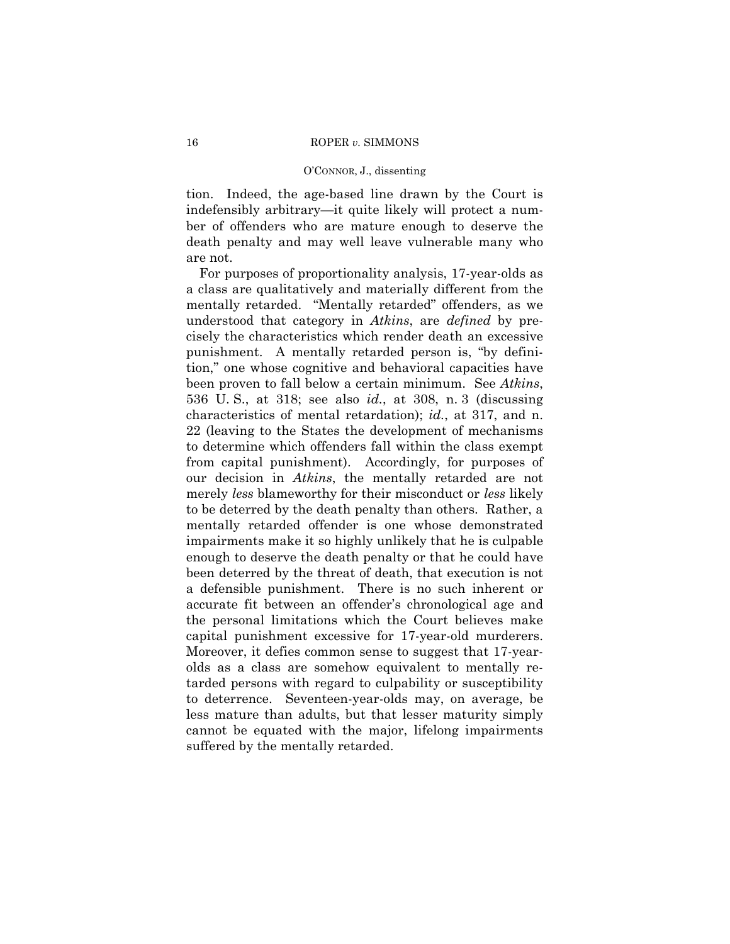#### O'CONNOR, J., dissenting

tion. Indeed, the age-based line drawn by the Court is indefensibly arbitrary—it quite likely will protect a number of offenders who are mature enough to deserve the death penalty and may well leave vulnerable many who are not.

For purposes of proportionality analysis, 17-year-olds as a class are qualitatively and materially different from the mentally retarded. "Mentally retarded" offenders, as we understood that category in *Atkins*, are *defined* by precisely the characteristics which render death an excessive punishment. A mentally retarded person is, "by definition," one whose cognitive and behavioral capacities have been proven to fall below a certain minimum. See *Atkins*, 536 U. S., at 318; see also *id.*, at 308, n. 3 (discussing characteristics of mental retardation); *id.*, at 317, and n. 22 (leaving to the States the development of mechanisms to determine which offenders fall within the class exempt from capital punishment). Accordingly, for purposes of our decision in *Atkins*, the mentally retarded are not merely *less* blameworthy for their misconduct or *less* likely to be deterred by the death penalty than others. Rather, a mentally retarded offender is one whose demonstrated impairments make it so highly unlikely that he is culpable enough to deserve the death penalty or that he could have been deterred by the threat of death, that execution is not a defensible punishment. There is no such inherent or accurate fit between an offender's chronological age and the personal limitations which the Court believes make capital punishment excessive for 17-year-old murderers. Moreover, it defies common sense to suggest that 17-yearolds as a class are somehow equivalent to mentally retarded persons with regard to culpability or susceptibility to deterrence. Seventeen-year-olds may, on average, be less mature than adults, but that lesser maturity simply cannot be equated with the major, lifelong impairments suffered by the mentally retarded.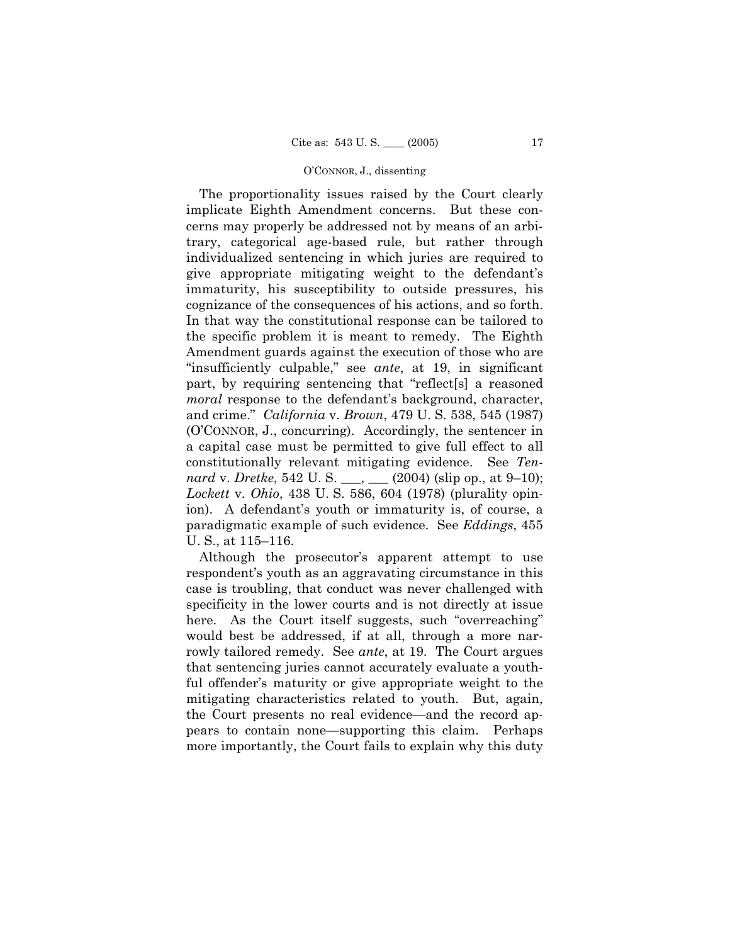The proportionality issues raised by the Court clearly implicate Eighth Amendment concerns. But these concerns may properly be addressed not by means of an arbitrary, categorical age-based rule, but rather through individualized sentencing in which juries are required to give appropriate mitigating weight to the defendant's immaturity, his susceptibility to outside pressures, his cognizance of the consequences of his actions, and so forth. In that way the constitutional response can be tailored to the specific problem it is meant to remedy. The Eighth Amendment guards against the execution of those who are "insufficiently culpable," see *ante*, at 19, in significant part, by requiring sentencing that "reflect[s] a reasoned *moral* response to the defendant's background, character, and crime." *California* v. *Brown*, 479 U. S. 538, 545 (1987) (O'CONNOR, J., concurring). Accordingly, the sentencer in a capital case must be permitted to give full effect to all constitutionally relevant mitigating evidence. See *Tennard* v. *Dretke*, 542 U. S. \_\_\_, \_\_\_ (2004) (slip op., at 9–10); *Lockett* v. *Ohio*, 438 U. S. 586, 604 (1978) (plurality opinion). A defendant's youth or immaturity is, of course, a paradigmatic example of such evidence. See *Eddings*, 455 U. S., at 115–116.

Although the prosecutor's apparent attempt to use respondent's youth as an aggravating circumstance in this case is troubling, that conduct was never challenged with specificity in the lower courts and is not directly at issue here. As the Court itself suggests, such "overreaching" would best be addressed, if at all, through a more narrowly tailored remedy. See *ante*, at 19. The Court argues that sentencing juries cannot accurately evaluate a youthful offender's maturity or give appropriate weight to the mitigating characteristics related to youth. But, again, the Court presents no real evidence—and the record appears to contain none—supporting this claim. Perhaps more importantly, the Court fails to explain why this duty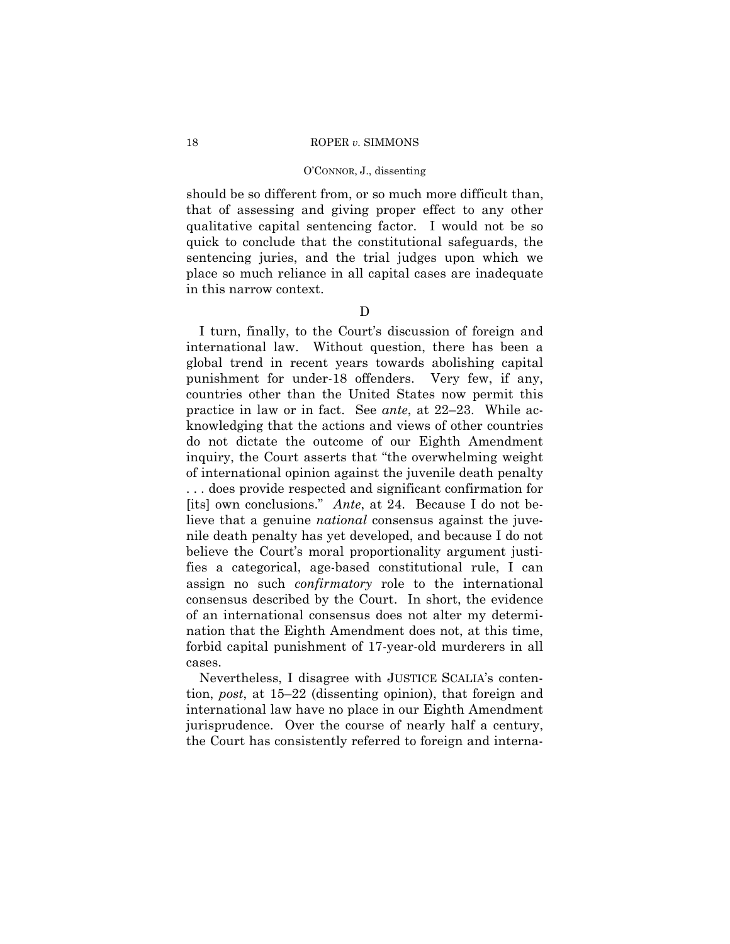should be so different from, or so much more difficult than, that of assessing and giving proper effect to any other qualitative capital sentencing factor. I would not be so quick to conclude that the constitutional safeguards, the sentencing juries, and the trial judges upon which we place so much reliance in all capital cases are inadequate in this narrow context.

## D

I turn, finally, to the Court's discussion of foreign and international law. Without question, there has been a global trend in recent years towards abolishing capital punishment for under-18 offenders. Very few, if any, countries other than the United States now permit this practice in law or in fact. See *ante*, at 22–23. While acknowledging that the actions and views of other countries do not dictate the outcome of our Eighth Amendment inquiry, the Court asserts that "the overwhelming weight of international opinion against the juvenile death penalty

. . . does provide respected and significant confirmation for [its] own conclusions." *Ante*, at 24. Because I do not believe that a genuine *national* consensus against the juvenile death penalty has yet developed, and because I do not believe the Court's moral proportionality argument justifies a categorical, age-based constitutional rule, I can assign no such *confirmatory* role to the international consensus described by the Court. In short, the evidence of an international consensus does not alter my determination that the Eighth Amendment does not, at this time, forbid capital punishment of 17-year-old murderers in all cases.

Nevertheless, I disagree with JUSTICE SCALIA's contention, *post*, at 15–22 (dissenting opinion), that foreign and international law have no place in our Eighth Amendment jurisprudence. Over the course of nearly half a century, the Court has consistently referred to foreign and interna-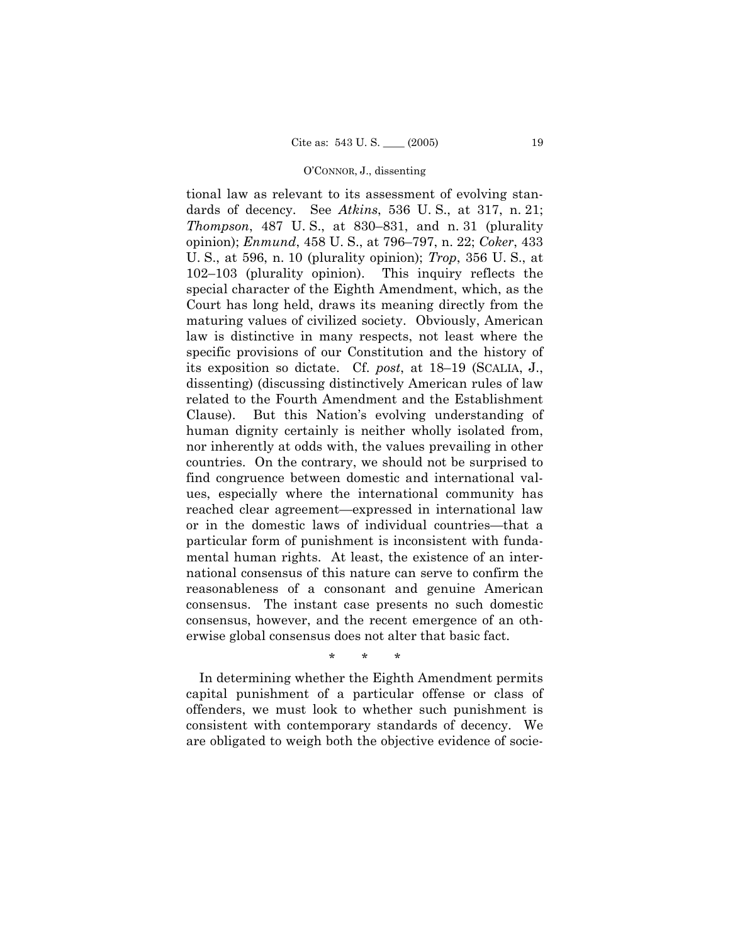tional law as relevant to its assessment of evolving standards of decency. See *Atkins*, 536 U. S., at 317, n. 21; *Thompson*, 487 U. S., at 830–831, and n. 31 (plurality opinion); *Enmund*, 458 U. S., at 796–797, n. 22; *Coker*, 433 U. S., at 596, n. 10 (plurality opinion); *Trop*, 356 U. S., at 102–103 (plurality opinion). This inquiry reflects the special character of the Eighth Amendment, which, as the Court has long held, draws its meaning directly from the maturing values of civilized society. Obviously, American law is distinctive in many respects, not least where the specific provisions of our Constitution and the history of its exposition so dictate. Cf. *post*, at 18–19 (SCALIA, J., dissenting) (discussing distinctively American rules of law related to the Fourth Amendment and the Establishment Clause). But this Nation's evolving understanding of human dignity certainly is neither wholly isolated from, nor inherently at odds with, the values prevailing in other countries. On the contrary, we should not be surprised to find congruence between domestic and international values, especially where the international community has reached clear agreement—expressed in international law or in the domestic laws of individual countries—that a particular form of punishment is inconsistent with fundamental human rights. At least, the existence of an international consensus of this nature can serve to confirm the reasonableness of a consonant and genuine American consensus. The instant case presents no such domestic consensus, however, and the recent emergence of an otherwise global consensus does not alter that basic fact.

\* \* \*

In determining whether the Eighth Amendment permits capital punishment of a particular offense or class of offenders, we must look to whether such punishment is consistent with contemporary standards of decency. We are obligated to weigh both the objective evidence of socie-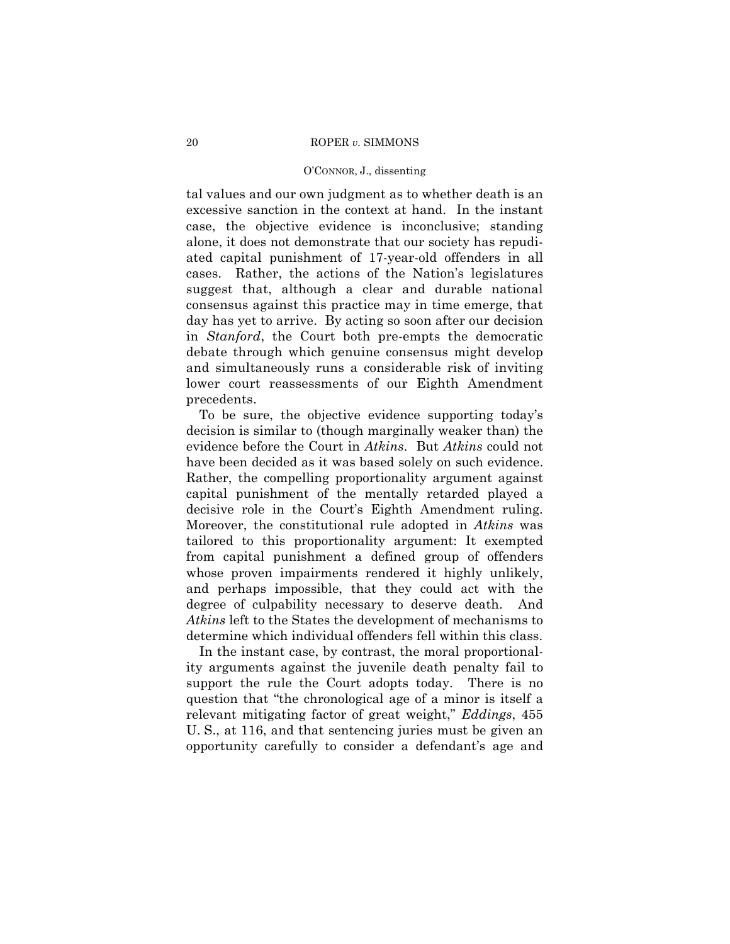#### O'CONNOR, J., dissenting

tal values and our own judgment as to whether death is an excessive sanction in the context at hand. In the instant case, the objective evidence is inconclusive; standing alone, it does not demonstrate that our society has repudiated capital punishment of 17-year-old offenders in all cases. Rather, the actions of the Nation's legislatures suggest that, although a clear and durable national consensus against this practice may in time emerge, that day has yet to arrive. By acting so soon after our decision in *Stanford*, the Court both pre-empts the democratic debate through which genuine consensus might develop and simultaneously runs a considerable risk of inviting lower court reassessments of our Eighth Amendment precedents.

To be sure, the objective evidence supporting today's decision is similar to (though marginally weaker than) the evidence before the Court in *Atkins*. But *Atkins* could not have been decided as it was based solely on such evidence. Rather, the compelling proportionality argument against capital punishment of the mentally retarded played a decisive role in the Court's Eighth Amendment ruling. Moreover, the constitutional rule adopted in *Atkins* was tailored to this proportionality argument: It exempted from capital punishment a defined group of offenders whose proven impairments rendered it highly unlikely, and perhaps impossible, that they could act with the degree of culpability necessary to deserve death. And *Atkins* left to the States the development of mechanisms to determine which individual offenders fell within this class.

In the instant case, by contrast, the moral proportionality arguments against the juvenile death penalty fail to support the rule the Court adopts today. There is no question that "the chronological age of a minor is itself a relevant mitigating factor of great weight," *Eddings*, 455 U. S., at 116, and that sentencing juries must be given an opportunity carefully to consider a defendant's age and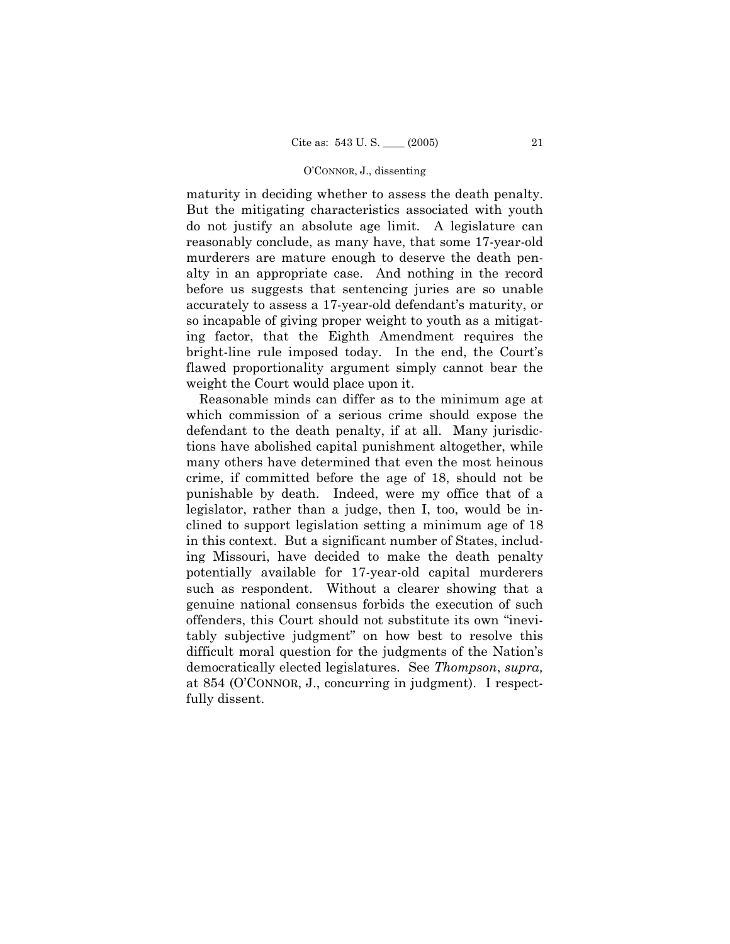maturity in deciding whether to assess the death penalty. But the mitigating characteristics associated with youth do not justify an absolute age limit. A legislature can reasonably conclude, as many have, that some 17-year-old murderers are mature enough to deserve the death penalty in an appropriate case. And nothing in the record before us suggests that sentencing juries are so unable accurately to assess a 17-year-old defendant's maturity, or so incapable of giving proper weight to youth as a mitigating factor, that the Eighth Amendment requires the bright-line rule imposed today. In the end, the Court's flawed proportionality argument simply cannot bear the weight the Court would place upon it.

Reasonable minds can differ as to the minimum age at which commission of a serious crime should expose the defendant to the death penalty, if at all. Many jurisdictions have abolished capital punishment altogether, while many others have determined that even the most heinous crime, if committed before the age of 18, should not be punishable by death. Indeed, were my office that of a legislator, rather than a judge, then I, too, would be inclined to support legislation setting a minimum age of 18 in this context. But a significant number of States, including Missouri, have decided to make the death penalty potentially available for 17-year-old capital murderers such as respondent. Without a clearer showing that a genuine national consensus forbids the execution of such offenders, this Court should not substitute its own "inevitably subjective judgment" on how best to resolve this difficult moral question for the judgments of the Nation's democratically elected legislatures. See *Thompson*, *supra,*  at 854 (O'CONNOR, J., concurring in judgment). I respectfully dissent.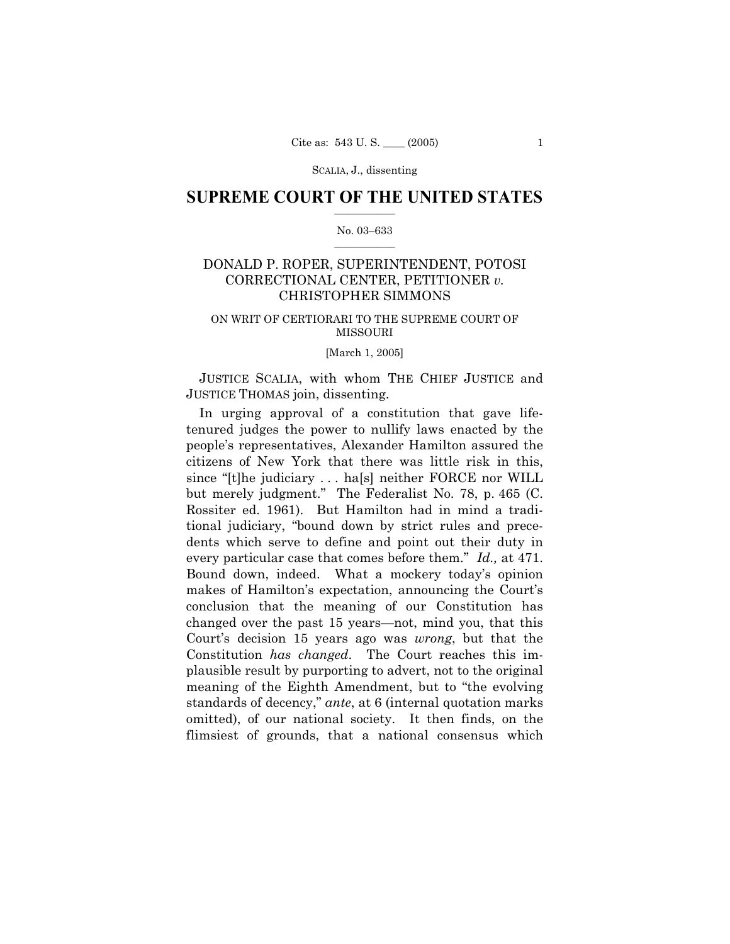# $\frac{1}{2}$  ,  $\frac{1}{2}$  ,  $\frac{1}{2}$  ,  $\frac{1}{2}$  ,  $\frac{1}{2}$  ,  $\frac{1}{2}$  ,  $\frac{1}{2}$ **SUPREME COURT OF THE UNITED STATES**

# $\mathcal{L}=\mathcal{L}$ No. 03–633

# DONALD P. ROPER, SUPERINTENDENT, POTOSI CORRECTIONAL CENTER, PETITIONER *v.*  CHRISTOPHER SIMMONS

#### ON WRIT OF CERTIORARI TO THE SUPREME COURT OF MISSOURI

#### [March 1, 2005]

JUSTICE SCALIA, with whom THE CHIEF JUSTICE and JUSTICE THOMAS join, dissenting.

In urging approval of a constitution that gave lifetenured judges the power to nullify laws enacted by the people's representatives, Alexander Hamilton assured the citizens of New York that there was little risk in this, since "[t]he judiciary . . . ha[s] neither FORCE nor WILL but merely judgment." The Federalist No. 78, p. 465 (C. Rossiter ed. 1961). But Hamilton had in mind a traditional judiciary, "bound down by strict rules and precedents which serve to define and point out their duty in every particular case that comes before them." *Id.,* at 471. Bound down, indeed. What a mockery today's opinion makes of Hamilton's expectation, announcing the Court's conclusion that the meaning of our Constitution has changed over the past 15 years—not, mind you, that this Court's decision 15 years ago was *wrong*, but that the Constitution *has changed*. The Court reaches this implausible result by purporting to advert, not to the original meaning of the Eighth Amendment, but to "the evolving standards of decency," *ante*, at 6 (internal quotation marks omitted), of our national society. It then finds, on the flimsiest of grounds, that a national consensus which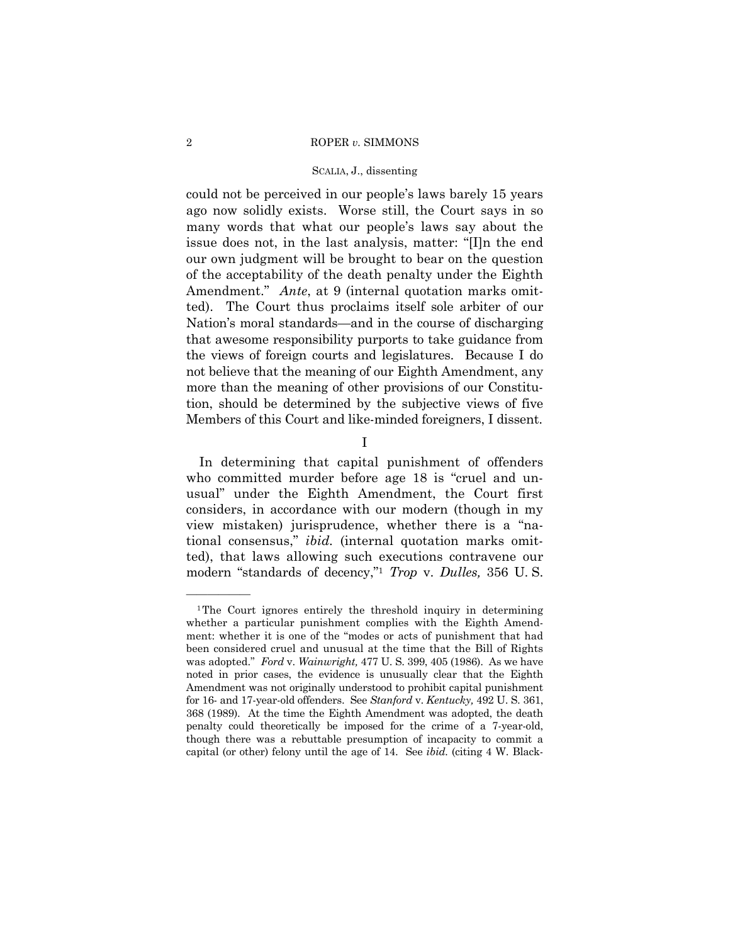#### SCALIA, J., dissenting

could not be perceived in our people's laws barely 15 years ago now solidly exists. Worse still, the Court says in so many words that what our people's laws say about the issue does not, in the last analysis, matter: "[I]n the end our own judgment will be brought to bear on the question of the acceptability of the death penalty under the Eighth Amendment." *Ante*, at 9 (internal quotation marks omitted). The Court thus proclaims itself sole arbiter of our Nation's moral standards—and in the course of discharging that awesome responsibility purports to take guidance from the views of foreign courts and legislatures. Because I do not believe that the meaning of our Eighth Amendment, any more than the meaning of other provisions of our Constitution, should be determined by the subjective views of five Members of this Court and like-minded foreigners, I dissent.

I

In determining that capital punishment of offenders who committed murder before age 18 is "cruel and unusual" under the Eighth Amendment, the Court first considers, in accordance with our modern (though in my view mistaken) jurisprudence, whether there is a "national consensus," *ibid.* (internal quotation marks omitted), that laws allowing such executions contravene our modern "standards of decency,"1 *Trop* v. *Dulles,* 356 U. S.

<sup>1</sup>The Court ignores entirely the threshold inquiry in determining whether a particular punishment complies with the Eighth Amendment: whether it is one of the "modes or acts of punishment that had been considered cruel and unusual at the time that the Bill of Rights was adopted." *Ford* v. *Wainwright,* 477 U. S. 399, 405 (1986). As we have noted in prior cases, the evidence is unusually clear that the Eighth Amendment was not originally understood to prohibit capital punishment for 16- and 17-year-old offenders. See *Stanford* v. *Kentucky,* 492 U. S. 361, 368 (1989). At the time the Eighth Amendment was adopted, the death penalty could theoretically be imposed for the crime of a 7-year-old, though there was a rebuttable presumption of incapacity to commit a capital (or other) felony until the age of 14. See *ibid.* (citing 4 W. Black-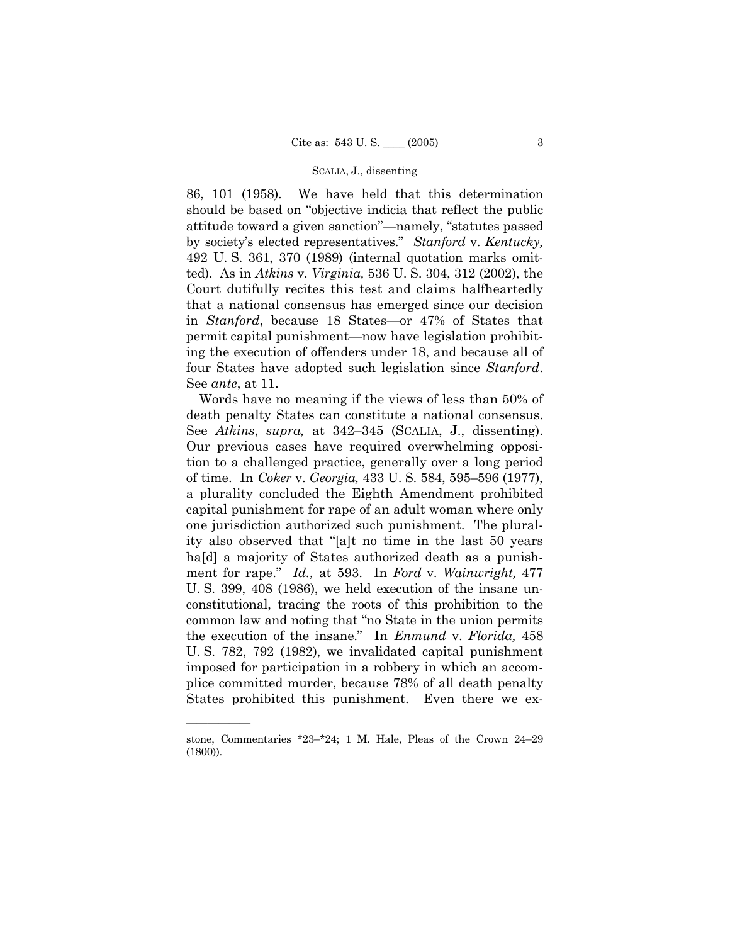86, 101 (1958). We have held that this determination should be based on "objective indicia that reflect the public attitude toward a given sanction"—namely, "statutes passed by society's elected representatives." *Stanford* v. *Kentucky,*  492 U. S. 361, 370 (1989) (internal quotation marks omitted). As in *Atkins* v. *Virginia,* 536 U. S. 304, 312 (2002), the Court dutifully recites this test and claims halfheartedly that a national consensus has emerged since our decision in *Stanford*, because 18 States—or 47% of States that permit capital punishment—now have legislation prohibiting the execution of offenders under 18, and because all of four States have adopted such legislation since *Stanford*. See *ante*, at 11.

Words have no meaning if the views of less than 50% of death penalty States can constitute a national consensus. See *Atkins*, *supra,* at 342–345 (SCALIA, J., dissenting). Our previous cases have required overwhelming opposition to a challenged practice, generally over a long period of time. In *Coker* v. *Georgia,* 433 U. S. 584, 595–596 (1977), a plurality concluded the Eighth Amendment prohibited capital punishment for rape of an adult woman where only one jurisdiction authorized such punishment. The plurality also observed that "[a]t no time in the last 50 years ha<sup>[d]</sup> a majority of States authorized death as a punishment for rape." *Id.,* at 593. In *Ford* v. *Wainwright,* 477 U. S. 399, 408 (1986), we held execution of the insane unconstitutional, tracing the roots of this prohibition to the common law and noting that "no State in the union permits the execution of the insane." In *Enmund* v. *Florida,* 458 U. S. 782, 792 (1982), we invalidated capital punishment imposed for participation in a robbery in which an accomplice committed murder, because 78% of all death penalty States prohibited this punishment. Even there we ex-

stone, Commentaries \*23–\*24; 1 M. Hale, Pleas of the Crown 24–29 (1800)).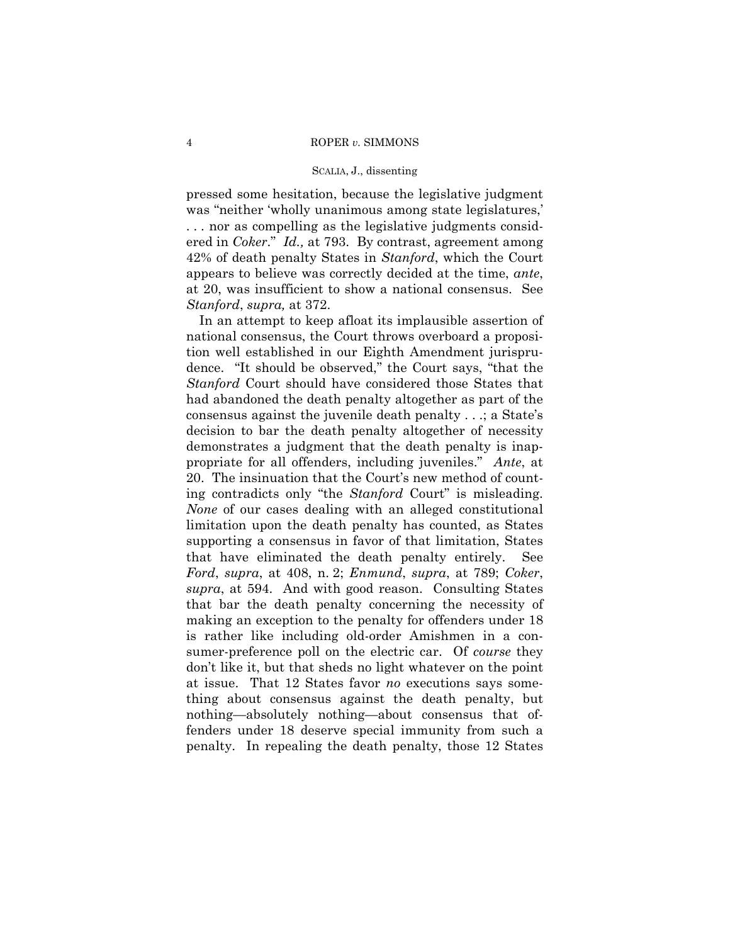pressed some hesitation, because the legislative judgment was "neither 'wholly unanimous among state legislatures,' . . . nor as compelling as the legislative judgments considered in *Coker*." *Id.,* at 793. By contrast, agreement among 42% of death penalty States in *Stanford*, which the Court appears to believe was correctly decided at the time, *ante*, at 20, was insufficient to show a national consensus. See *Stanford*, *supra,* at 372.

In an attempt to keep afloat its implausible assertion of national consensus, the Court throws overboard a proposition well established in our Eighth Amendment jurisprudence. "It should be observed," the Court says, "that the *Stanford* Court should have considered those States that had abandoned the death penalty altogether as part of the consensus against the juvenile death penalty . . .; a State's decision to bar the death penalty altogether of necessity demonstrates a judgment that the death penalty is inappropriate for all offenders, including juveniles." *Ante*, at 20. The insinuation that the Court's new method of counting contradicts only "the *Stanford* Court" is misleading. *None* of our cases dealing with an alleged constitutional limitation upon the death penalty has counted, as States supporting a consensus in favor of that limitation, States that have eliminated the death penalty entirely. See *Ford*, *supra*, at 408, n. 2; *Enmund*, *supra*, at 789; *Coker*, *supra*, at 594. And with good reason. Consulting States that bar the death penalty concerning the necessity of making an exception to the penalty for offenders under 18 is rather like including old-order Amishmen in a consumer-preference poll on the electric car. Of *course* they don't like it, but that sheds no light whatever on the point at issue. That 12 States favor *no* executions says something about consensus against the death penalty, but nothing—absolutely nothing—about consensus that offenders under 18 deserve special immunity from such a penalty. In repealing the death penalty, those 12 States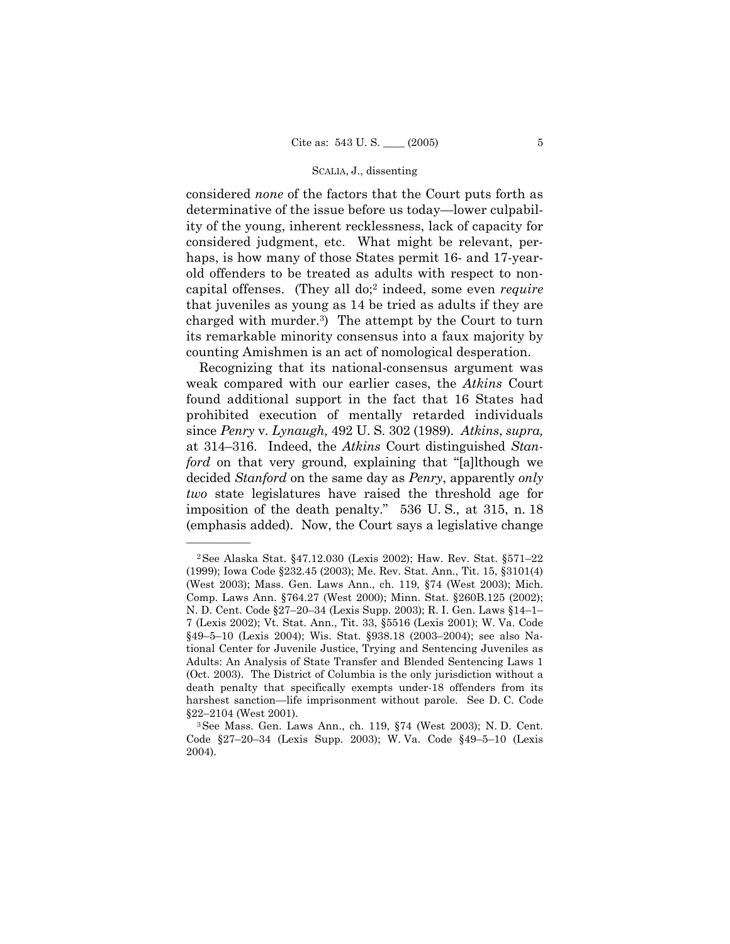considered *none* of the factors that the Court puts forth as determinative of the issue before us today—lower culpability of the young, inherent recklessness, lack of capacity for considered judgment, etc. What might be relevant, perhaps, is how many of those States permit 16- and 17-yearold offenders to be treated as adults with respect to noncapital offenses. (They all do;2 indeed, some even *require* that juveniles as young as 14 be tried as adults if they are charged with murder.3) The attempt by the Court to turn its remarkable minority consensus into a faux majority by counting Amishmen is an act of nomological desperation.

Recognizing that its national-consensus argument was weak compared with our earlier cases, the *Atkins* Court found additional support in the fact that 16 States had prohibited execution of mentally retarded individuals since *Penry* v. *Lynaugh,* 492 U. S. 302 (1989). *Atkins*, *supra,*  at 314–316. Indeed, the *Atkins* Court distinguished *Stanford* on that very ground, explaining that "[a]lthough we decided *Stanford* on the same day as *Penry*, apparently *only two* state legislatures have raised the threshold age for imposition of the death penalty." 536 U. S., at 315, n. 18 (emphasis added). Now, the Court says a legislative change

<sup>2</sup>See Alaska Stat. §47.12.030 (Lexis 2002); Haw. Rev. Stat. §571–22 (1999); Iowa Code §232.45 (2003); Me. Rev. Stat. Ann., Tit. 15, §3101(4) (West 2003); Mass. Gen. Laws Ann., ch. 119, §74 (West 2003); Mich. Comp. Laws Ann. §764.27 (West 2000); Minn. Stat. §260B.125 (2002); N. D. Cent. Code §27–20–34 (Lexis Supp. 2003); R. I. Gen. Laws §14–1– 7 (Lexis 2002); Vt. Stat. Ann., Tit. 33, §5516 (Lexis 2001); W. Va. Code §49–5–10 (Lexis 2004); Wis. Stat. §938.18 (2003–2004); see also National Center for Juvenile Justice, Trying and Sentencing Juveniles as Adults: An Analysis of State Transfer and Blended Sentencing Laws 1 (Oct. 2003). The District of Columbia is the only jurisdiction without a death penalty that specifically exempts under-18 offenders from its harshest sanction—life imprisonment without parole. See D. C. Code §22–2104 (West 2001). 3See Mass. Gen. Laws Ann., ch. 119, §74 (West 2003); N. D. Cent.

Code §27–20–34 (Lexis Supp. 2003); W. Va. Code §49–5–10 (Lexis 2004).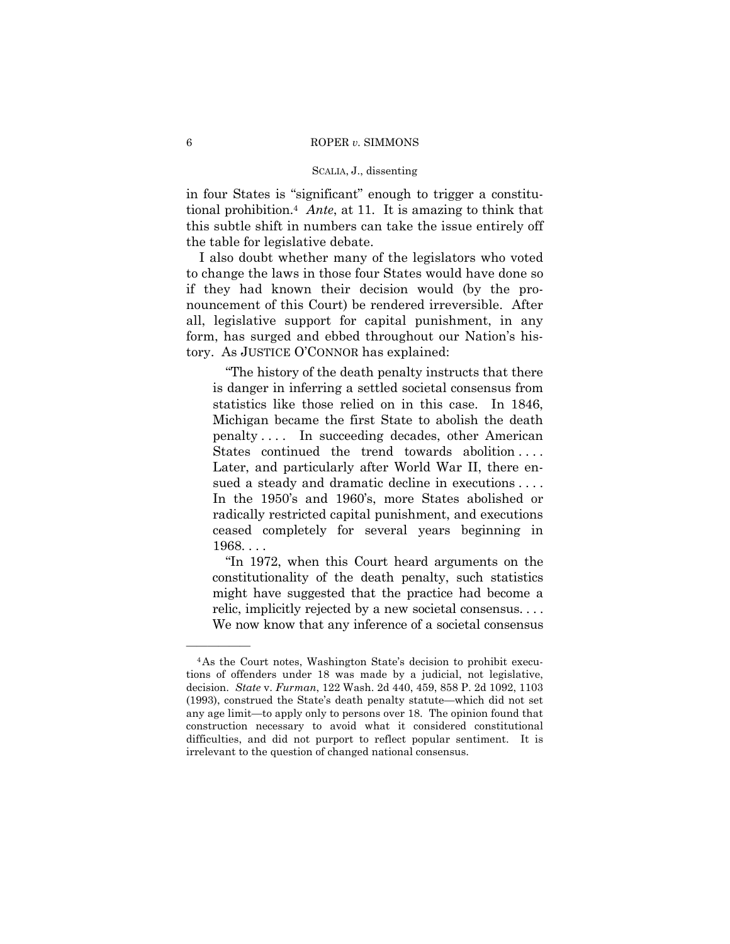in four States is "significant" enough to trigger a constitutional prohibition.4 *Ante*, at 11. It is amazing to think that this subtle shift in numbers can take the issue entirely off the table for legislative debate.

I also doubt whether many of the legislators who voted to change the laws in those four States would have done so if they had known their decision would (by the pronouncement of this Court) be rendered irreversible. After all, legislative support for capital punishment, in any form, has surged and ebbed throughout our Nation's history. As JUSTICE O'CONNOR has explained:

"The history of the death penalty instructs that there is danger in inferring a settled societal consensus from statistics like those relied on in this case. In 1846, Michigan became the first State to abolish the death penalty . . . . In succeeding decades, other American States continued the trend towards abolition . . . . Later, and particularly after World War II, there ensued a steady and dramatic decline in executions . . . . In the 1950's and 1960's, more States abolished or radically restricted capital punishment, and executions ceased completely for several years beginning in 1968. . . .

"In 1972, when this Court heard arguments on the constitutionality of the death penalty, such statistics might have suggested that the practice had become a relic, implicitly rejected by a new societal consensus. . . . We now know that any inference of a societal consensus

<sup>4</sup>As the Court notes, Washington State's decision to prohibit executions of offenders under 18 was made by a judicial, not legislative, decision. *State* v. *Furman*, 122 Wash. 2d 440, 459, 858 P. 2d 1092, 1103 (1993), construed the State's death penalty statute—which did not set any age limit—to apply only to persons over 18. The opinion found that construction necessary to avoid what it considered constitutional difficulties, and did not purport to reflect popular sentiment. It is irrelevant to the question of changed national consensus.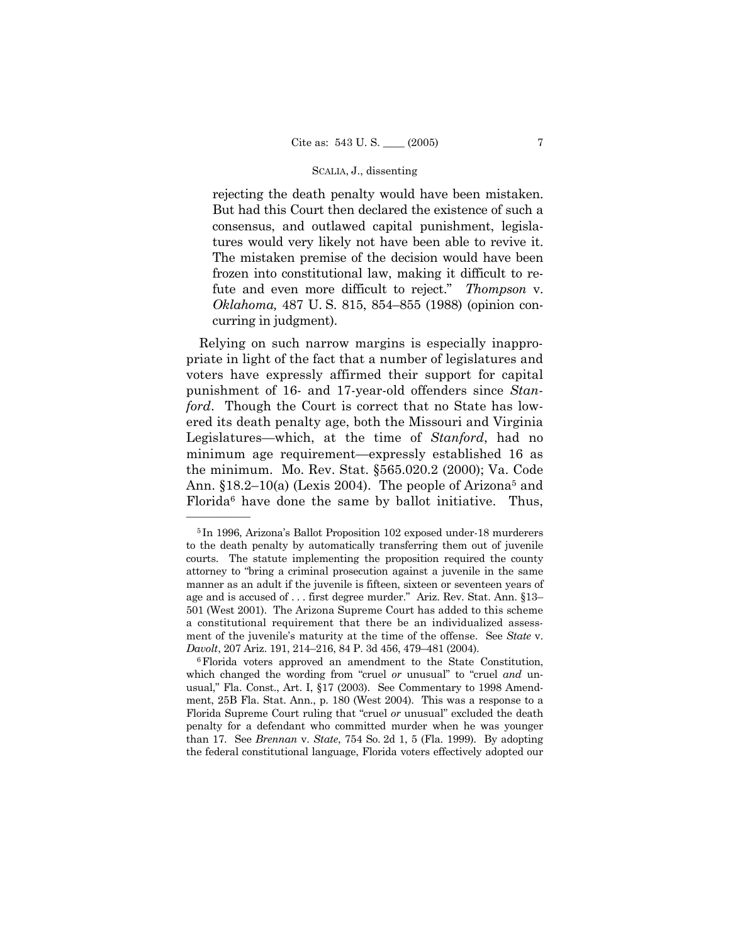rejecting the death penalty would have been mistaken. But had this Court then declared the existence of such a consensus, and outlawed capital punishment, legislatures would very likely not have been able to revive it. The mistaken premise of the decision would have been frozen into constitutional law, making it difficult to refute and even more difficult to reject." *Thompson* v. *Oklahoma,* 487 U. S. 815, 854–855 (1988) (opinion concurring in judgment).

Relying on such narrow margins is especially inappropriate in light of the fact that a number of legislatures and voters have expressly affirmed their support for capital punishment of 16- and 17-year-old offenders since *Stanford*. Though the Court is correct that no State has lowered its death penalty age, both the Missouri and Virginia Legislatures—which, at the time of *Stanford*, had no minimum age requirement—expressly established 16 as the minimum. Mo. Rev. Stat. §565.020.2 (2000); Va. Code Ann.  $$18.2-10(a)$  (Lexis 2004). The people of Arizona<sup>5</sup> and Florida6 have done the same by ballot initiative. Thus,

<sup>5</sup> In 1996, Arizona's Ballot Proposition 102 exposed under-18 murderers to the death penalty by automatically transferring them out of juvenile courts. The statute implementing the proposition required the county attorney to "bring a criminal prosecution against a juvenile in the same manner as an adult if the juvenile is fifteen, sixteen or seventeen years of age and is accused of . . . first degree murder." Ariz. Rev. Stat. Ann. §13– 501 (West 2001). The Arizona Supreme Court has added to this scheme a constitutional requirement that there be an individualized assessment of the juvenile's maturity at the time of the offense. See *State* v.

*Davolt*, 207 Ariz. 191, 214–216, 84 P. 3d 456, 479–481 (2004).<br><sup>6</sup>Florida voters approved an amendment to the State Constitution, which changed the wording from "cruel *or* unusual" to "cruel *and* unusual," Fla. Const., Art. I, §17 (2003). See Commentary to 1998 Amendment, 25B Fla. Stat. Ann., p. 180 (West 2004). This was a response to a Florida Supreme Court ruling that "cruel *or* unusual" excluded the death penalty for a defendant who committed murder when he was younger than 17. See *Brennan* v. *State*, 754 So. 2d 1, 5 (Fla. 1999). By adopting the federal constitutional language, Florida voters effectively adopted our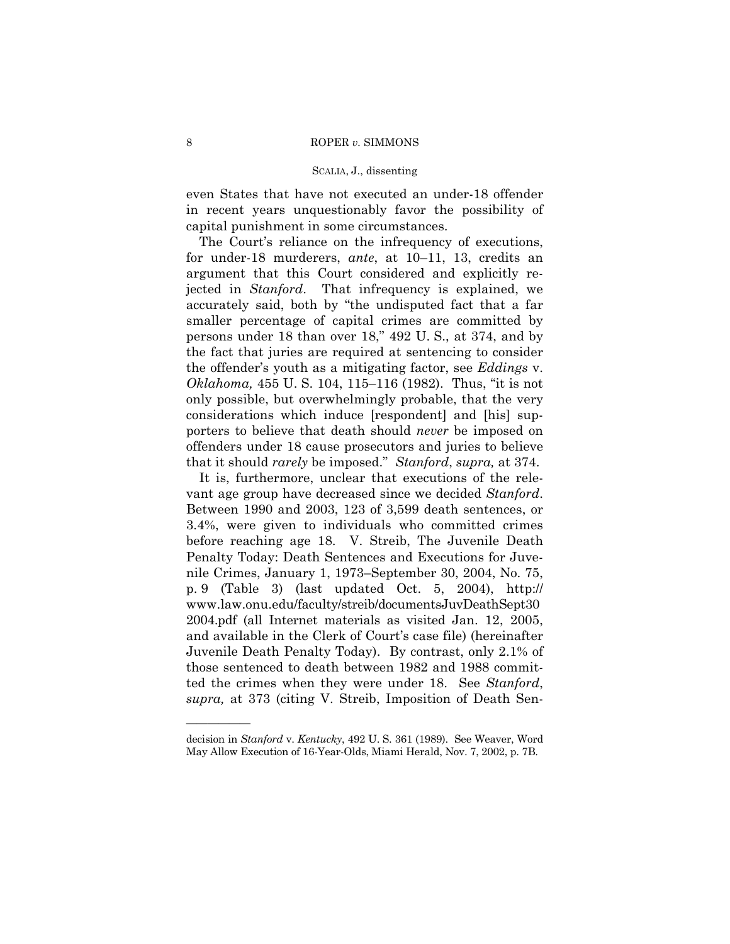even States that have not executed an under-18 offender in recent years unquestionably favor the possibility of capital punishment in some circumstances.

The Court's reliance on the infrequency of executions, for under-18 murderers, *ante*, at 10–11, 13, credits an argument that this Court considered and explicitly rejected in *Stanford*. That infrequency is explained, we accurately said, both by "the undisputed fact that a far smaller percentage of capital crimes are committed by persons under 18 than over 18," 492 U. S., at 374, and by the fact that juries are required at sentencing to consider the offender's youth as a mitigating factor, see *Eddings* v. *Oklahoma,* 455 U. S. 104, 115–116 (1982). Thus, "it is not only possible, but overwhelmingly probable, that the very considerations which induce [respondent] and [his] supporters to believe that death should *never* be imposed on offenders under 18 cause prosecutors and juries to believe that it should *rarely* be imposed." *Stanford*, *supra,* at 374.

It is, furthermore, unclear that executions of the relevant age group have decreased since we decided *Stanford*. Between 1990 and 2003, 123 of 3,599 death sentences, or 3.4%, were given to individuals who committed crimes before reaching age 18. V. Streib, The Juvenile Death Penalty Today: Death Sentences and Executions for Juvenile Crimes, January 1, 1973–September 30, 2004, No. 75, p. 9 (Table 3) (last updated Oct. 5, 2004), http:// www.law.onu.edu/faculty/streib/documentsJuvDeathSept30 2004.pdf (all Internet materials as visited Jan. 12, 2005, and available in the Clerk of Court's case file) (hereinafter Juvenile Death Penalty Today). By contrast, only 2.1% of those sentenced to death between 1982 and 1988 committed the crimes when they were under 18. See *Stanford*, *supra,* at 373 (citing V. Streib, Imposition of Death Sen-

decision in *Stanford* v. *Kentucky*, 492 U. S. 361 (1989). See Weaver, Word May Allow Execution of 16-Year-Olds, Miami Herald, Nov. 7, 2002, p. 7B.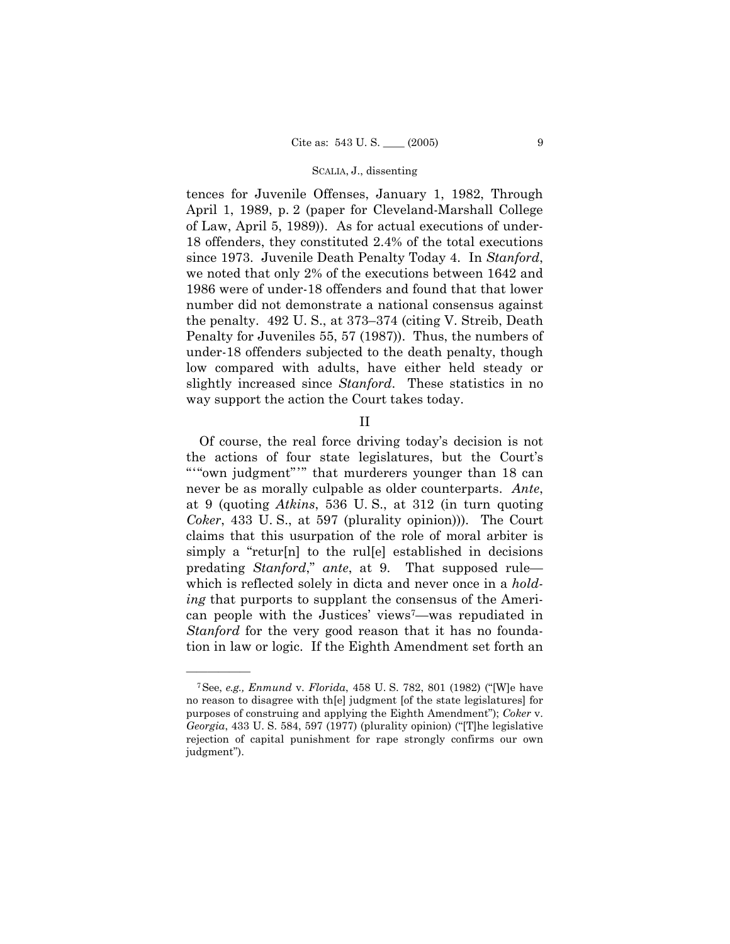tences for Juvenile Offenses, January 1, 1982, Through April 1, 1989, p. 2 (paper for Cleveland-Marshall College of Law, April 5, 1989)). As for actual executions of under-18 offenders, they constituted 2.4% of the total executions since 1973. Juvenile Death Penalty Today 4. In *Stanford*, we noted that only 2% of the executions between 1642 and 1986 were of under-18 offenders and found that that lower number did not demonstrate a national consensus against the penalty. 492 U. S., at 373–374 (citing V. Streib, Death Penalty for Juveniles 55, 57 (1987)). Thus, the numbers of under-18 offenders subjected to the death penalty, though low compared with adults, have either held steady or slightly increased since *Stanford*. These statistics in no way support the action the Court takes today.

# II

Of course, the real force driving today's decision is not the actions of four state legislatures, but the Court's "" "own judgment"" that murderers younger than 18 can never be as morally culpable as older counterparts. *Ante*, at 9 (quoting *Atkins*, 536 U. S., at 312 (in turn quoting *Coker*, 433 U. S., at 597 (plurality opinion))). The Court claims that this usurpation of the role of moral arbiter is simply a "retur[n] to the rul[e] established in decisions predating *Stanford*," *ante*, at 9. That supposed rule which is reflected solely in dicta and never once in a *holding* that purports to supplant the consensus of the American people with the Justices' views7—was repudiated in *Stanford* for the very good reason that it has no foundation in law or logic. If the Eighth Amendment set forth an

<sup>7</sup>See, *e.g., Enmund* v. *Florida*, 458 U. S. 782, 801 (1982) ("[W]e have no reason to disagree with th[e] judgment [of the state legislatures] for purposes of construing and applying the Eighth Amendment"); *Coker* v. *Georgia*, 433 U. S. 584, 597 (1977) (plurality opinion) ("[T]he legislative rejection of capital punishment for rape strongly confirms our own judgment").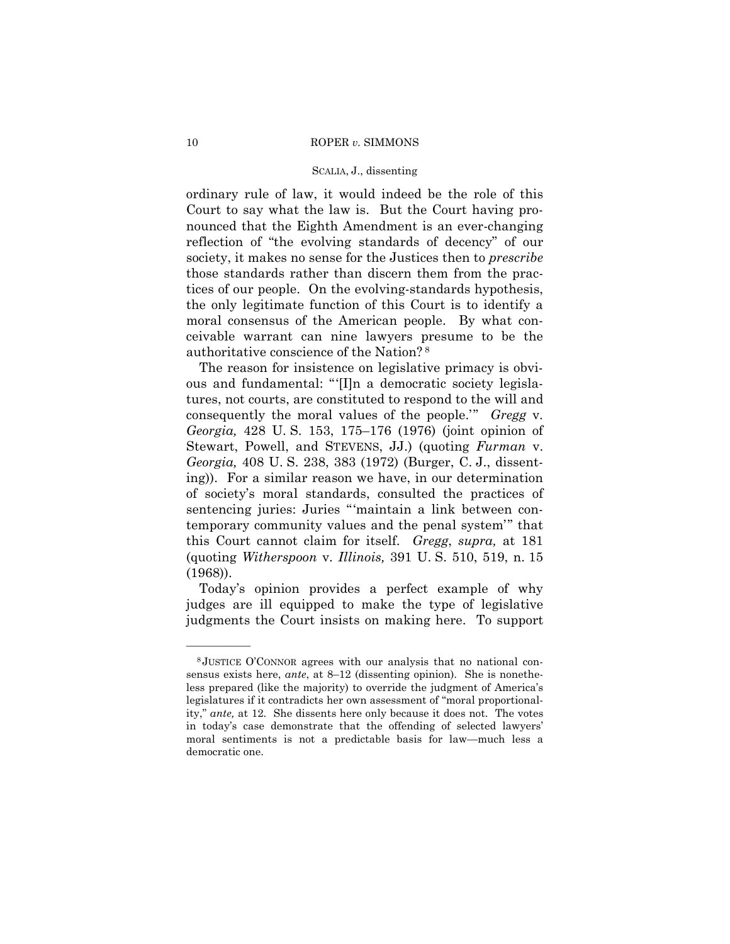## 10 ROPER *v.* SIMMONS

## SCALIA, J., dissenting

ordinary rule of law, it would indeed be the role of this Court to say what the law is. But the Court having pronounced that the Eighth Amendment is an ever-changing reflection of "the evolving standards of decency" of our society, it makes no sense for the Justices then to *prescribe*  those standards rather than discern them from the practices of our people. On the evolving-standards hypothesis, the only legitimate function of this Court is to identify a moral consensus of the American people. By what conceivable warrant can nine lawyers presume to be the authoritative conscience of the Nation? 8

The reason for insistence on legislative primacy is obvious and fundamental: "'[I]n a democratic society legislatures, not courts, are constituted to respond to the will and consequently the moral values of the people.'" *Gregg* v. *Georgia,* 428 U. S. 153, 175–176 (1976) (joint opinion of Stewart, Powell, and STEVENS, JJ.) (quoting *Furman* v. *Georgia,* 408 U. S. 238, 383 (1972) (Burger, C. J., dissenting)). For a similar reason we have, in our determination of society's moral standards, consulted the practices of sentencing juries: Juries " maintain a link between contemporary community values and the penal system'" that this Court cannot claim for itself. *Gregg*, *supra,* at 181 (quoting *Witherspoon* v. *Illinois,* 391 U. S. 510, 519, n. 15 (1968)).

Today's opinion provides a perfect example of why judges are ill equipped to make the type of legislative judgments the Court insists on making here. To support

——————

<sup>8</sup> JUSTICE O'CONNOR agrees with our analysis that no national consensus exists here, *ante*, at 8–12 (dissenting opinion). She is nonetheless prepared (like the majority) to override the judgment of America's legislatures if it contradicts her own assessment of "moral proportionality," *ante,* at 12. She dissents here only because it does not. The votes in today's case demonstrate that the offending of selected lawyers' moral sentiments is not a predictable basis for law—much less a democratic one.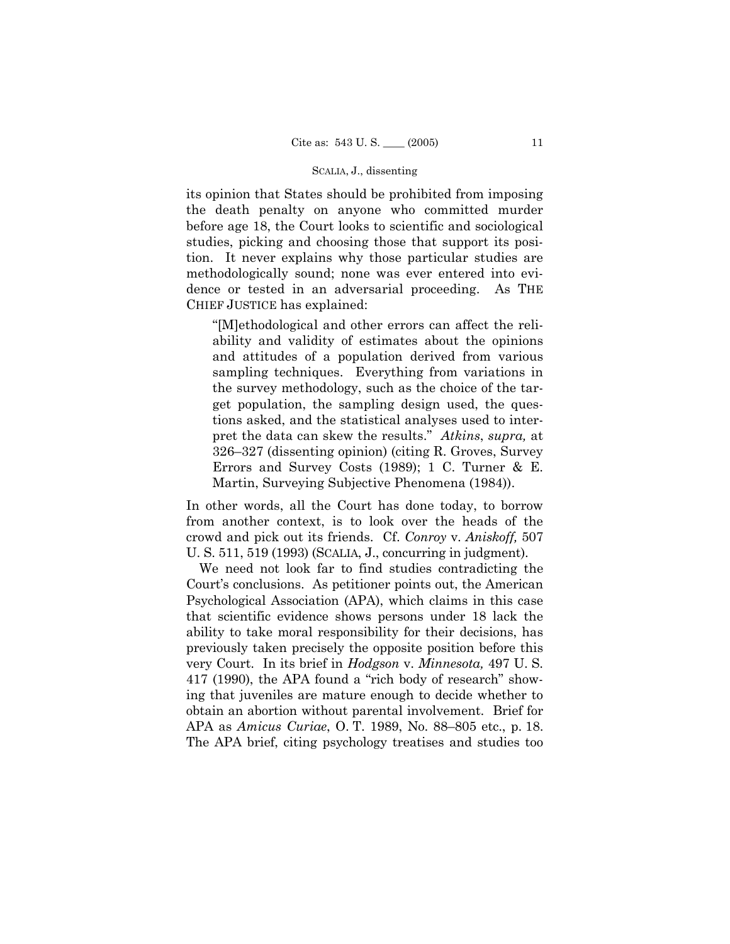its opinion that States should be prohibited from imposing the death penalty on anyone who committed murder before age 18, the Court looks to scientific and sociological studies, picking and choosing those that support its position. It never explains why those particular studies are methodologically sound; none was ever entered into evidence or tested in an adversarial proceeding. As THE CHIEF JUSTICE has explained:

"[M]ethodological and other errors can affect the reliability and validity of estimates about the opinions and attitudes of a population derived from various sampling techniques. Everything from variations in the survey methodology, such as the choice of the target population, the sampling design used, the questions asked, and the statistical analyses used to interpret the data can skew the results." *Atkins*, *supra,* at 326–327 (dissenting opinion) (citing R. Groves, Survey Errors and Survey Costs (1989); 1 C. Turner & E. Martin, Surveying Subjective Phenomena (1984)).

In other words, all the Court has done today, to borrow from another context, is to look over the heads of the crowd and pick out its friends. Cf. *Conroy* v. *Aniskoff,* 507 U. S. 511, 519 (1993) (SCALIA, J., concurring in judgment).

We need not look far to find studies contradicting the Court's conclusions. As petitioner points out, the American Psychological Association (APA), which claims in this case that scientific evidence shows persons under 18 lack the ability to take moral responsibility for their decisions, has previously taken precisely the opposite position before this very Court. In its brief in *Hodgson* v. *Minnesota,* 497 U. S. 417 (1990), the APA found a "rich body of research" showing that juveniles are mature enough to decide whether to obtain an abortion without parental involvement. Brief for APA as *Amicus Curiae*, O. T. 1989, No. 88–805 etc., p. 18. The APA brief, citing psychology treatises and studies too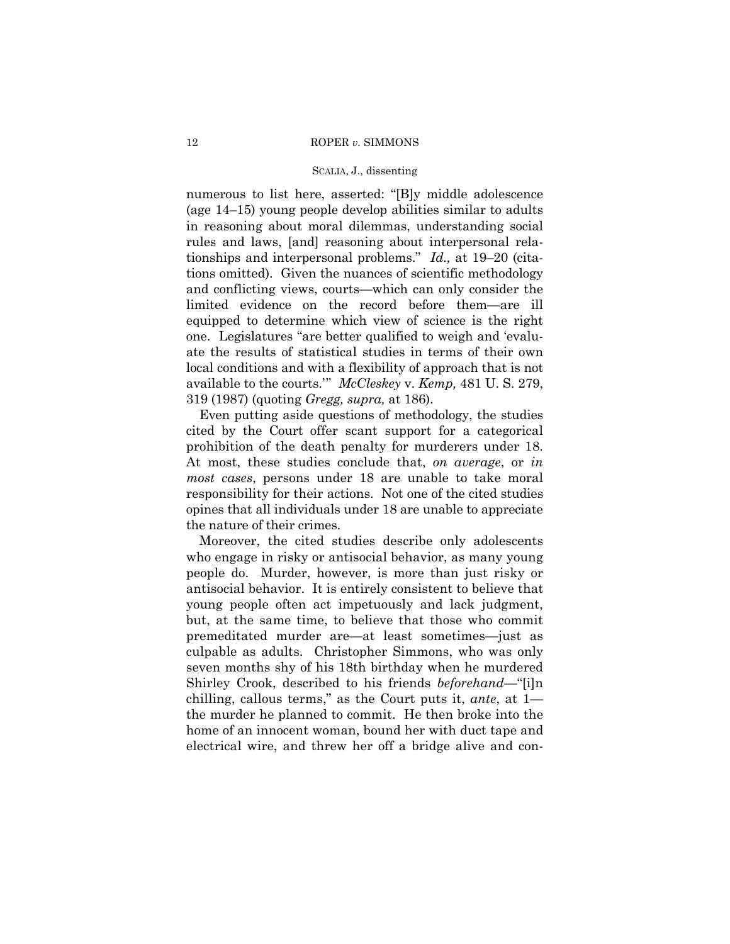numerous to list here, asserted: "[B]y middle adolescence (age 14–15) young people develop abilities similar to adults in reasoning about moral dilemmas, understanding social rules and laws, [and] reasoning about interpersonal relationships and interpersonal problems." *Id.,* at 19–20 (citations omitted). Given the nuances of scientific methodology and conflicting views, courts—which can only consider the limited evidence on the record before them—are ill equipped to determine which view of science is the right one. Legislatures "are better qualified to weigh and 'evaluate the results of statistical studies in terms of their own local conditions and with a flexibility of approach that is not available to the courts." McCleskey v. Kemp, 481 U.S. 279, 319 (1987) (quoting *Gregg, supra,* at 186).

Even putting aside questions of methodology, the studies cited by the Court offer scant support for a categorical prohibition of the death penalty for murderers under 18. At most, these studies conclude that, *on average*, or *in most cases*, persons under 18 are unable to take moral responsibility for their actions. Not one of the cited studies opines that all individuals under 18 are unable to appreciate the nature of their crimes.

Moreover, the cited studies describe only adolescents who engage in risky or antisocial behavior, as many young people do. Murder, however, is more than just risky or antisocial behavior. It is entirely consistent to believe that young people often act impetuously and lack judgment, but, at the same time, to believe that those who commit premeditated murder are—at least sometimes—just as culpable as adults. Christopher Simmons, who was only seven months shy of his 18th birthday when he murdered Shirley Crook, described to his friends *beforehand*—"[i]n chilling, callous terms," as the Court puts it, *ante*, at 1 the murder he planned to commit. He then broke into the home of an innocent woman, bound her with duct tape and electrical wire, and threw her off a bridge alive and con-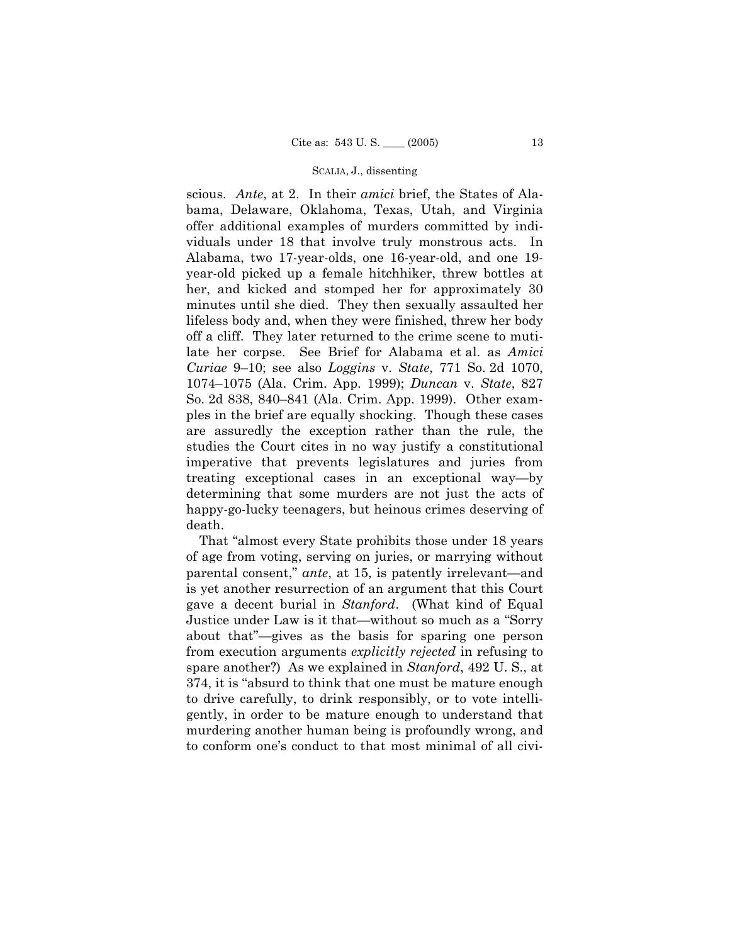scious. *Ante*, at 2. In their *amici* brief, the States of Alabama, Delaware, Oklahoma, Texas, Utah, and Virginia offer additional examples of murders committed by individuals under 18 that involve truly monstrous acts. In Alabama, two 17-year-olds, one 16-year-old, and one 19 year-old picked up a female hitchhiker, threw bottles at her, and kicked and stomped her for approximately 30 minutes until she died. They then sexually assaulted her lifeless body and, when they were finished, threw her body off a cliff. They later returned to the crime scene to mutilate her corpse. See Brief for Alabama et al. as *Amici Curiae* 9–10; see also *Loggins* v. *State*, 771 So. 2d 1070, 1074–1075 (Ala. Crim. App. 1999); *Duncan* v. *State*, 827 So. 2d 838, 840–841 (Ala. Crim. App. 1999). Other examples in the brief are equally shocking. Though these cases are assuredly the exception rather than the rule, the studies the Court cites in no way justify a constitutional imperative that prevents legislatures and juries from treating exceptional cases in an exceptional way—by determining that some murders are not just the acts of happy-go-lucky teenagers, but heinous crimes deserving of death.

That "almost every State prohibits those under 18 years of age from voting, serving on juries, or marrying without parental consent," *ante*, at 15, is patently irrelevant—and is yet another resurrection of an argument that this Court gave a decent burial in *Stanford*. (What kind of Equal Justice under Law is it that—without so much as a "Sorry about that"—gives as the basis for sparing one person from execution arguments *explicitly rejected* in refusing to spare another?) As we explained in *Stanford*, 492 U. S., at 374, it is "absurd to think that one must be mature enough to drive carefully, to drink responsibly, or to vote intelligently, in order to be mature enough to understand that murdering another human being is profoundly wrong, and to conform one's conduct to that most minimal of all civi-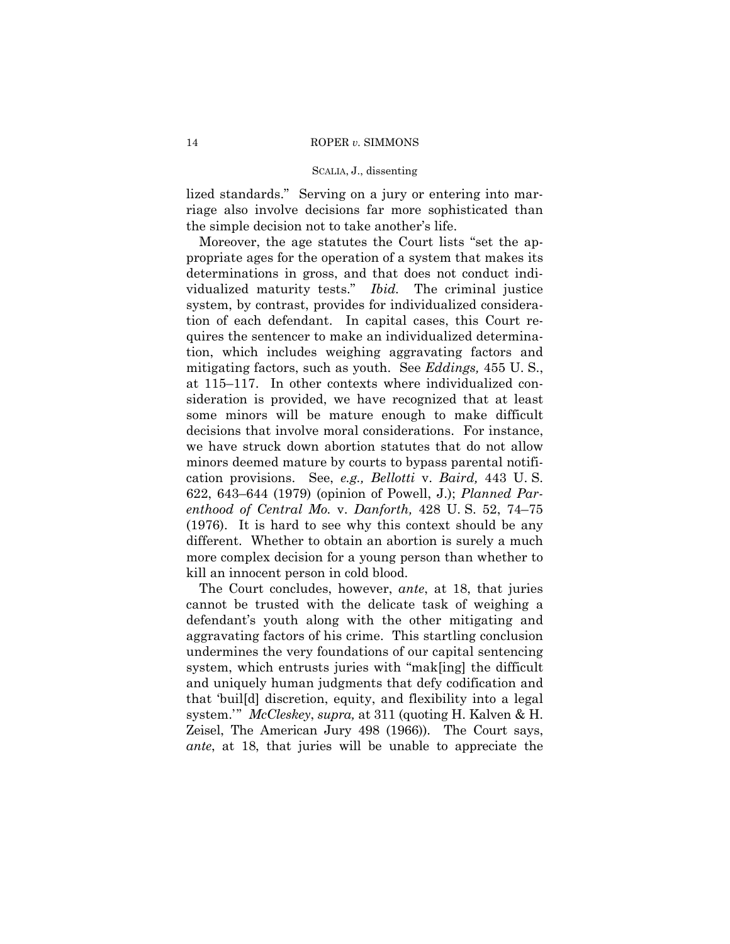lized standards." Serving on a jury or entering into marriage also involve decisions far more sophisticated than the simple decision not to take another's life.

Moreover, the age statutes the Court lists "set the appropriate ages for the operation of a system that makes its determinations in gross, and that does not conduct individualized maturity tests." *Ibid.* The criminal justice system, by contrast, provides for individualized consideration of each defendant. In capital cases, this Court requires the sentencer to make an individualized determination, which includes weighing aggravating factors and mitigating factors, such as youth. See *Eddings,* 455 U. S., at 115–117. In other contexts where individualized consideration is provided, we have recognized that at least some minors will be mature enough to make difficult decisions that involve moral considerations. For instance, we have struck down abortion statutes that do not allow minors deemed mature by courts to bypass parental notification provisions. See, *e.g., Bellotti* v. *Baird,* 443 U. S. 622, 643–644 (1979) (opinion of Powell, J.); *Planned Parenthood of Central Mo.* v. *Danforth,* 428 U. S. 52, 74–75 (1976). It is hard to see why this context should be any different. Whether to obtain an abortion is surely a much more complex decision for a young person than whether to kill an innocent person in cold blood.

The Court concludes, however, *ante*, at 18, that juries cannot be trusted with the delicate task of weighing a defendant's youth along with the other mitigating and aggravating factors of his crime. This startling conclusion undermines the very foundations of our capital sentencing system, which entrusts juries with "mak[ing] the difficult and uniquely human judgments that defy codification and that 'buil[d] discretion, equity, and flexibility into a legal system.'" *McCleskey*, *supra*, at 311 (quoting H. Kalven & H. Zeisel, The American Jury 498 (1966)). The Court says, *ante*, at 18, that juries will be unable to appreciate the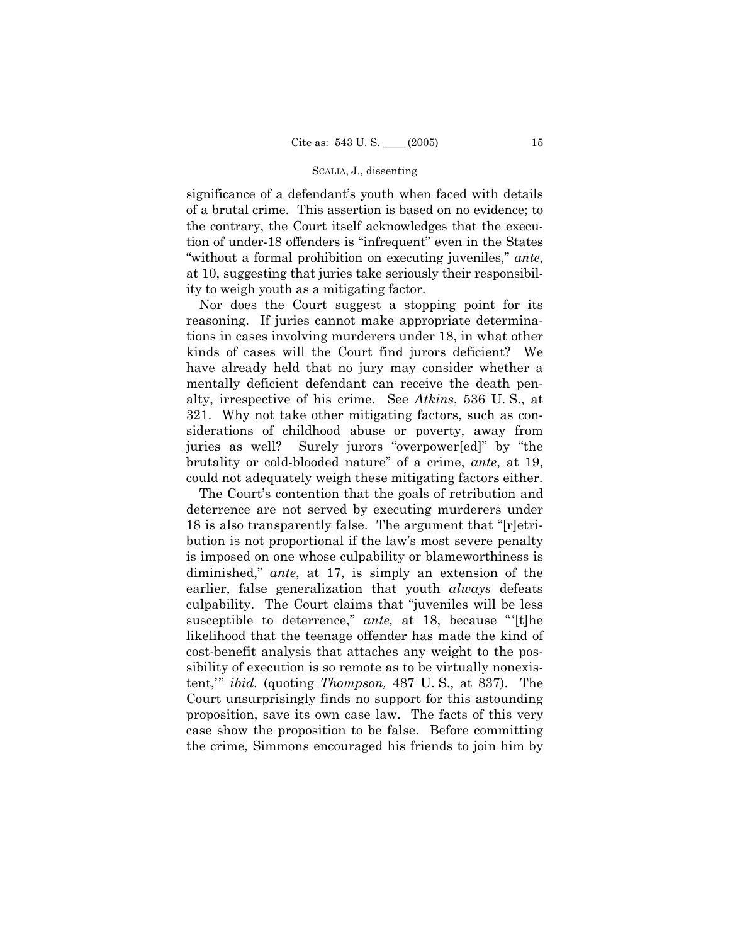significance of a defendant's youth when faced with details of a brutal crime. This assertion is based on no evidence; to the contrary, the Court itself acknowledges that the execution of under-18 offenders is "infrequent" even in the States "without a formal prohibition on executing juveniles," *ante*, at 10, suggesting that juries take seriously their responsibility to weigh youth as a mitigating factor.

Nor does the Court suggest a stopping point for its reasoning. If juries cannot make appropriate determinations in cases involving murderers under 18, in what other kinds of cases will the Court find jurors deficient? We have already held that no jury may consider whether a mentally deficient defendant can receive the death penalty, irrespective of his crime. See *Atkins*, 536 U. S., at 321. Why not take other mitigating factors, such as considerations of childhood abuse or poverty, away from juries as well? Surely jurors "overpower[ed]" by "the brutality or cold-blooded nature" of a crime, *ante*, at 19, could not adequately weigh these mitigating factors either.

The Court's contention that the goals of retribution and deterrence are not served by executing murderers under 18 is also transparently false. The argument that "[r]etribution is not proportional if the law's most severe penalty is imposed on one whose culpability or blameworthiness is diminished," *ante*, at 17, is simply an extension of the earlier, false generalization that youth *always* defeats culpability. The Court claims that "juveniles will be less susceptible to deterrence," *ante*, at 18, because "'[t]he likelihood that the teenage offender has made the kind of cost-benefit analysis that attaches any weight to the possibility of execution is so remote as to be virtually nonexistent,' " *ibid.* (quoting *Thompson,* 487 U. S., at 837). The Court unsurprisingly finds no support for this astounding proposition, save its own case law. The facts of this very case show the proposition to be false. Before committing the crime, Simmons encouraged his friends to join him by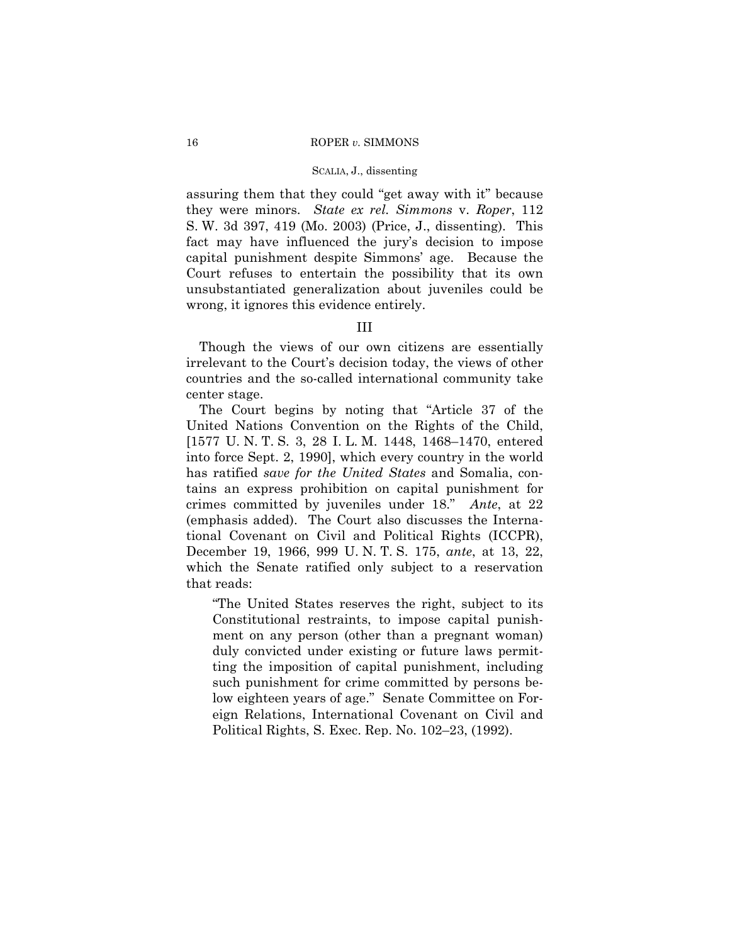assuring them that they could "get away with it" because they were minors. *State ex rel. Simmons* v. *Roper*, 112 S. W. 3d 397, 419 (Mo. 2003) (Price, J., dissenting). This fact may have influenced the jury's decision to impose capital punishment despite Simmons' age. Because the Court refuses to entertain the possibility that its own unsubstantiated generalization about juveniles could be wrong, it ignores this evidence entirely.

# III

Though the views of our own citizens are essentially irrelevant to the Court's decision today, the views of other countries and the so-called international community take center stage.

The Court begins by noting that "Article 37 of the United Nations Convention on the Rights of the Child, [1577 U. N. T. S. 3, 28 I. L. M. 1448, 1468–1470, entered into force Sept. 2, 1990], which every country in the world has ratified *save for the United States* and Somalia, contains an express prohibition on capital punishment for crimes committed by juveniles under 18." *Ante*, at 22 (emphasis added). The Court also discusses the International Covenant on Civil and Political Rights (ICCPR), December 19, 1966, 999 U. N. T. S. 175, *ante*, at 13, 22, which the Senate ratified only subject to a reservation that reads:

"The United States reserves the right, subject to its Constitutional restraints, to impose capital punishment on any person (other than a pregnant woman) duly convicted under existing or future laws permitting the imposition of capital punishment, including such punishment for crime committed by persons below eighteen years of age." Senate Committee on Foreign Relations, International Covenant on Civil and Political Rights, S. Exec. Rep. No. 102–23, (1992).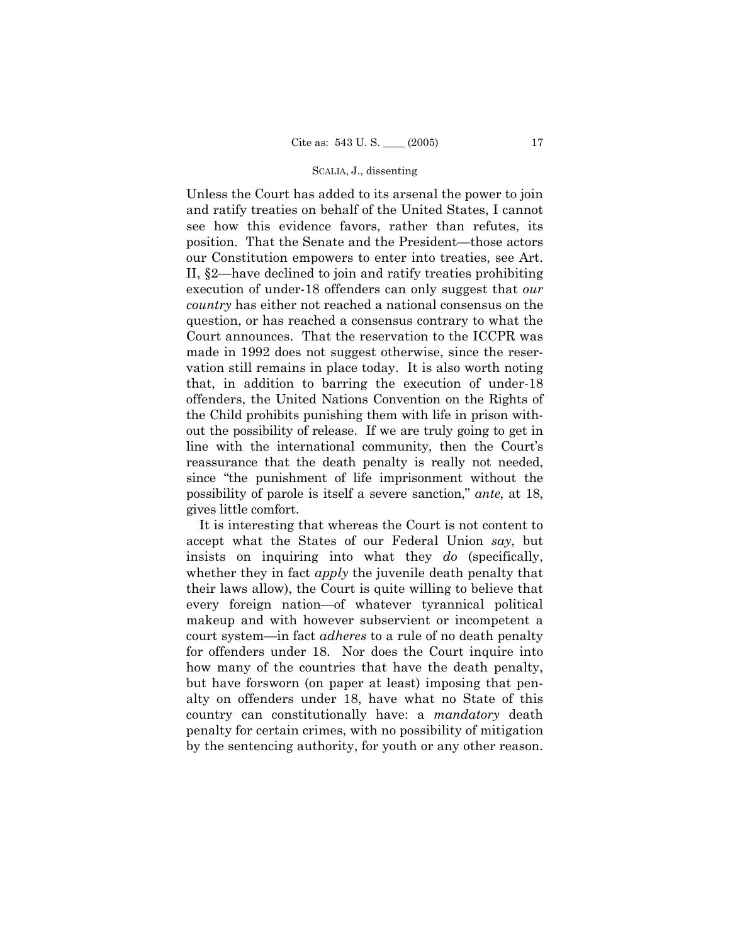Unless the Court has added to its arsenal the power to join and ratify treaties on behalf of the United States, I cannot see how this evidence favors, rather than refutes, its position. That the Senate and the President—those actors our Constitution empowers to enter into treaties, see Art. II, §2—have declined to join and ratify treaties prohibiting execution of under-18 offenders can only suggest that *our country* has either not reached a national consensus on the question, or has reached a consensus contrary to what the Court announces. That the reservation to the ICCPR was made in 1992 does not suggest otherwise, since the reservation still remains in place today. It is also worth noting that, in addition to barring the execution of under-18 offenders, the United Nations Convention on the Rights of the Child prohibits punishing them with life in prison without the possibility of release. If we are truly going to get in line with the international community, then the Court's reassurance that the death penalty is really not needed, since "the punishment of life imprisonment without the possibility of parole is itself a severe sanction," *ante*, at 18, gives little comfort.

It is interesting that whereas the Court is not content to accept what the States of our Federal Union *say*, but insists on inquiring into what they *do* (specifically, whether they in fact *apply* the juvenile death penalty that their laws allow), the Court is quite willing to believe that every foreign nation—of whatever tyrannical political makeup and with however subservient or incompetent a court system—in fact *adheres* to a rule of no death penalty for offenders under 18. Nor does the Court inquire into how many of the countries that have the death penalty, but have forsworn (on paper at least) imposing that penalty on offenders under 18, have what no State of this country can constitutionally have: a *mandatory* death penalty for certain crimes, with no possibility of mitigation by the sentencing authority, for youth or any other reason.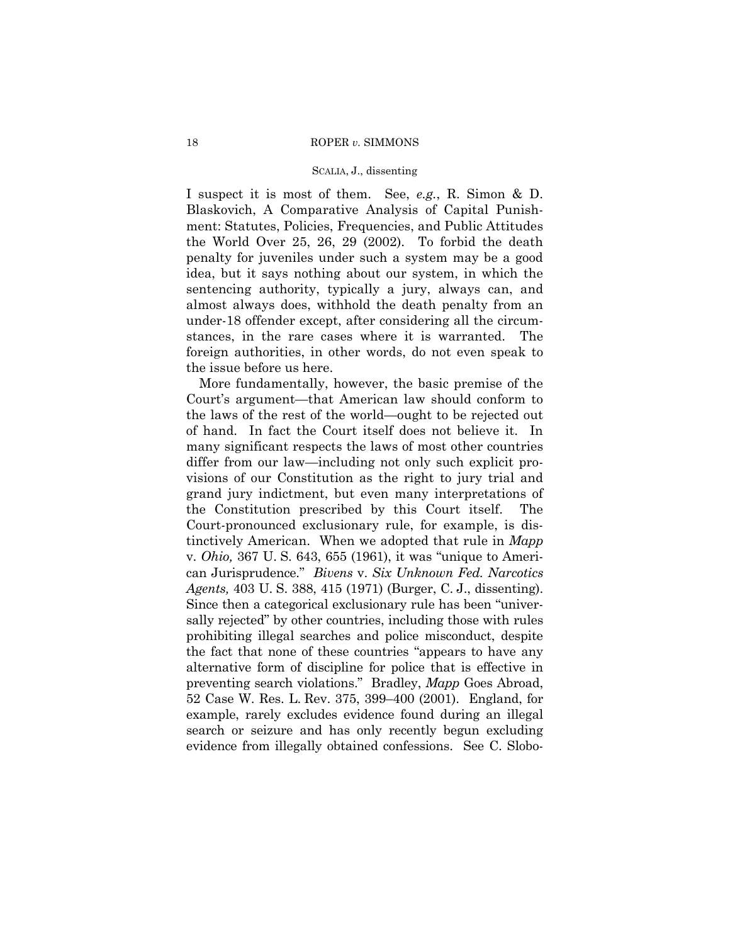#### 18 ROPER *v.* SIMMONS

## SCALIA, J., dissenting

I suspect it is most of them. See, *e.g.*, R. Simon & D. Blaskovich, A Comparative Analysis of Capital Punishment: Statutes, Policies, Frequencies, and Public Attitudes the World Over 25, 26, 29 (2002). To forbid the death penalty for juveniles under such a system may be a good idea, but it says nothing about our system, in which the sentencing authority, typically a jury, always can, and almost always does, withhold the death penalty from an under-18 offender except, after considering all the circumstances, in the rare cases where it is warranted. The foreign authorities, in other words, do not even speak to the issue before us here.

More fundamentally, however, the basic premise of the Court's argument—that American law should conform to the laws of the rest of the world—ought to be rejected out of hand. In fact the Court itself does not believe it. In many significant respects the laws of most other countries differ from our law—including not only such explicit provisions of our Constitution as the right to jury trial and grand jury indictment, but even many interpretations of the Constitution prescribed by this Court itself. The Court-pronounced exclusionary rule, for example, is distinctively American. When we adopted that rule in *Mapp*  v. *Ohio,* 367 U. S. 643, 655 (1961), it was "unique to American Jurisprudence." *Bivens* v. *Six Unknown Fed. Narcotics Agents,* 403 U. S. 388, 415 (1971) (Burger, C. J., dissenting). Since then a categorical exclusionary rule has been "universally rejected" by other countries, including those with rules prohibiting illegal searches and police misconduct, despite the fact that none of these countries "appears to have any alternative form of discipline for police that is effective in preventing search violations." Bradley, *Mapp* Goes Abroad, 52 Case W. Res. L. Rev. 375, 399–400 (2001). England, for example, rarely excludes evidence found during an illegal search or seizure and has only recently begun excluding evidence from illegally obtained confessions. See C. Slobo-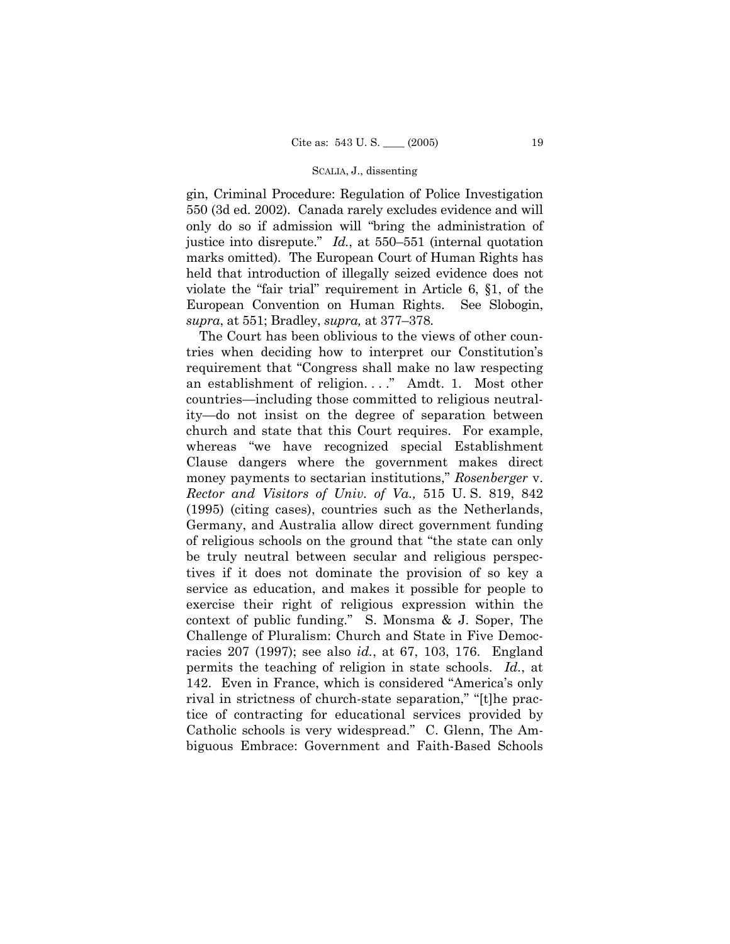gin, Criminal Procedure: Regulation of Police Investigation 550 (3d ed. 2002). Canada rarely excludes evidence and will only do so if admission will "bring the administration of justice into disrepute." *Id.*, at 550–551 (internal quotation marks omitted). The European Court of Human Rights has held that introduction of illegally seized evidence does not violate the "fair trial" requirement in Article 6, §1, of the European Convention on Human Rights. See Slobogin, *supra*, at 551; Bradley, *supra,* at 377–378.

The Court has been oblivious to the views of other countries when deciding how to interpret our Constitution's requirement that "Congress shall make no law respecting an establishment of religion...." Amdt. 1. Most other countries—including those committed to religious neutrality—do not insist on the degree of separation between church and state that this Court requires. For example, whereas "we have recognized special Establishment Clause dangers where the government makes direct money payments to sectarian institutions," *Rosenberger* v. *Rector and Visitors of Univ. of Va.,* 515 U. S. 819, 842 (1995) (citing cases), countries such as the Netherlands, Germany, and Australia allow direct government funding of religious schools on the ground that "the state can only be truly neutral between secular and religious perspectives if it does not dominate the provision of so key a service as education, and makes it possible for people to exercise their right of religious expression within the context of public funding." S. Monsma & J. Soper, The Challenge of Pluralism: Church and State in Five Democracies 207 (1997); see also *id.*, at 67, 103, 176. England permits the teaching of religion in state schools. *Id.*, at 142. Even in France, which is considered "America's only rival in strictness of church-state separation," "[t]he practice of contracting for educational services provided by Catholic schools is very widespread." C. Glenn, The Ambiguous Embrace: Government and Faith-Based Schools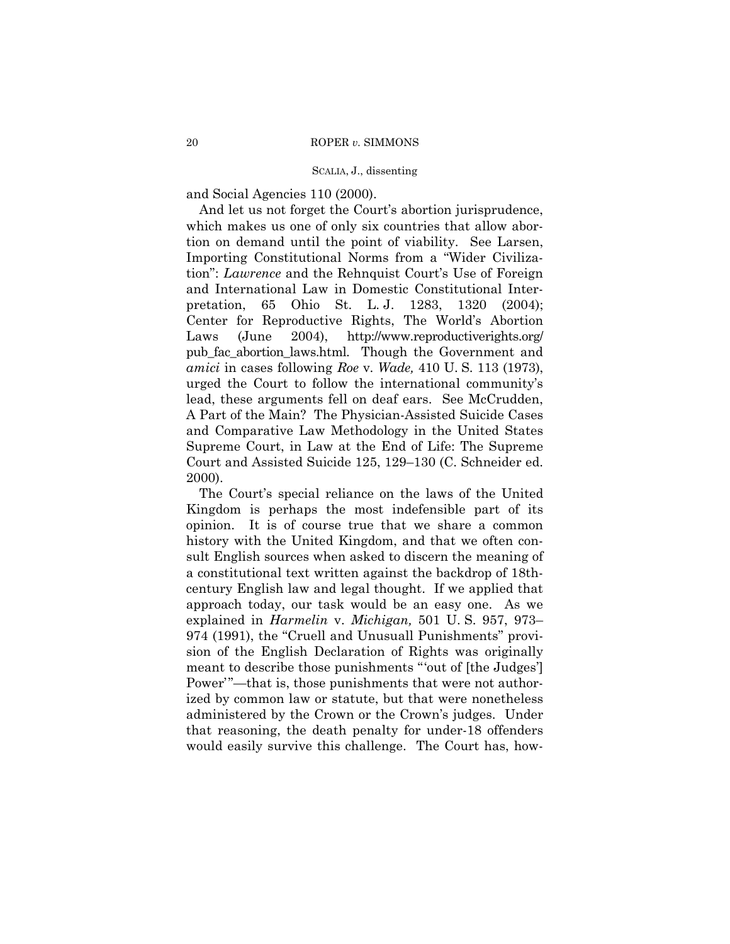and Social Agencies 110 (2000).

And let us not forget the Court's abortion jurisprudence, which makes us one of only six countries that allow abortion on demand until the point of viability. See Larsen, Importing Constitutional Norms from a "Wider Civilization": *Lawrence* and the Rehnquist Court's Use of Foreign and International Law in Domestic Constitutional Interpretation, 65 Ohio St. L. J. 1283, 1320 (2004); Center for Reproductive Rights, The World's Abortion Laws (June 2004), http://www.reproductiverights.org/ pub\_fac\_abortion\_laws.html. Though the Government and *amici* in cases following *Roe* v. *Wade,* 410 U. S. 113 (1973), urged the Court to follow the international community's lead, these arguments fell on deaf ears. See McCrudden, A Part of the Main? The Physician-Assisted Suicide Cases and Comparative Law Methodology in the United States Supreme Court, in Law at the End of Life: The Supreme Court and Assisted Suicide 125, 129–130 (C. Schneider ed. 2000).

The Court's special reliance on the laws of the United Kingdom is perhaps the most indefensible part of its opinion. It is of course true that we share a common history with the United Kingdom, and that we often consult English sources when asked to discern the meaning of a constitutional text written against the backdrop of 18thcentury English law and legal thought. If we applied that approach today, our task would be an easy one. As we explained in *Harmelin* v. *Michigan,* 501 U. S. 957, 973– 974 (1991), the "Cruell and Unusuall Punishments" provision of the English Declaration of Rights was originally meant to describe those punishments "'out of [the Judges'] Power'"—that is, those punishments that were not authorized by common law or statute, but that were nonetheless administered by the Crown or the Crown's judges. Under that reasoning, the death penalty for under-18 offenders would easily survive this challenge. The Court has, how-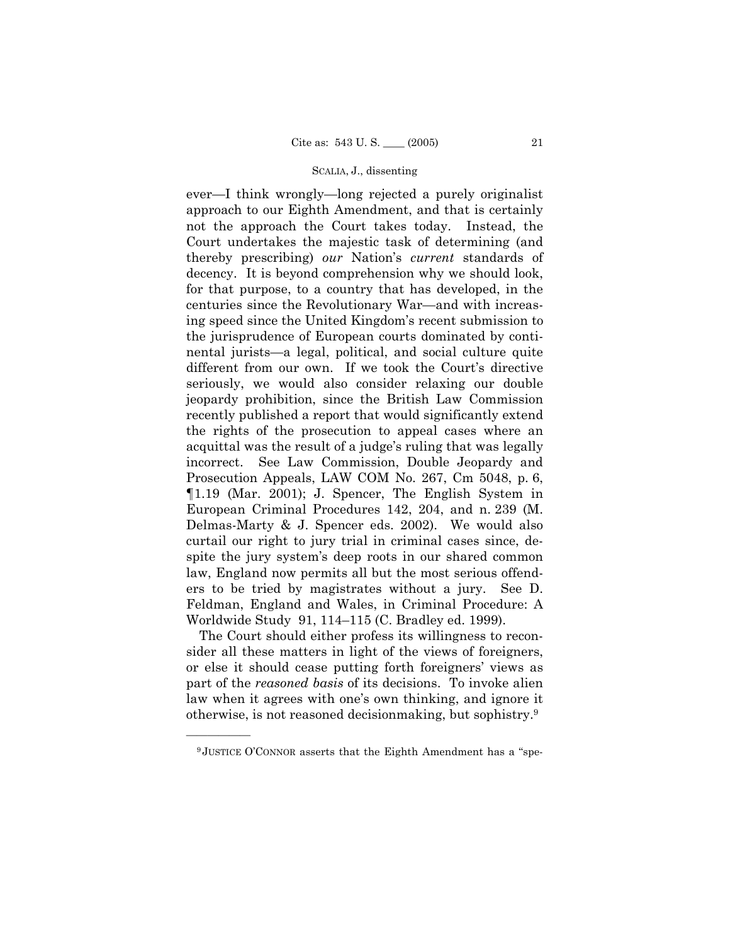ever—I think wrongly—long rejected a purely originalist approach to our Eighth Amendment, and that is certainly not the approach the Court takes today. Instead, the Court undertakes the majestic task of determining (and thereby prescribing) *our* Nation's *current* standards of decency. It is beyond comprehension why we should look, for that purpose, to a country that has developed, in the centuries since the Revolutionary War—and with increasing speed since the United Kingdom's recent submission to the jurisprudence of European courts dominated by continental jurists—a legal, political, and social culture quite different from our own. If we took the Court's directive seriously, we would also consider relaxing our double jeopardy prohibition, since the British Law Commission recently published a report that would significantly extend the rights of the prosecution to appeal cases where an acquittal was the result of a judge's ruling that was legally incorrect. See Law Commission, Double Jeopardy and Prosecution Appeals, LAW COM No. 267, Cm 5048, p. 6, ¶1.19 (Mar. 2001); J. Spencer, The English System in European Criminal Procedures 142, 204, and n. 239 (M. Delmas-Marty & J. Spencer eds. 2002). We would also curtail our right to jury trial in criminal cases since, despite the jury system's deep roots in our shared common law, England now permits all but the most serious offenders to be tried by magistrates without a jury. See D. Feldman, England and Wales, in Criminal Procedure: A Worldwide Study 91, 114–115 (C. Bradley ed. 1999).

The Court should either profess its willingness to reconsider all these matters in light of the views of foreigners, or else it should cease putting forth foreigners' views as part of the *reasoned basis* of its decisions. To invoke alien law when it agrees with one's own thinking, and ignore it otherwise, is not reasoned decisionmaking, but sophistry.9

——————

<sup>9</sup> JUSTICE O'CONNOR asserts that the Eighth Amendment has a "spe-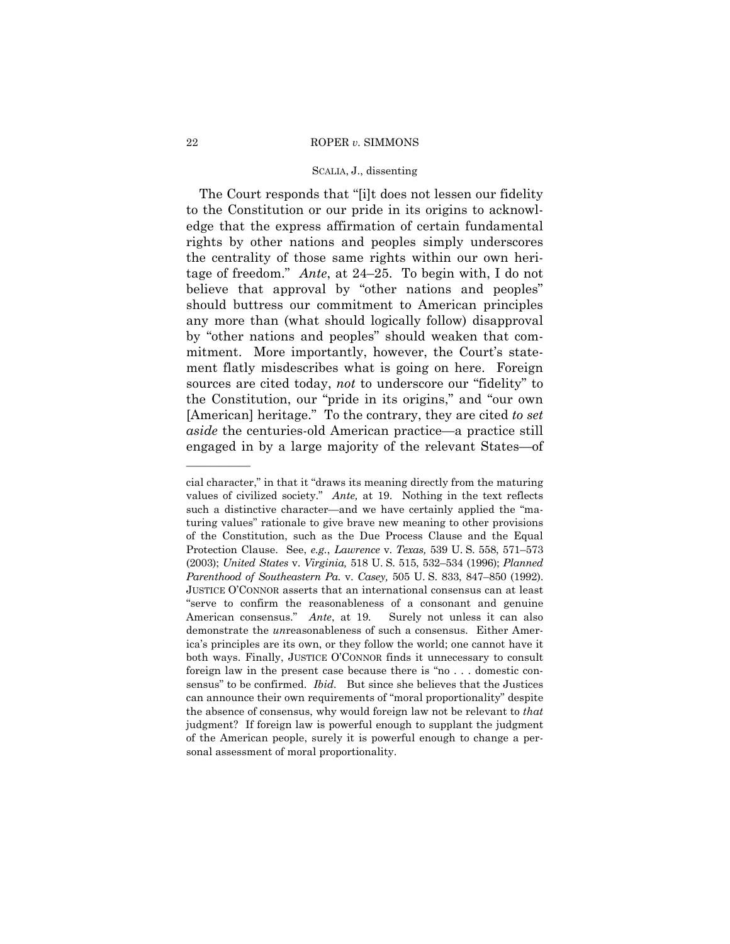#### 22 ROPER *v.* SIMMONS

# SCALIA, J., dissenting

The Court responds that "[i]t does not lessen our fidelity to the Constitution or our pride in its origins to acknowledge that the express affirmation of certain fundamental rights by other nations and peoples simply underscores the centrality of those same rights within our own heritage of freedom." *Ante*, at 24–25. To begin with, I do not believe that approval by "other nations and peoples" should buttress our commitment to American principles any more than (what should logically follow) disapproval by "other nations and peoples" should weaken that commitment. More importantly, however, the Court's statement flatly misdescribes what is going on here. Foreign sources are cited today, *not* to underscore our "fidelity" to the Constitution, our "pride in its origins," and "our own [American] heritage." To the contrary, they are cited *to set aside* the centuries-old American practice—a practice still engaged in by a large majority of the relevant States—of

——————

cial character," in that it "draws its meaning directly from the maturing values of civilized society." *Ante,* at 19. Nothing in the text reflects such a distinctive character—and we have certainly applied the "maturing values" rationale to give brave new meaning to other provisions of the Constitution, such as the Due Process Clause and the Equal Protection Clause. See, *e.g.*, *Lawrence* v. *Texas,* 539 U. S. 558, 571–573 (2003); *United States* v. *Virginia,* 518 U. S. 515, 532–534 (1996); *Planned Parenthood of Southeastern Pa.* v. *Casey,* 505 U. S. 833, 847–850 (1992). JUSTICE O'CONNOR asserts that an international consensus can at least "serve to confirm the reasonableness of a consonant and genuine American consensus." *Ante*, at 19*.* Surely not unless it can also demonstrate the *un*reasonableness of such a consensus. Either America's principles are its own, or they follow the world; one cannot have it both ways. Finally, JUSTICE O'CONNOR finds it unnecessary to consult foreign law in the present case because there is "no . . . domestic consensus" to be confirmed. *Ibid.* But since she believes that the Justices can announce their own requirements of "moral proportionality" despite the absence of consensus, why would foreign law not be relevant to *that*  judgment? If foreign law is powerful enough to supplant the judgment of the American people, surely it is powerful enough to change a personal assessment of moral proportionality.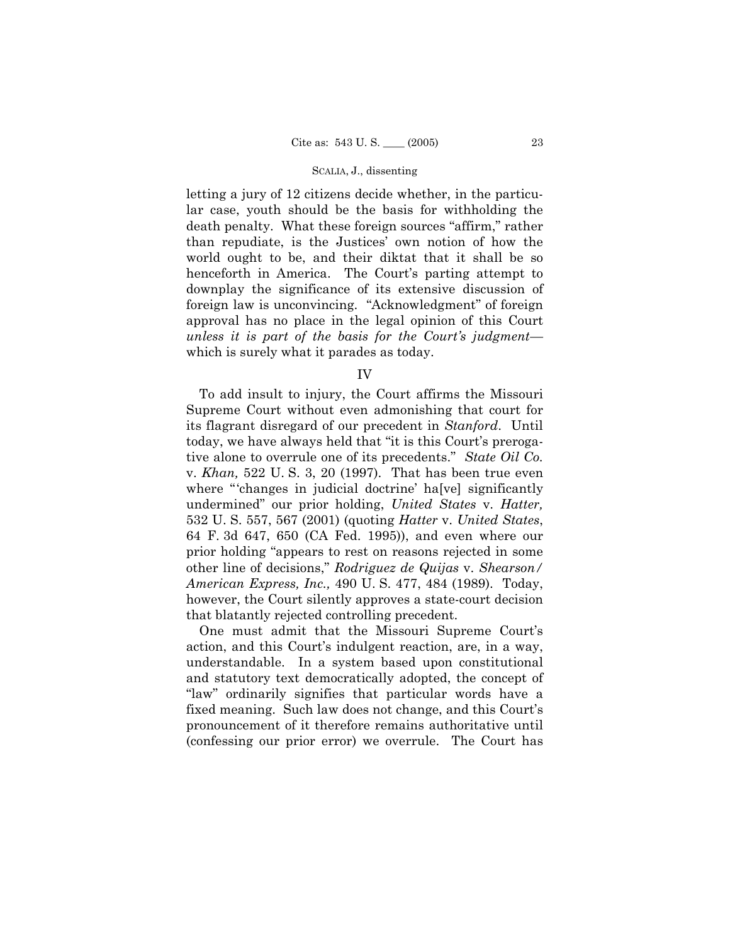letting a jury of 12 citizens decide whether, in the particular case, youth should be the basis for withholding the death penalty. What these foreign sources "affirm," rather than repudiate, is the Justices' own notion of how the world ought to be, and their diktat that it shall be so henceforth in America. The Court's parting attempt to downplay the significance of its extensive discussion of foreign law is unconvincing. "Acknowledgment" of foreign approval has no place in the legal opinion of this Court *unless it is part of the basis for the Court's judgment* which is surely what it parades as today.

IV

To add insult to injury, the Court affirms the Missouri Supreme Court without even admonishing that court for its flagrant disregard of our precedent in *Stanford*. Until today, we have always held that "it is this Court's prerogative alone to overrule one of its precedents." *State Oil Co.*  v. *Khan,* 522 U. S. 3, 20 (1997). That has been true even where " changes in judicial doctrine' halvel significantly undermined" our prior holding, *United States* v. *Hatter,*  532 U. S. 557, 567 (2001) (quoting *Hatter* v. *United States*, 64 F. 3d 647, 650 (CA Fed. 1995)), and even where our prior holding "appears to rest on reasons rejected in some other line of decisions," *Rodriguez de Quijas* v. *Shearson/ American Express, Inc.,* 490 U. S. 477, 484 (1989). Today, however, the Court silently approves a state-court decision that blatantly rejected controlling precedent.

One must admit that the Missouri Supreme Court's action, and this Court's indulgent reaction, are, in a way, understandable. In a system based upon constitutional and statutory text democratically adopted, the concept of "law" ordinarily signifies that particular words have a fixed meaning. Such law does not change, and this Court's pronouncement of it therefore remains authoritative until (confessing our prior error) we overrule. The Court has